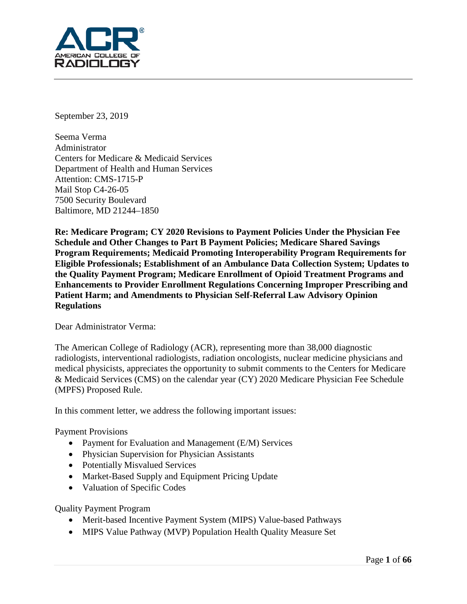

September 23, 2019

Seema Verma Administrator Centers for Medicare & Medicaid Services Department of Health and Human Services Attention: CMS-1715-P Mail Stop C4-26-05 7500 Security Boulevard Baltimore, MD 21244–1850

**Re: Medicare Program; CY 2020 Revisions to Payment Policies Under the Physician Fee Schedule and Other Changes to Part B Payment Policies; Medicare Shared Savings Program Requirements; Medicaid Promoting Interoperability Program Requirements for Eligible Professionals; Establishment of an Ambulance Data Collection System; Updates to the Quality Payment Program; Medicare Enrollment of Opioid Treatment Programs and Enhancements to Provider Enrollment Regulations Concerning Improper Prescribing and Patient Harm; and Amendments to Physician Self-Referral Law Advisory Opinion Regulations**

#### Dear Administrator Verma:

The American College of Radiology (ACR), representing more than 38,000 diagnostic radiologists, interventional radiologists, radiation oncologists, nuclear medicine physicians and medical physicists, appreciates the opportunity to submit comments to the Centers for Medicare & Medicaid Services (CMS) on the calendar year (CY) 2020 Medicare Physician Fee Schedule (MPFS) Proposed Rule.

In this comment letter, we address the following important issues:

Payment Provisions

- Payment for Evaluation and Management (E/M) Services
- Physician Supervision for Physician Assistants
- Potentially Misvalued Services
- Market-Based Supply and Equipment Pricing Update
- Valuation of Specific Codes

Quality Payment Program

- Merit-based Incentive Payment System (MIPS) Value-based Pathways
- MIPS Value Pathway (MVP) Population Health Quality Measure Set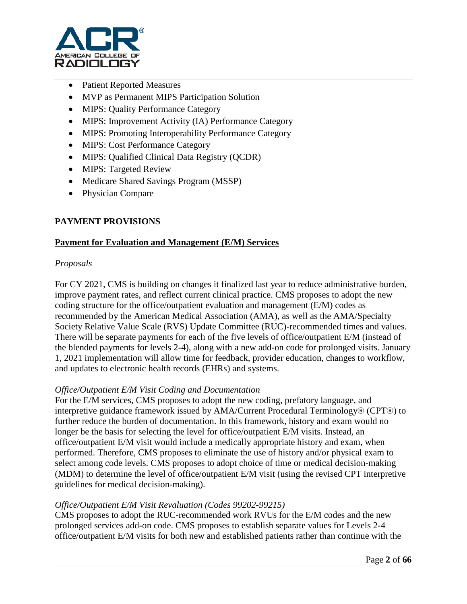

- Patient Reported Measures
- MVP as Permanent MIPS Participation Solution
- MIPS: Quality Performance Category
- MIPS: Improvement Activity (IA) Performance Category
- MIPS: Promoting Interoperability Performance Category
- MIPS: Cost Performance Category
- MIPS: Qualified Clinical Data Registry (QCDR)
- MIPS: Targeted Review
- Medicare Shared Savings Program (MSSP)
- Physician Compare

# **PAYMENT PROVISIONS**

## **Payment for Evaluation and Management (E/M) Services**

## *Proposals*

For CY 2021, CMS is building on changes it finalized last year to reduce administrative burden, improve payment rates, and reflect current clinical practice. CMS proposes to adopt the new coding structure for the office/outpatient evaluation and management (E/M) codes as recommended by the American Medical Association (AMA), as well as the AMA/Specialty Society Relative Value Scale (RVS) Update Committee (RUC)-recommended times and values. There will be separate payments for each of the five levels of office/outpatient E/M (instead of the blended payments for levels 2-4), along with a new add-on code for prolonged visits. January 1, 2021 implementation will allow time for feedback, provider education, changes to workflow, and updates to electronic health records (EHRs) and systems.

#### *Office/Outpatient E/M Visit Coding and Documentation*

For the E/M services, CMS proposes to adopt the new coding, prefatory language, and interpretive guidance framework issued by AMA/Current Procedural Terminology® (CPT®) to further reduce the burden of documentation. In this framework, history and exam would no longer be the basis for selecting the level for office/outpatient E/M visits. Instead, an office/outpatient E/M visit would include a medically appropriate history and exam, when performed. Therefore, CMS proposes to eliminate the use of history and/or physical exam to select among code levels. CMS proposes to adopt choice of time or medical decision-making (MDM) to determine the level of office/outpatient E/M visit (using the revised CPT interpretive guidelines for medical decision-making).

## *Office/Outpatient E/M Visit Revaluation (Codes 99202-99215)*

CMS proposes to adopt the RUC-recommended work RVUs for the E/M codes and the new prolonged services add-on code. CMS proposes to establish separate values for Levels 2-4 office/outpatient E/M visits for both new and established patients rather than continue with the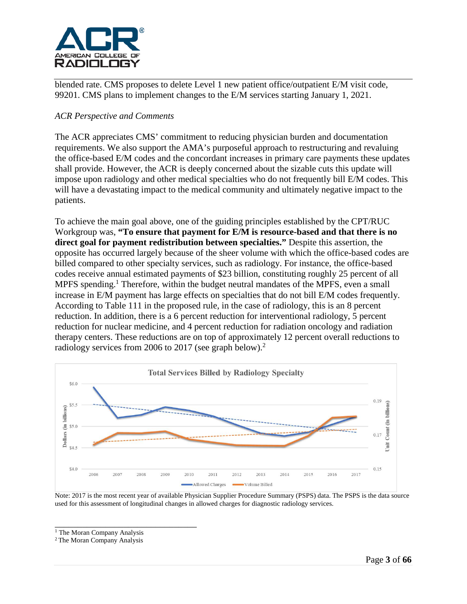

blended rate. CMS proposes to delete Level 1 new patient office/outpatient E/M visit code, 99201. CMS plans to implement changes to the E/M services starting January 1, 2021.

## *ACR Perspective and Comments*

The ACR appreciates CMS' commitment to reducing physician burden and documentation requirements. We also support the AMA's purposeful approach to restructuring and revaluing the office-based E/M codes and the concordant increases in primary care payments these updates shall provide. However, the ACR is deeply concerned about the sizable cuts this update will impose upon radiology and other medical specialties who do not frequently bill E/M codes. This will have a devastating impact to the medical community and ultimately negative impact to the patients.

To achieve the main goal above, one of the guiding principles established by the CPT/RUC Workgroup was, **"To ensure that payment for E/M is resource-based and that there is no direct goal for payment redistribution between specialties."** Despite this assertion, the opposite has occurred largely because of the sheer volume with which the office-based codes are billed compared to other specialty services, such as radiology. For instance, the office-based codes receive annual estimated payments of \$23 billion, constituting roughly 25 percent of all MPFS spending.<sup>1</sup> Therefore, within the budget neutral mandates of the MPFS, even a small increase in E/M payment has large effects on specialties that do not bill E/M codes frequently. According to Table 111 in the proposed rule, in the case of radiology, this is an 8 percent reduction. In addition, there is a 6 percent reduction for interventional radiology, 5 percent reduction for nuclear medicine, and 4 percent reduction for radiation oncology and radiation therapy centers. These reductions are on top of approximately 12 percent overall reductions to radiology services from 2006 to 2017 (see graph below).<sup>2</sup>



Note: 2017 is the most recent year of available Physician Supplier Procedure Summary (PSPS) data. The PSPS is the data source used for this assessment of longitudinal changes in allowed charges for diagnostic radiology services.

\_\_\_\_\_\_\_\_\_\_\_\_\_\_\_\_\_\_\_\_\_\_\_\_\_\_\_\_\_\_\_ <sup>1</sup> The Moran Company Analysis

2 The Moran Company Analysis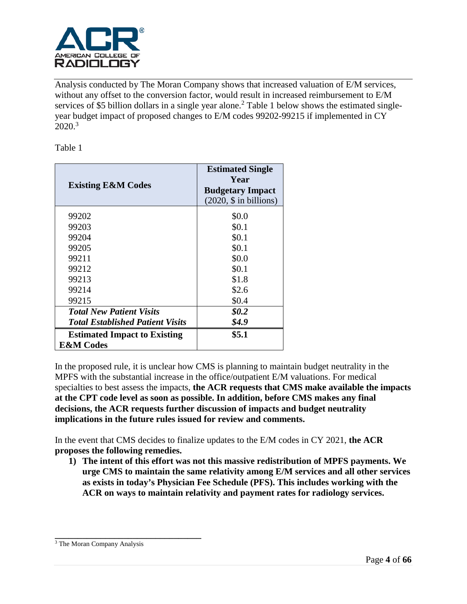

Analysis conducted by The Moran Company shows that increased valuation of E/M services, without any offset to the conversion factor, would result in increased reimbursement to E/M services of \$5 billion dollars in a single year alone.<sup>2</sup> Table 1 below shows the estimated singleyear budget impact of proposed changes to E/M codes 99202-99215 if implemented in CY 2020. 3

Table 1

| <b>Existing E&amp;M Codes</b>           | <b>Estimated Single</b><br>Year<br><b>Budgetary Impact</b><br>(2020, \$ in billions) |
|-----------------------------------------|--------------------------------------------------------------------------------------|
| 99202                                   | \$0.0                                                                                |
| 99203                                   | \$0.1                                                                                |
| 99204                                   | \$0.1                                                                                |
| 99205                                   | \$0.1                                                                                |
| 99211                                   | \$0.0                                                                                |
| 99212                                   | \$0.1                                                                                |
| 99213                                   | \$1.8                                                                                |
| 99214                                   | \$2.6                                                                                |
| 99215                                   | \$0.4                                                                                |
| <b>Total New Patient Visits</b>         | \$0.2                                                                                |
| <b>Total Established Patient Visits</b> | \$4.9                                                                                |
| <b>Estimated Impact to Existing</b>     | \$5.1                                                                                |
| <b>E&amp;M</b> Codes                    |                                                                                      |

In the proposed rule, it is unclear how CMS is planning to maintain budget neutrality in the MPFS with the substantial increase in the office/outpatient E/M valuations. For medical specialties to best assess the impacts, **the ACR requests that CMS make available the impacts at the CPT code level as soon as possible. In addition, before CMS makes any final decisions, the ACR requests further discussion of impacts and budget neutrality implications in the future rules issued for review and comments.**

In the event that CMS decides to finalize updates to the E/M codes in CY 2021, **the ACR proposes the following remedies.**

**1) The intent of this effort was not this massive redistribution of MPFS payments. We urge CMS to maintain the same relativity among E/M services and all other services as exists in today's Physician Fee Schedule (PFS). This includes working with the ACR on ways to maintain relativity and payment rates for radiology services.**

**\_\_\_\_\_\_\_\_\_\_\_\_\_\_\_\_\_\_\_\_\_\_\_\_\_\_\_\_\_\_\_\_**

<sup>3</sup> The Moran Company Analysis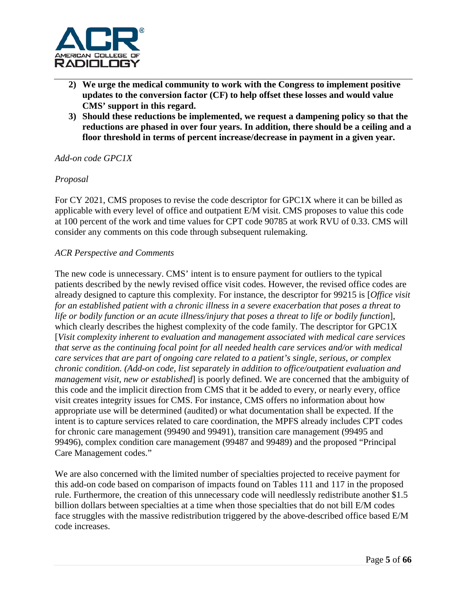

- **2) We urge the medical community to work with the Congress to implement positive updates to the conversion factor (CF) to help offset these losses and would value CMS' support in this regard.**
- **3) Should these reductions be implemented, we request a dampening policy so that the reductions are phased in over four years. In addition, there should be a ceiling and a floor threshold in terms of percent increase/decrease in payment in a given year.**

#### *Add-on code GPC1X*

#### *Proposal*

For CY 2021, CMS proposes to revise the code descriptor for GPC1X where it can be billed as applicable with every level of office and outpatient E/M visit. CMS proposes to value this code at 100 percent of the work and time values for CPT code 90785 at work RVU of 0.33. CMS will consider any comments on this code through subsequent rulemaking.

#### *ACR Perspective and Comments*

The new code is unnecessary. CMS' intent is to ensure payment for outliers to the typical patients described by the newly revised office visit codes. However, the revised office codes are already designed to capture this complexity. For instance, the descriptor for 99215 is [*Office visit for an established patient with a chronic illness in a severe exacerbation that poses a threat to life or bodily function or an acute illness/injury that poses a threat to life or bodily function*], which clearly describes the highest complexity of the code family. The descriptor for GPC1X [*Visit complexity inherent to evaluation and management associated with medical care services that serve as the continuing focal point for all needed health care services and/or with medical care services that are part of ongoing care related to a patient's single, serious, or complex chronic condition. (Add-on code, list separately in addition to office/outpatient evaluation and management visit, new or established*] is poorly defined. We are concerned that the ambiguity of this code and the implicit direction from CMS that it be added to every, or nearly every, office visit creates integrity issues for CMS. For instance, CMS offers no information about how appropriate use will be determined (audited) or what documentation shall be expected. If the intent is to capture services related to care coordination, the MPFS already includes CPT codes for chronic care management (99490 and 99491), transition care management (99495 and 99496), complex condition care management (99487 and 99489) and the proposed "Principal Care Management codes."

We are also concerned with the limited number of specialties projected to receive payment for this add-on code based on comparison of impacts found on Tables 111 and 117 in the proposed rule. Furthermore, the creation of this unnecessary code will needlessly redistribute another \$1.5 billion dollars between specialties at a time when those specialties that do not bill E/M codes face struggles with the massive redistribution triggered by the above-described office based E/M code increases.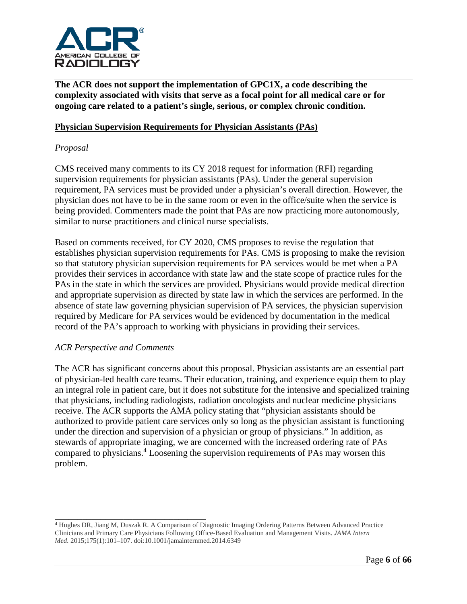

**The ACR does not support the implementation of GPC1X, a code describing the complexity associated with visits that serve as a focal point for all medical care or for ongoing care related to a patient's single, serious, or complex chronic condition.** 

### **Physician Supervision Requirements for Physician Assistants (PAs)**

### *Proposal*

CMS received many comments to its CY 2018 request for information (RFI) regarding supervision requirements for physician assistants (PAs). Under the general supervision requirement, PA services must be provided under a physician's overall direction. However, the physician does not have to be in the same room or even in the office/suite when the service is being provided. Commenters made the point that PAs are now practicing more autonomously, similar to nurse practitioners and clinical nurse specialists.

Based on comments received, for CY 2020, CMS proposes to revise the regulation that establishes physician supervision requirements for PAs. CMS is proposing to make the revision so that statutory physician supervision requirements for PA services would be met when a PA provides their services in accordance with state law and the state scope of practice rules for the PAs in the state in which the services are provided. Physicians would provide medical direction and appropriate supervision as directed by state law in which the services are performed. In the absence of state law governing physician supervision of PA services, the physician supervision required by Medicare for PA services would be evidenced by documentation in the medical record of the PA's approach to working with physicians in providing their services.

#### *ACR Perspective and Comments*

\_\_\_\_\_\_\_\_\_\_\_\_\_\_\_\_\_\_\_\_\_\_\_\_\_\_\_\_\_\_\_\_\_

The ACR has significant concerns about this proposal. Physician assistants are an essential part of physician-led health care teams. Their education, training, and experience equip them to play an integral role in patient care, but it does not substitute for the intensive and specialized training that physicians, including radiologists, radiation oncologists and nuclear medicine physicians receive. The ACR supports the AMA policy stating that "physician assistants should be authorized to provide patient care services only so long as the physician assistant is functioning under the direction and supervision of a physician or group of physicians." In addition, as stewards of appropriate imaging, we are concerned with the increased ordering rate of PAs compared to physicians.<sup>4</sup> Loosening the supervision requirements of PAs may worsen this problem.

<sup>4</sup> Hughes DR, Jiang M, Duszak R. A Comparison of Diagnostic Imaging Ordering Patterns Between Advanced Practice Clinicians and Primary Care Physicians Following Office-Based Evaluation and Management Visits. *JAMA Intern Med.* 2015;175(1):101–107. doi:10.1001/jamainternmed.2014.6349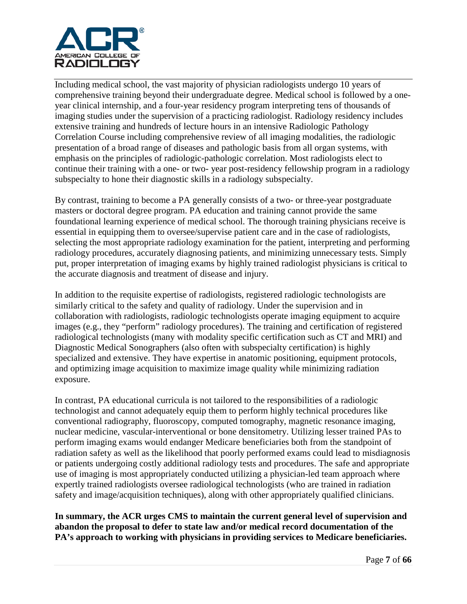

Including medical school, the vast majority of physician radiologists undergo 10 years of comprehensive training beyond their undergraduate degree. Medical school is followed by a oneyear clinical internship, and a four-year residency program interpreting tens of thousands of imaging studies under the supervision of a practicing radiologist. Radiology residency includes extensive training and hundreds of lecture hours in an intensive Radiologic Pathology Correlation Course including comprehensive review of all imaging modalities, the radiologic presentation of a broad range of diseases and pathologic basis from all organ systems, with emphasis on the principles of radiologic-pathologic correlation. Most radiologists elect to continue their training with a one- or two- year post-residency fellowship program in a radiology subspecialty to hone their diagnostic skills in a radiology subspecialty.

By contrast, training to become a PA generally consists of a two- or three-year postgraduate masters or doctoral degree program. PA education and training cannot provide the same foundational learning experience of medical school. The thorough training physicians receive is essential in equipping them to oversee/supervise patient care and in the case of radiologists, selecting the most appropriate radiology examination for the patient, interpreting and performing radiology procedures, accurately diagnosing patients, and minimizing unnecessary tests. Simply put, proper interpretation of imaging exams by highly trained radiologist physicians is critical to the accurate diagnosis and treatment of disease and injury.

In addition to the requisite expertise of radiologists, registered radiologic technologists are similarly critical to the safety and quality of radiology. Under the supervision and in collaboration with radiologists, radiologic technologists operate imaging equipment to acquire images (e.g., they "perform" radiology procedures). The training and certification of registered radiological technologists (many with modality specific certification such as CT and MRI) and Diagnostic Medical Sonographers (also often with subspecialty certification) is highly specialized and extensive. They have expertise in anatomic positioning, equipment protocols, and optimizing image acquisition to maximize image quality while minimizing radiation exposure.

In contrast, PA educational curricula is not tailored to the responsibilities of a radiologic technologist and cannot adequately equip them to perform highly technical procedures like conventional radiography, fluoroscopy, computed tomography, magnetic resonance imaging, nuclear medicine, vascular-interventional or bone densitometry. Utilizing lesser trained PAs to perform imaging exams would endanger Medicare beneficiaries both from the standpoint of radiation safety as well as the likelihood that poorly performed exams could lead to misdiagnosis or patients undergoing costly additional radiology tests and procedures. The safe and appropriate use of imaging is most appropriately conducted utilizing a physician-led team approach where expertly trained radiologists oversee radiological technologists (who are trained in radiation safety and image/acquisition techniques), along with other appropriately qualified clinicians.

**In summary, the ACR urges CMS to maintain the current general level of supervision and abandon the proposal to defer to state law and/or medical record documentation of the PA's approach to working with physicians in providing services to Medicare beneficiaries.**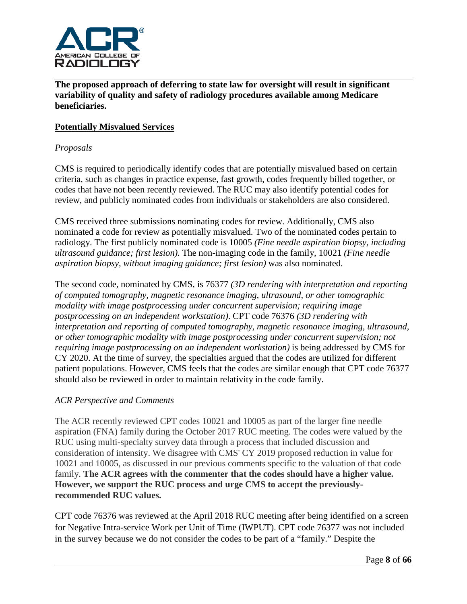

**The proposed approach of deferring to state law for oversight will result in significant variability of quality and safety of radiology procedures available among Medicare beneficiaries.**

## **Potentially Misvalued Services**

### *Proposals*

CMS is required to periodically identify codes that are potentially misvalued based on certain criteria, such as changes in practice expense, fast growth, codes frequently billed together, or codes that have not been recently reviewed. The RUC may also identify potential codes for review, and publicly nominated codes from individuals or stakeholders are also considered.

CMS received three submissions nominating codes for review. Additionally, CMS also nominated a code for review as potentially misvalued. Two of the nominated codes pertain to radiology. The first publicly nominated code is 10005 *(Fine needle aspiration biopsy, including ultrasound guidance; first lesion).* The non-imaging code in the family, 10021 *(Fine needle aspiration biopsy, without imaging guidance; first lesion)* was also nominated.

The second code, nominated by CMS, is 76377 *(3D rendering with interpretation and reporting of computed tomography, magnetic resonance imaging, ultrasound, or other tomographic modality with image postprocessing under concurrent supervision; requiring image postprocessing on an independent workstation)*. CPT code 76376 *(3D rendering with interpretation and reporting of computed tomography, magnetic resonance imaging, ultrasound, or other tomographic modality with image postprocessing under concurrent supervision; not requiring image postprocessing on an independent workstation)* is being addressed by CMS for CY 2020. At the time of survey, the specialties argued that the codes are utilized for different patient populations. However, CMS feels that the codes are similar enough that CPT code 76377 should also be reviewed in order to maintain relativity in the code family.

#### *ACR Perspective and Comments*

The ACR recently reviewed CPT codes 10021 and 10005 as part of the larger fine needle aspiration (FNA) family during the October 2017 RUC meeting. The codes were valued by the RUC using multi-specialty survey data through a process that included discussion and consideration of intensity. We disagree with CMS' CY 2019 proposed reduction in value for 10021 and 10005, as discussed in our previous comments specific to the valuation of that code family. **The ACR agrees with the commenter that the codes should have a higher value. However, we support the RUC process and urge CMS to accept the previouslyrecommended RUC values.**

CPT code 76376 was reviewed at the April 2018 RUC meeting after being identified on a screen for Negative Intra-service Work per Unit of Time (IWPUT). CPT code 76377 was not included in the survey because we do not consider the codes to be part of a "family." Despite the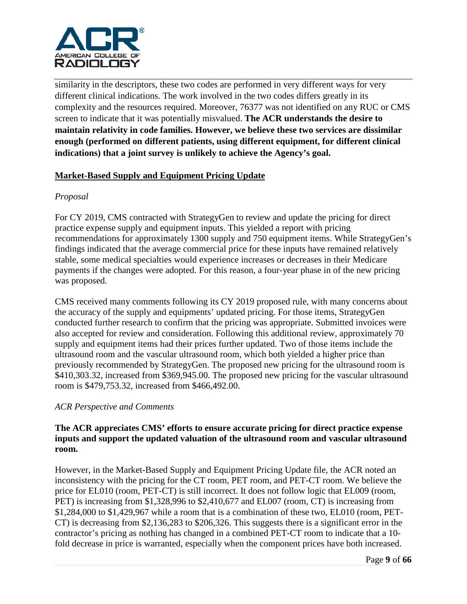

similarity in the descriptors, these two codes are performed in very different ways for very different clinical indications. The work involved in the two codes differs greatly in its complexity and the resources required. Moreover, 76377 was not identified on any RUC or CMS screen to indicate that it was potentially misvalued. **The ACR understands the desire to maintain relativity in code families. However, we believe these two services are dissimilar enough (performed on different patients, using different equipment, for different clinical indications) that a joint survey is unlikely to achieve the Agency's goal.** 

## **Market-Based Supply and Equipment Pricing Update**

## *Proposal*

For CY 2019, CMS contracted with StrategyGen to review and update the pricing for direct practice expense supply and equipment inputs. This yielded a report with pricing recommendations for approximately 1300 supply and 750 equipment items. While StrategyGen's findings indicated that the average commercial price for these inputs have remained relatively stable, some medical specialties would experience increases or decreases in their Medicare payments if the changes were adopted. For this reason, a four-year phase in of the new pricing was proposed.

CMS received many comments following its CY 2019 proposed rule, with many concerns about the accuracy of the supply and equipments' updated pricing. For those items, StrategyGen conducted further research to confirm that the pricing was appropriate. Submitted invoices were also accepted for review and consideration. Following this additional review, approximately 70 supply and equipment items had their prices further updated. Two of those items include the ultrasound room and the vascular ultrasound room, which both yielded a higher price than previously recommended by StrategyGen. The proposed new pricing for the ultrasound room is \$410,303.32, increased from \$369,945.00. The proposed new pricing for the vascular ultrasound room is \$479,753.32, increased from \$466,492.00.

## *ACR Perspective and Comments*

## **The ACR appreciates CMS' efforts to ensure accurate pricing for direct practice expense inputs and support the updated valuation of the ultrasound room and vascular ultrasound room.**

However, in the Market-Based Supply and Equipment Pricing Update file, the ACR noted an inconsistency with the pricing for the CT room, PET room, and PET-CT room. We believe the price for EL010 (room, PET-CT) is still incorrect. It does not follow logic that EL009 (room, PET) is increasing from \$1,328,996 to \$2,410,677 and EL007 (room, CT) is increasing from \$1,284,000 to \$1,429,967 while a room that is a combination of these two, EL010 (room, PET-CT) is decreasing from \$2,136,283 to \$206,326. This suggests there is a significant error in the contractor's pricing as nothing has changed in a combined PET-CT room to indicate that a 10 fold decrease in price is warranted, especially when the component prices have both increased.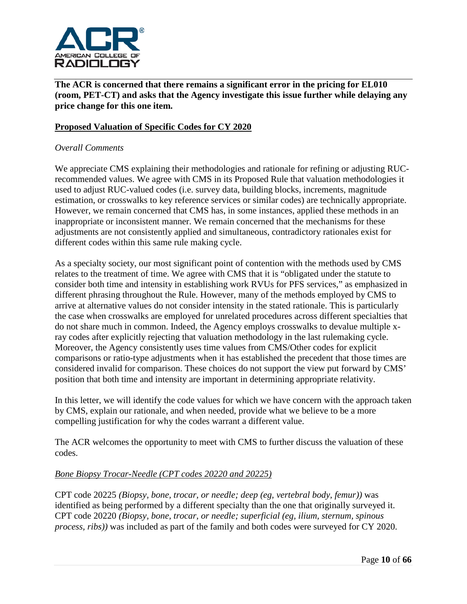

**The ACR is concerned that there remains a significant error in the pricing for EL010 (room, PET-CT) and asks that the Agency investigate this issue further while delaying any price change for this one item.**

## **Proposed Valuation of Specific Codes for CY 2020**

### *Overall Comments*

We appreciate CMS explaining their methodologies and rationale for refining or adjusting RUCrecommended values. We agree with CMS in its Proposed Rule that valuation methodologies it used to adjust RUC-valued codes (i.e. survey data, building blocks, increments, magnitude estimation, or crosswalks to key reference services or similar codes) are technically appropriate. However, we remain concerned that CMS has, in some instances, applied these methods in an inappropriate or inconsistent manner. We remain concerned that the mechanisms for these adjustments are not consistently applied and simultaneous, contradictory rationales exist for different codes within this same rule making cycle.

As a specialty society, our most significant point of contention with the methods used by CMS relates to the treatment of time. We agree with CMS that it is "obligated under the statute to consider both time and intensity in establishing work RVUs for PFS services," as emphasized in different phrasing throughout the Rule. However, many of the methods employed by CMS to arrive at alternative values do not consider intensity in the stated rationale. This is particularly the case when crosswalks are employed for unrelated procedures across different specialties that do not share much in common. Indeed, the Agency employs crosswalks to devalue multiple xray codes after explicitly rejecting that valuation methodology in the last rulemaking cycle. Moreover, the Agency consistently uses time values from CMS/Other codes for explicit comparisons or ratio-type adjustments when it has established the precedent that those times are considered invalid for comparison. These choices do not support the view put forward by CMS' position that both time and intensity are important in determining appropriate relativity.

In this letter, we will identify the code values for which we have concern with the approach taken by CMS, explain our rationale, and when needed, provide what we believe to be a more compelling justification for why the codes warrant a different value.

The ACR welcomes the opportunity to meet with CMS to further discuss the valuation of these codes.

#### *Bone Biopsy Trocar-Needle (CPT codes 20220 and 20225)*

CPT code 20225 *(Biopsy, bone, trocar, or needle; deep (eg, vertebral body, femur))* was identified as being performed by a different specialty than the one that originally surveyed it. CPT code 20220 *(Biopsy, bone, trocar, or needle; superficial (eg, ilium, sternum, spinous process, ribs))* was included as part of the family and both codes were surveyed for CY 2020.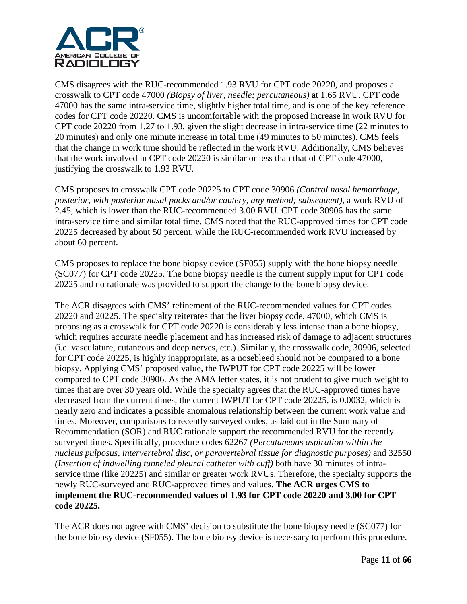

CMS disagrees with the RUC-recommended 1.93 RVU for CPT code 20220, and proposes a crosswalk to CPT code 47000 *(Biopsy of liver, needle; percutaneous)* at 1.65 RVU. CPT code 47000 has the same intra-service time, slightly higher total time, and is one of the key reference codes for CPT code 20220. CMS is uncomfortable with the proposed increase in work RVU for CPT code 20220 from 1.27 to 1.93, given the slight decrease in intra-service time (22 minutes to 20 minutes) and only one minute increase in total time (49 minutes to 50 minutes). CMS feels that the change in work time should be reflected in the work RVU. Additionally, CMS believes that the work involved in CPT code 20220 is similar or less than that of CPT code 47000, justifying the crosswalk to 1.93 RVU.

CMS proposes to crosswalk CPT code 20225 to CPT code 30906 *(Control nasal hemorrhage, posterior, with posterior nasal packs and/or cautery, any method; subsequent)*, a work RVU of 2.45, which is lower than the RUC-recommended 3.00 RVU. CPT code 30906 has the same intra-service time and similar total time. CMS noted that the RUC-approved times for CPT code 20225 decreased by about 50 percent, while the RUC-recommended work RVU increased by about 60 percent.

CMS proposes to replace the bone biopsy device (SF055) supply with the bone biopsy needle (SC077) for CPT code 20225. The bone biopsy needle is the current supply input for CPT code 20225 and no rationale was provided to support the change to the bone biopsy device.

The ACR disagrees with CMS' refinement of the RUC-recommended values for CPT codes 20220 and 20225. The specialty reiterates that the liver biopsy code, 47000, which CMS is proposing as a crosswalk for CPT code 20220 is considerably less intense than a bone biopsy, which requires accurate needle placement and has increased risk of damage to adjacent structures (i.e. vasculature, cutaneous and deep nerves, etc.). Similarly, the crosswalk code, 30906, selected for CPT code 20225, is highly inappropriate, as a nosebleed should not be compared to a bone biopsy. Applying CMS' proposed value, the IWPUT for CPT code 20225 will be lower compared to CPT code 30906. As the AMA letter states, it is not prudent to give much weight to times that are over 30 years old. While the specialty agrees that the RUC-approved times have decreased from the current times, the current IWPUT for CPT code 20225, is 0.0032, which is nearly zero and indicates a possible anomalous relationship between the current work value and times. Moreover, comparisons to recently surveyed codes, as laid out in the Summary of Recommendation (SOR) and RUC rationale support the recommended RVU for the recently surveyed times. Specifically, procedure codes 62267 *(Percutaneous aspiration within the nucleus pulposus, intervertebral disc, or paravertebral tissue for diagnostic purposes)* and 32550 *(Insertion of indwelling tunneled pleural catheter with cuff)* both have 30 minutes of intraservice time (like 20225) and similar or greater work RVUs. Therefore, the specialty supports the newly RUC-surveyed and RUC-approved times and values. **The ACR urges CMS to implement the RUC-recommended values of 1.93 for CPT code 20220 and 3.00 for CPT code 20225.**

The ACR does not agree with CMS' decision to substitute the bone biopsy needle (SC077) for the bone biopsy device (SF055). The bone biopsy device is necessary to perform this procedure.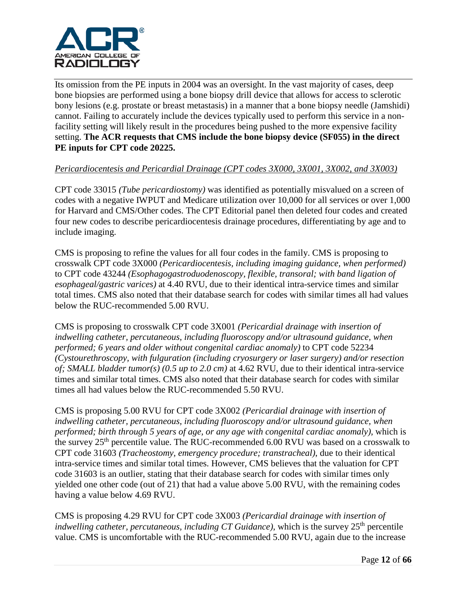

Its omission from the PE inputs in 2004 was an oversight. In the vast majority of cases, deep bone biopsies are performed using a bone biopsy drill device that allows for access to sclerotic bony lesions (e.g. prostate or breast metastasis) in a manner that a bone biopsy needle (Jamshidi) cannot. Failing to accurately include the devices typically used to perform this service in a nonfacility setting will likely result in the procedures being pushed to the more expensive facility setting. **The ACR requests that CMS include the bone biopsy device (SF055) in the direct PE inputs for CPT code 20225.**

## *Pericardiocentesis and Pericardial Drainage (CPT codes 3X000, 3X001, 3X002, and 3X003)*

CPT code 33015 *(Tube pericardiostomy)* was identified as potentially misvalued on a screen of codes with a negative IWPUT and Medicare utilization over 10,000 for all services or over 1,000 for Harvard and CMS/Other codes. The CPT Editorial panel then deleted four codes and created four new codes to describe pericardiocentesis drainage procedures, differentiating by age and to include imaging.

CMS is proposing to refine the values for all four codes in the family. CMS is proposing to crosswalk CPT code 3X000 *(Pericardiocentesis, including imaging guidance, when performed)* to CPT code 43244 *(Esophagogastroduodenoscopy, flexible, transoral; with band ligation of esophageal/gastric varices)* at 4.40 RVU, due to their identical intra-service times and similar total times. CMS also noted that their database search for codes with similar times all had values below the RUC-recommended 5.00 RVU.

CMS is proposing to crosswalk CPT code 3X001 *(Pericardial drainage with insertion of indwelling catheter, percutaneous, including fluoroscopy and/or ultrasound guidance, when performed; 6 years and older without congenital cardiac anomaly)* to CPT code 52234 *(Cystourethroscopy, with fulguration (including cryosurgery or laser surgery) and/or resection of; SMALL bladder tumor(s) (0.5 up to 2.0 cm)* at 4.62 RVU, due to their identical intra-service times and similar total times. CMS also noted that their database search for codes with similar times all had values below the RUC-recommended 5.50 RVU.

CMS is proposing 5.00 RVU for CPT code 3X002 *(Pericardial drainage with insertion of indwelling catheter, percutaneous, including fluoroscopy and/or ultrasound guidance, when performed; birth through 5 years of age, or any age with congenital cardiac anomaly)*, which is the survey  $25<sup>th</sup>$  percentile value. The RUC-recommended 6.00 RVU was based on a crosswalk to CPT code 31603 *(Tracheostomy, emergency procedure; transtracheal)*, due to their identical intra-service times and similar total times. However, CMS believes that the valuation for CPT code 31603 is an outlier, stating that their database search for codes with similar times only yielded one other code (out of 21) that had a value above 5.00 RVU, with the remaining codes having a value below 4.69 RVU.

CMS is proposing 4.29 RVU for CPT code 3X003 *(Pericardial drainage with insertion of indwelling catheter, percutaneous, including CT Guidance)*, which is the survey  $25<sup>th</sup>$  percentile value. CMS is uncomfortable with the RUC-recommended 5.00 RVU, again due to the increase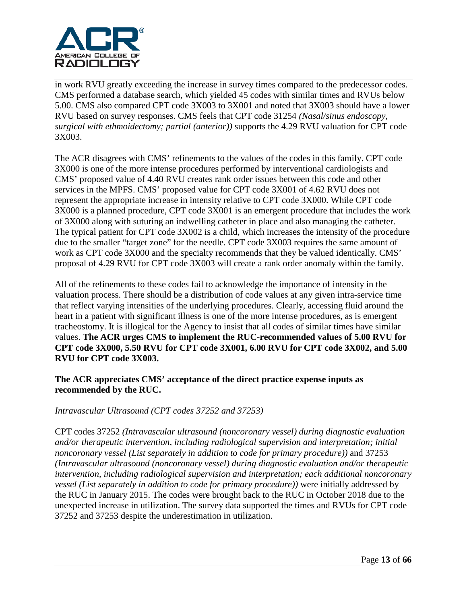

in work RVU greatly exceeding the increase in survey times compared to the predecessor codes. CMS performed a database search, which yielded 45 codes with similar times and RVUs below 5.00. CMS also compared CPT code 3X003 to 3X001 and noted that 3X003 should have a lower RVU based on survey responses. CMS feels that CPT code 31254 *(Nasal/sinus endoscopy, surgical with ethmoidectomy; partial (anterior))* supports the 4.29 RVU valuation for CPT code 3X003.

The ACR disagrees with CMS' refinements to the values of the codes in this family. CPT code 3X000 is one of the more intense procedures performed by interventional cardiologists and CMS' proposed value of 4.40 RVU creates rank order issues between this code and other services in the MPFS. CMS' proposed value for CPT code 3X001 of 4.62 RVU does not represent the appropriate increase in intensity relative to CPT code 3X000. While CPT code 3X000 is a planned procedure, CPT code 3X001 is an emergent procedure that includes the work of 3X000 along with suturing an indwelling catheter in place and also managing the catheter. The typical patient for CPT code 3X002 is a child, which increases the intensity of the procedure due to the smaller "target zone" for the needle. CPT code 3X003 requires the same amount of work as CPT code 3X000 and the specialty recommends that they be valued identically. CMS' proposal of 4.29 RVU for CPT code 3X003 will create a rank order anomaly within the family.

All of the refinements to these codes fail to acknowledge the importance of intensity in the valuation process. There should be a distribution of code values at any given intra-service time that reflect varying intensities of the underlying procedures. Clearly, accessing fluid around the heart in a patient with significant illness is one of the more intense procedures, as is emergent tracheostomy. It is illogical for the Agency to insist that all codes of similar times have similar values. **The ACR urges CMS to implement the RUC-recommended values of 5.00 RVU for CPT code 3X000, 5.50 RVU for CPT code 3X001, 6.00 RVU for CPT code 3X002, and 5.00 RVU for CPT code 3X003.**

**The ACR appreciates CMS' acceptance of the direct practice expense inputs as recommended by the RUC.**

## *Intravascular Ultrasound (CPT codes 37252 and 37253)*

CPT codes 37252 *(Intravascular ultrasound (noncoronary vessel) during diagnostic evaluation and/or therapeutic intervention, including radiological supervision and interpretation; initial noncoronary vessel (List separately in addition to code for primary procedure))* and 37253 *(Intravascular ultrasound (noncoronary vessel) during diagnostic evaluation and/or therapeutic intervention, including radiological supervision and interpretation; each additional noncoronary vessel (List separately in addition to code for primary procedure))* were initially addressed by the RUC in January 2015. The codes were brought back to the RUC in October 2018 due to the unexpected increase in utilization. The survey data supported the times and RVUs for CPT code 37252 and 37253 despite the underestimation in utilization.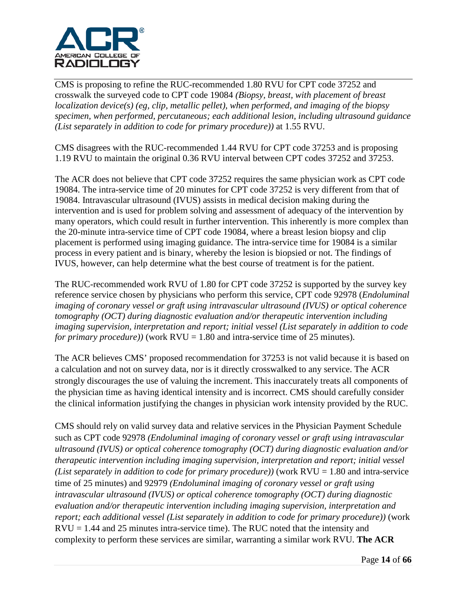

CMS is proposing to refine the RUC-recommended 1.80 RVU for CPT code 37252 and crosswalk the surveyed code to CPT code 19084 *(Biopsy, breast, with placement of breast localization device(s) (eg, clip, metallic pellet), when performed, and imaging of the biopsy specimen, when performed, percutaneous; each additional lesion, including ultrasound guidance (List separately in addition to code for primary procedure))* at 1.55 RVU.

CMS disagrees with the RUC-recommended 1.44 RVU for CPT code 37253 and is proposing 1.19 RVU to maintain the original 0.36 RVU interval between CPT codes 37252 and 37253.

The ACR does not believe that CPT code 37252 requires the same physician work as CPT code 19084. The intra-service time of 20 minutes for CPT code 37252 is very different from that of 19084. Intravascular ultrasound (IVUS) assists in medical decision making during the intervention and is used for problem solving and assessment of adequacy of the intervention by many operators, which could result in further intervention. This inherently is more complex than the 20-minute intra-service time of CPT code 19084, where a breast lesion biopsy and clip placement is performed using imaging guidance. The intra-service time for 19084 is a similar process in every patient and is binary, whereby the lesion is biopsied or not. The findings of IVUS, however, can help determine what the best course of treatment is for the patient.

The RUC-recommended work RVU of 1.80 for CPT code 37252 is supported by the survey key reference service chosen by physicians who perform this service, CPT code 92978 (*Endoluminal imaging of coronary vessel or graft using intravascular ultrasound (IVUS) or optical coherence tomography (OCT) during diagnostic evaluation and/or therapeutic intervention including imaging supervision, interpretation and report; initial vessel (List separately in addition to code for primary procedure)*) (work  $RVU = 1.80$  and intra-service time of 25 minutes).

The ACR believes CMS' proposed recommendation for 37253 is not valid because it is based on a calculation and not on survey data, nor is it directly crosswalked to any service. The ACR strongly discourages the use of valuing the increment. This inaccurately treats all components of the physician time as having identical intensity and is incorrect. CMS should carefully consider the clinical information justifying the changes in physician work intensity provided by the RUC.

CMS should rely on valid survey data and relative services in the Physician Payment Schedule such as CPT code 92978 *(Endoluminal imaging of coronary vessel or graft using intravascular ultrasound (IVUS) or optical coherence tomography (OCT) during diagnostic evaluation and/or therapeutic intervention including imaging supervision, interpretation and report; initial vessel (List separately in addition to code for primary procedure))* (work  $RVU = 1.80$  and intra-service time of 25 minutes) and 92979 *(Endoluminal imaging of coronary vessel or graft using intravascular ultrasound (IVUS) or optical coherence tomography (OCT) during diagnostic evaluation and/or therapeutic intervention including imaging supervision, interpretation and report; each additional vessel (List separately in addition to code for primary procedure))* (work  $RVU = 1.44$  and 25 minutes intra-service time). The RUC noted that the intensity and complexity to perform these services are similar, warranting a similar work RVU. **The ACR**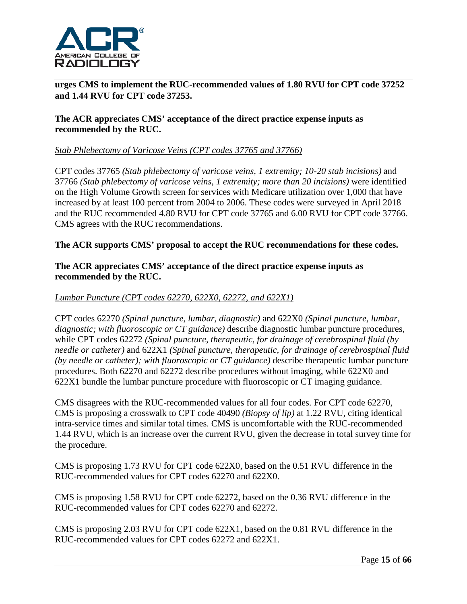

**urges CMS to implement the RUC-recommended values of 1.80 RVU for CPT code 37252 and 1.44 RVU for CPT code 37253.**

## **The ACR appreciates CMS' acceptance of the direct practice expense inputs as recommended by the RUC.**

## *Stab Phlebectomy of Varicose Veins (CPT codes 37765 and 37766)*

CPT codes 37765 *(Stab phlebectomy of varicose veins, 1 extremity; 10-20 stab incisions)* and 37766 *(Stab phlebectomy of varicose veins, 1 extremity; more than 20 incisions)* were identified on the High Volume Growth screen for services with Medicare utilization over 1,000 that have increased by at least 100 percent from 2004 to 2006. These codes were surveyed in April 2018 and the RUC recommended 4.80 RVU for CPT code 37765 and 6.00 RVU for CPT code 37766. CMS agrees with the RUC recommendations.

## **The ACR supports CMS' proposal to accept the RUC recommendations for these codes.**

## **The ACR appreciates CMS' acceptance of the direct practice expense inputs as recommended by the RUC.**

## *Lumbar Puncture (CPT codes 62270, 622X0, 62272, and 622X1)*

CPT codes 62270 *(Spinal puncture, lumbar, diagnostic)* and 622X0 *(Spinal puncture, lumbar, diagnostic; with fluoroscopic or CT guidance)* describe diagnostic lumbar puncture procedures, while CPT codes 62272 *(Spinal puncture, therapeutic, for drainage of cerebrospinal fluid (by needle or catheter)* and 622X1 *(Spinal puncture, therapeutic, for drainage of cerebrospinal fluid (by needle or catheter); with fluoroscopic or CT guidance)* describe therapeutic lumbar puncture procedures. Both 62270 and 62272 describe procedures without imaging, while 622X0 and 622X1 bundle the lumbar puncture procedure with fluoroscopic or CT imaging guidance.

CMS disagrees with the RUC-recommended values for all four codes. For CPT code 62270, CMS is proposing a crosswalk to CPT code 40490 *(Biopsy of lip)* at 1.22 RVU, citing identical intra-service times and similar total times. CMS is uncomfortable with the RUC-recommended 1.44 RVU, which is an increase over the current RVU, given the decrease in total survey time for the procedure.

CMS is proposing 1.73 RVU for CPT code 622X0, based on the 0.51 RVU difference in the RUC-recommended values for CPT codes 62270 and 622X0.

CMS is proposing 1.58 RVU for CPT code 62272, based on the 0.36 RVU difference in the RUC-recommended values for CPT codes 62270 and 62272.

CMS is proposing 2.03 RVU for CPT code 622X1, based on the 0.81 RVU difference in the RUC-recommended values for CPT codes 62272 and 622X1.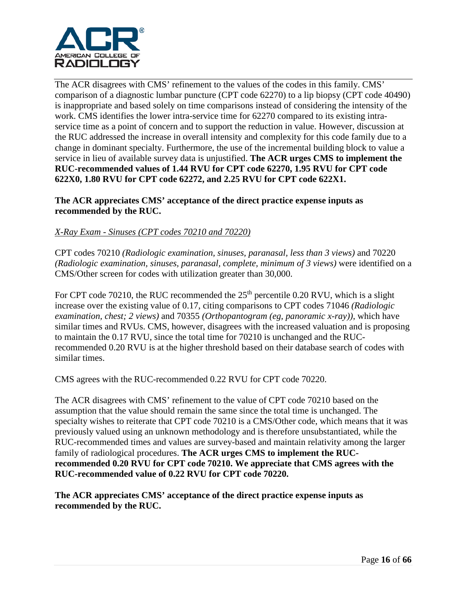

The ACR disagrees with CMS' refinement to the values of the codes in this family. CMS' comparison of a diagnostic lumbar puncture (CPT code 62270) to a lip biopsy (CPT code 40490) is inappropriate and based solely on time comparisons instead of considering the intensity of the work. CMS identifies the lower intra-service time for 62270 compared to its existing intraservice time as a point of concern and to support the reduction in value. However, discussion at the RUC addressed the increase in overall intensity and complexity for this code family due to a change in dominant specialty. Furthermore, the use of the incremental building block to value a service in lieu of available survey data is unjustified. **The ACR urges CMS to implement the RUC-recommended values of 1.44 RVU for CPT code 62270, 1.95 RVU for CPT code 622X0, 1.80 RVU for CPT code 62272, and 2.25 RVU for CPT code 622X1.**

**The ACR appreciates CMS' acceptance of the direct practice expense inputs as recommended by the RUC.**

## *X-Ray Exam - Sinuses (CPT codes 70210 and 70220)*

CPT codes 70210 *(Radiologic examination, sinuses, paranasal, less than 3 views)* and 70220 *(Radiologic examination, sinuses, paranasal, complete, minimum of 3 views)* were identified on a CMS/Other screen for codes with utilization greater than 30,000.

For CPT code 70210, the RUC recommended the  $25<sup>th</sup>$  percentile 0.20 RVU, which is a slight increase over the existing value of 0.17, citing comparisons to CPT codes 71046 *(Radiologic examination, chest; 2 views)* and 70355 *(Orthopantogram (eg, panoramic x-ray))*, which have similar times and RVUs. CMS, however, disagrees with the increased valuation and is proposing to maintain the 0.17 RVU, since the total time for 70210 is unchanged and the RUCrecommended 0.20 RVU is at the higher threshold based on their database search of codes with similar times.

CMS agrees with the RUC-recommended 0.22 RVU for CPT code 70220.

The ACR disagrees with CMS' refinement to the value of CPT code 70210 based on the assumption that the value should remain the same since the total time is unchanged. The specialty wishes to reiterate that CPT code 70210 is a CMS/Other code, which means that it was previously valued using an unknown methodology and is therefore unsubstantiated, while the RUC-recommended times and values are survey-based and maintain relativity among the larger family of radiological procedures. **The ACR urges CMS to implement the RUCrecommended 0.20 RVU for CPT code 70210. We appreciate that CMS agrees with the RUC-recommended value of 0.22 RVU for CPT code 70220.**

**The ACR appreciates CMS' acceptance of the direct practice expense inputs as recommended by the RUC.**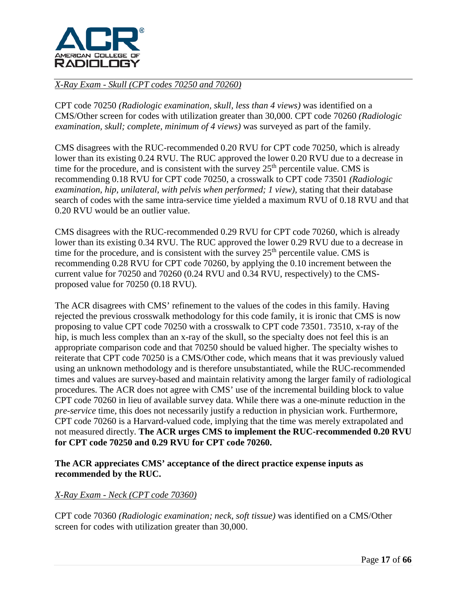

## *X-Ray Exam - Skull (CPT codes 70250 and 70260)*

CPT code 70250 *(Radiologic examination, skull, less than 4 views)* was identified on a CMS/Other screen for codes with utilization greater than 30,000. CPT code 70260 *(Radiologic examination, skull; complete, minimum of 4 views)* was surveyed as part of the family.

CMS disagrees with the RUC-recommended 0.20 RVU for CPT code 70250, which is already lower than its existing 0.24 RVU. The RUC approved the lower 0.20 RVU due to a decrease in time for the procedure, and is consistent with the survey  $25<sup>th</sup>$  percentile value. CMS is recommending 0.18 RVU for CPT code 70250, a crosswalk to CPT code 73501 *(Radiologic examination, hip, unilateral, with pelvis when performed; 1 view), stating that their database* search of codes with the same intra-service time yielded a maximum RVU of 0.18 RVU and that 0.20 RVU would be an outlier value.

CMS disagrees with the RUC-recommended 0.29 RVU for CPT code 70260, which is already lower than its existing 0.34 RVU. The RUC approved the lower 0.29 RVU due to a decrease in time for the procedure, and is consistent with the survey  $25<sup>th</sup>$  percentile value. CMS is recommending 0.28 RVU for CPT code 70260, by applying the 0.10 increment between the current value for 70250 and 70260 (0.24 RVU and 0.34 RVU, respectively) to the CMSproposed value for 70250 (0.18 RVU).

The ACR disagrees with CMS' refinement to the values of the codes in this family. Having rejected the previous crosswalk methodology for this code family, it is ironic that CMS is now proposing to value CPT code 70250 with a crosswalk to CPT code 73501. 73510, x-ray of the hip, is much less complex than an x-ray of the skull, so the specialty does not feel this is an appropriate comparison code and that 70250 should be valued higher. The specialty wishes to reiterate that CPT code 70250 is a CMS/Other code, which means that it was previously valued using an unknown methodology and is therefore unsubstantiated, while the RUC-recommended times and values are survey-based and maintain relativity among the larger family of radiological procedures. The ACR does not agree with CMS' use of the incremental building block to value CPT code 70260 in lieu of available survey data. While there was a one-minute reduction in the *pre-service* time, this does not necessarily justify a reduction in physician work. Furthermore, CPT code 70260 is a Harvard-valued code, implying that the time was merely extrapolated and not measured directly. **The ACR urges CMS to implement the RUC-recommended 0.20 RVU for CPT code 70250 and 0.29 RVU for CPT code 70260.**

## **The ACR appreciates CMS' acceptance of the direct practice expense inputs as recommended by the RUC.**

## *X-Ray Exam - Neck (CPT code 70360)*

CPT code 70360 *(Radiologic examination; neck, soft tissue)* was identified on a CMS/Other screen for codes with utilization greater than 30,000.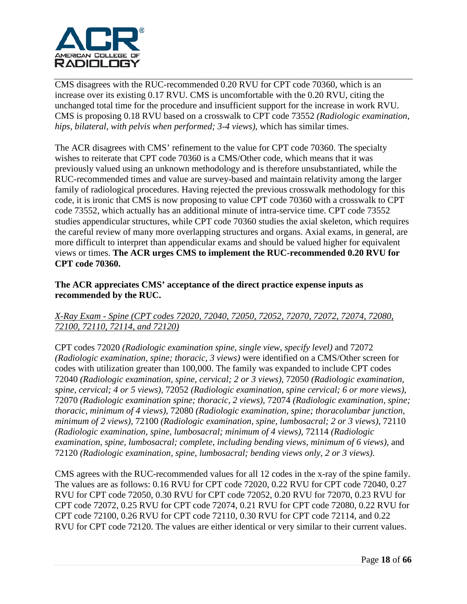

CMS disagrees with the RUC-recommended 0.20 RVU for CPT code 70360, which is an increase over its existing 0.17 RVU. CMS is uncomfortable with the 0.20 RVU, citing the unchanged total time for the procedure and insufficient support for the increase in work RVU. CMS is proposing 0.18 RVU based on a crosswalk to CPT code 73552 *(Radiologic examination, hips, bilateral, with pelvis when performed; 3-4 views)*, which has similar times.

The ACR disagrees with CMS' refinement to the value for CPT code 70360. The specialty wishes to reiterate that CPT code 70360 is a CMS/Other code, which means that it was previously valued using an unknown methodology and is therefore unsubstantiated, while the RUC-recommended times and value are survey-based and maintain relativity among the larger family of radiological procedures. Having rejected the previous crosswalk methodology for this code, it is ironic that CMS is now proposing to value CPT code 70360 with a crosswalk to CPT code 73552, which actually has an additional minute of intra-service time. CPT code 73552 studies appendicular structures, while CPT code 70360 studies the axial skeleton, which requires the careful review of many more overlapping structures and organs. Axial exams, in general, are more difficult to interpret than appendicular exams and should be valued higher for equivalent views or times. **The ACR urges CMS to implement the RUC-recommended 0.20 RVU for CPT code 70360.**

## **The ACR appreciates CMS' acceptance of the direct practice expense inputs as recommended by the RUC.**

# *X-Ray Exam - Spine (CPT codes 72020, 72040, 72050, 72052, 72070, 72072, 72074, 72080, 72100, 72110, 72114, and 72120)*

CPT codes 72020 *(Radiologic examination spine, single view, specify level)* and 72072 *(Radiologic examination, spine; thoracic, 3 views)* were identified on a CMS/Other screen for codes with utilization greater than 100,000. The family was expanded to include CPT codes 72040 *(Radiologic examination, spine, cervical; 2 or 3 views),* 72050 *(Radiologic examination, spine, cervical; 4 or 5 views),* 72052 *(Radiologic examination, spine cervical; 6 or more views)*, 72070 *(Radiologic examination spine; thoracic, 2 views)*, 72074 *(Radiologic examination, spine; thoracic, minimum of 4 views)*, 72080 *(Radiologic examination, spine; thoracolumbar junction, minimum of 2 views)*, 72100 *(Radiologic examination, spine, lumbosacral; 2 or 3 views)*, 72110 *(Radiologic examination, spine, lumbosacral; minimum of 4 views)*, 72114 *(Radiologic examination, spine, lumbosacral; complete, including bending views, minimum of 6 views)*, and 72120 *(Radiologic examination, spine, lumbosacral; bending views only, 2 or 3 views)*.

CMS agrees with the RUC-recommended values for all 12 codes in the x-ray of the spine family. The values are as follows: 0.16 RVU for CPT code 72020, 0.22 RVU for CPT code 72040, 0.27 RVU for CPT code 72050, 0.30 RVU for CPT code 72052, 0.20 RVU for 72070, 0.23 RVU for CPT code 72072, 0.25 RVU for CPT code 72074, 0.21 RVU for CPT code 72080, 0.22 RVU for CPT code 72100, 0.26 RVU for CPT code 72110, 0.30 RVU for CPT code 72114, and 0.22 RVU for CPT code 72120. The values are either identical or very similar to their current values.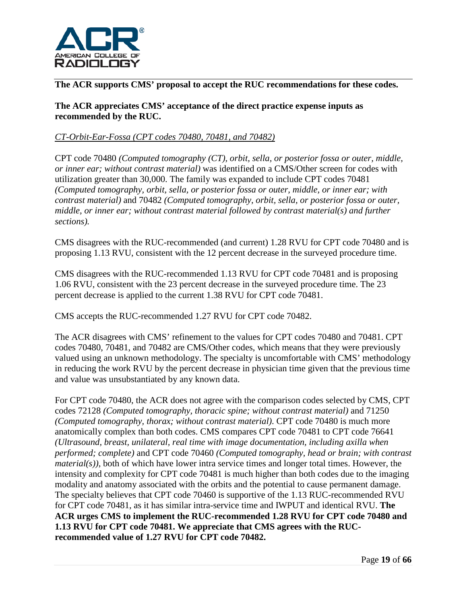

**The ACR supports CMS' proposal to accept the RUC recommendations for these codes.** 

## **The ACR appreciates CMS' acceptance of the direct practice expense inputs as recommended by the RUC.**

# *CT-Orbit-Ear-Fossa (CPT codes 70480, 70481, and 70482)*

CPT code 70480 *(Computed tomography (CT), orbit, sella, or posterior fossa or outer, middle, or inner ear; without contrast material)* was identified on a CMS/Other screen for codes with utilization greater than 30,000. The family was expanded to include CPT codes 70481 *(Computed tomography, orbit, sella, or posterior fossa or outer, middle, or inner ear; with contrast material)* and 70482 *(Computed tomography, orbit, sella, or posterior fossa or outer, middle, or inner ear; without contrast material followed by contrast material(s) and further sections).*

CMS disagrees with the RUC-recommended (and current) 1.28 RVU for CPT code 70480 and is proposing 1.13 RVU, consistent with the 12 percent decrease in the surveyed procedure time.

CMS disagrees with the RUC-recommended 1.13 RVU for CPT code 70481 and is proposing 1.06 RVU, consistent with the 23 percent decrease in the surveyed procedure time. The 23 percent decrease is applied to the current 1.38 RVU for CPT code 70481.

CMS accepts the RUC-recommended 1.27 RVU for CPT code 70482.

The ACR disagrees with CMS' refinement to the values for CPT codes 70480 and 70481. CPT codes 70480, 70481, and 70482 are CMS/Other codes, which means that they were previously valued using an unknown methodology. The specialty is uncomfortable with CMS' methodology in reducing the work RVU by the percent decrease in physician time given that the previous time and value was unsubstantiated by any known data.

For CPT code 70480, the ACR does not agree with the comparison codes selected by CMS, CPT codes 72128 *(Computed tomography, thoracic spine; without contrast material)* and 71250 *(Computed tomography, thorax; without contrast material)*. CPT code 70480 is much more anatomically complex than both codes. CMS compares CPT code 70481 to CPT code 76641 *(Ultrasound, breast, unilateral, real time with image documentation, including axilla when performed; complete)* and CPT code 70460 *(Computed tomography, head or brain; with contrast material(s))*, both of which have lower intra service times and longer total times. However, the intensity and complexity for CPT code 70481 is much higher than both codes due to the imaging modality and anatomy associated with the orbits and the potential to cause permanent damage. The specialty believes that CPT code 70460 is supportive of the 1.13 RUC-recommended RVU for CPT code 70481, as it has similar intra-service time and IWPUT and identical RVU. **The ACR urges CMS to implement the RUC-recommended 1.28 RVU for CPT code 70480 and 1.13 RVU for CPT code 70481. We appreciate that CMS agrees with the RUCrecommended value of 1.27 RVU for CPT code 70482.**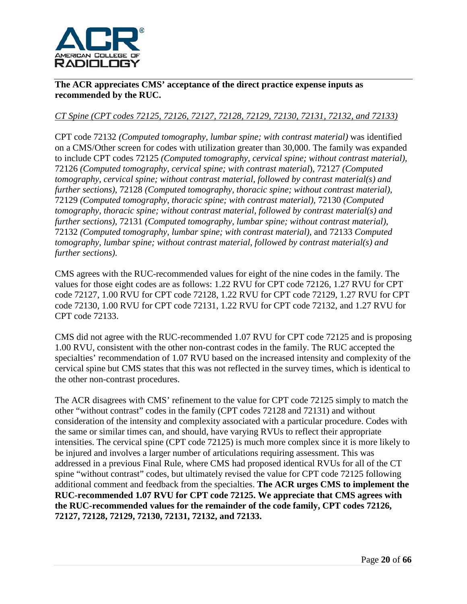

**The ACR appreciates CMS' acceptance of the direct practice expense inputs as recommended by the RUC.**

# *CT Spine (CPT codes 72125, 72126, 72127, 72128, 72129, 72130, 72131, 72132, and 72133)*

CPT code 72132 *(Computed tomography, lumbar spine; with contrast material)* was identified on a CMS/Other screen for codes with utilization greater than 30,000. The family was expanded to include CPT codes 72125 *(Computed tomography, cervical spine; without contrast material),* 72126 *(Computed tomography, cervical spine; with contrast material*), 72127 *(Computed tomography, cervical spine; without contrast material, followed by contrast material(s) and further sections)*, 72128 *(Computed tomography, thoracic spine; without contrast material),* 72129 *(Computed tomography, thoracic spine; with contrast material),* 72130 *(Computed tomography, thoracic spine; without contrast material, followed by contrast material(s) and further sections)*, 72131 *(Computed tomography, lumbar spine; without contrast material)*, 72132 *(Computed tomography, lumbar spine; with contrast material)*, and 72133 *Computed tomography, lumbar spine; without contrast material, followed by contrast material(s) and further sections)*.

CMS agrees with the RUC-recommended values for eight of the nine codes in the family. The values for those eight codes are as follows: 1.22 RVU for CPT code 72126, 1.27 RVU for CPT code 72127, 1.00 RVU for CPT code 72128, 1.22 RVU for CPT code 72129, 1.27 RVU for CPT code 72130, 1.00 RVU for CPT code 72131, 1.22 RVU for CPT code 72132, and 1.27 RVU for CPT code 72133.

CMS did not agree with the RUC-recommended 1.07 RVU for CPT code 72125 and is proposing 1.00 RVU, consistent with the other non-contrast codes in the family. The RUC accepted the specialties' recommendation of 1.07 RVU based on the increased intensity and complexity of the cervical spine but CMS states that this was not reflected in the survey times, which is identical to the other non-contrast procedures.

The ACR disagrees with CMS' refinement to the value for CPT code 72125 simply to match the other "without contrast" codes in the family (CPT codes 72128 and 72131) and without consideration of the intensity and complexity associated with a particular procedure. Codes with the same or similar times can, and should, have varying RVUs to reflect their appropriate intensities. The cervical spine (CPT code 72125) is much more complex since it is more likely to be injured and involves a larger number of articulations requiring assessment. This was addressed in a previous Final Rule, where CMS had proposed identical RVUs for all of the CT spine "without contrast" codes, but ultimately revised the value for CPT code 72125 following additional comment and feedback from the specialties. **The ACR urges CMS to implement the RUC-recommended 1.07 RVU for CPT code 72125. We appreciate that CMS agrees with the RUC-recommended values for the remainder of the code family, CPT codes 72126, 72127, 72128, 72129, 72130, 72131, 72132, and 72133.**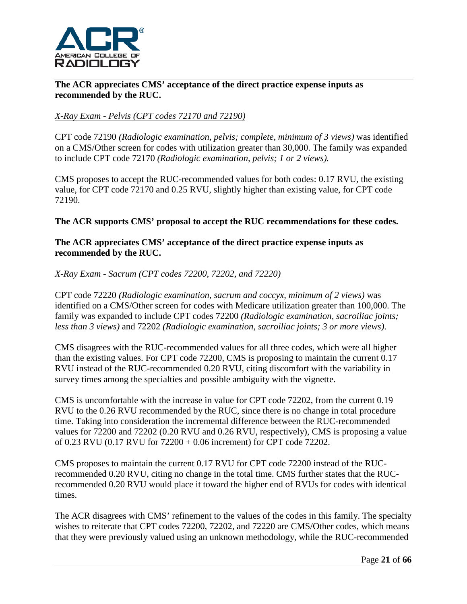

## **The ACR appreciates CMS' acceptance of the direct practice expense inputs as recommended by the RUC.**

# *X-Ray Exam - Pelvis (CPT codes 72170 and 72190)*

CPT code 72190 *(Radiologic examination, pelvis; complete, minimum of 3 views)* was identified on a CMS/Other screen for codes with utilization greater than 30,000. The family was expanded to include CPT code 72170 *(Radiologic examination, pelvis; 1 or 2 views).*

CMS proposes to accept the RUC-recommended values for both codes: 0.17 RVU, the existing value, for CPT code 72170 and 0.25 RVU, slightly higher than existing value, for CPT code 72190.

## **The ACR supports CMS' proposal to accept the RUC recommendations for these codes.**

## **The ACR appreciates CMS' acceptance of the direct practice expense inputs as recommended by the RUC.**

## *X-Ray Exam - Sacrum (CPT codes 72200, 72202, and 72220)*

CPT code 72220 *(Radiologic examination, sacrum and coccyx, minimum of 2 views)* was identified on a CMS/Other screen for codes with Medicare utilization greater than 100,000. The family was expanded to include CPT codes 72200 *(Radiologic examination, sacroiliac joints; less than 3 views)* and 72202 *(Radiologic examination, sacroiliac joints; 3 or more views)*.

CMS disagrees with the RUC-recommended values for all three codes, which were all higher than the existing values. For CPT code 72200, CMS is proposing to maintain the current 0.17 RVU instead of the RUC-recommended 0.20 RVU, citing discomfort with the variability in survey times among the specialties and possible ambiguity with the vignette.

CMS is uncomfortable with the increase in value for CPT code 72202, from the current 0.19 RVU to the 0.26 RVU recommended by the RUC, since there is no change in total procedure time. Taking into consideration the incremental difference between the RUC-recommended values for 72200 and 72202 (0.20 RVU and 0.26 RVU, respectively), CMS is proposing a value of 0.23 RVU (0.17 RVU for 72200 + 0.06 increment) for CPT code 72202.

CMS proposes to maintain the current 0.17 RVU for CPT code 72200 instead of the RUCrecommended 0.20 RVU, citing no change in the total time. CMS further states that the RUCrecommended 0.20 RVU would place it toward the higher end of RVUs for codes with identical times.

The ACR disagrees with CMS' refinement to the values of the codes in this family. The specialty wishes to reiterate that CPT codes 72200, 72202, and 72220 are CMS/Other codes, which means that they were previously valued using an unknown methodology, while the RUC-recommended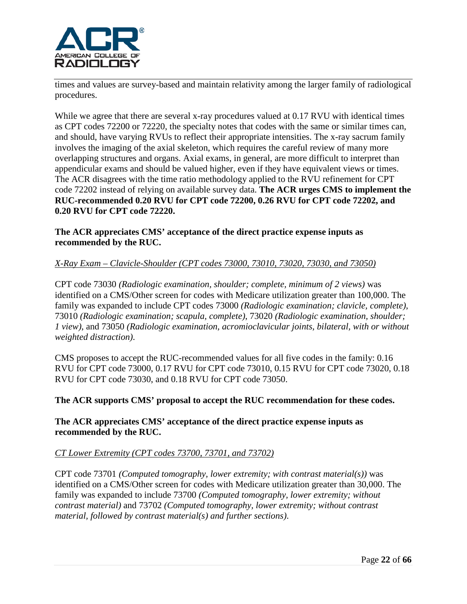

times and values are survey-based and maintain relativity among the larger family of radiological procedures.

While we agree that there are several x-ray procedures valued at 0.17 RVU with identical times as CPT codes 72200 or 72220, the specialty notes that codes with the same or similar times can, and should, have varying RVUs to reflect their appropriate intensities. The x-ray sacrum family involves the imaging of the axial skeleton, which requires the careful review of many more overlapping structures and organs. Axial exams, in general, are more difficult to interpret than appendicular exams and should be valued higher, even if they have equivalent views or times. The ACR disagrees with the time ratio methodology applied to the RVU refinement for CPT code 72202 instead of relying on available survey data. **The ACR urges CMS to implement the RUC-recommended 0.20 RVU for CPT code 72200, 0.26 RVU for CPT code 72202, and 0.20 RVU for CPT code 72220.**

## **The ACR appreciates CMS' acceptance of the direct practice expense inputs as recommended by the RUC.**

## *X-Ray Exam – Clavicle-Shoulder (CPT codes 73000, 73010, 73020, 73030, and 73050)*

CPT code 73030 *(Radiologic examination, shoulder; complete, minimum of 2 views)* was identified on a CMS/Other screen for codes with Medicare utilization greater than 100,000. The family was expanded to include CPT codes 73000 *(Radiologic examination; clavicle, complete)*, 73010 *(Radiologic examination; scapula, complete)*, 73020 *(Radiologic examination, shoulder; 1 view)*, and 73050 *(Radiologic examination, acromioclavicular joints, bilateral, with or without weighted distraction)*.

CMS proposes to accept the RUC-recommended values for all five codes in the family: 0.16 RVU for CPT code 73000, 0.17 RVU for CPT code 73010, 0.15 RVU for CPT code 73020, 0.18 RVU for CPT code 73030, and 0.18 RVU for CPT code 73050.

#### **The ACR supports CMS' proposal to accept the RUC recommendation for these codes.**

#### **The ACR appreciates CMS' acceptance of the direct practice expense inputs as recommended by the RUC.**

#### *CT Lower Extremity (CPT codes 73700, 73701, and 73702)*

CPT code 73701 *(Computed tomography, lower extremity; with contrast material(s))* was identified on a CMS/Other screen for codes with Medicare utilization greater than 30,000. The family was expanded to include 73700 *(Computed tomography, lower extremity; without contrast material)* and 73702 *(Computed tomography, lower extremity; without contrast material, followed by contrast material(s) and further sections)*.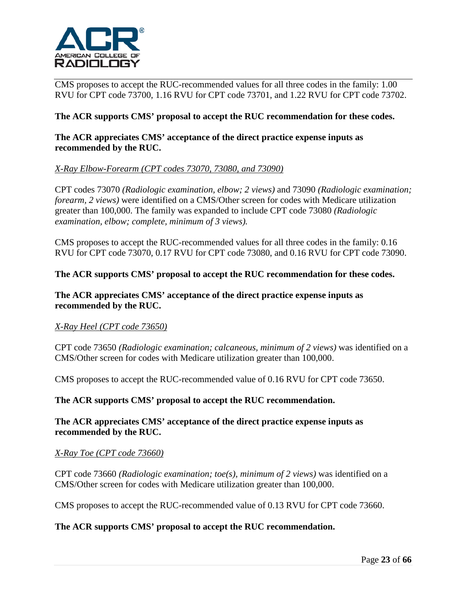

CMS proposes to accept the RUC-recommended values for all three codes in the family: 1.00 RVU for CPT code 73700, 1.16 RVU for CPT code 73701, and 1.22 RVU for CPT code 73702.

## **The ACR supports CMS' proposal to accept the RUC recommendation for these codes.**

## **The ACR appreciates CMS' acceptance of the direct practice expense inputs as recommended by the RUC.**

## *X-Ray Elbow-Forearm (CPT codes 73070, 73080, and 73090)*

CPT codes 73070 *(Radiologic examination, elbow; 2 views)* and 73090 *(Radiologic examination; forearm, 2 views)* were identified on a CMS/Other screen for codes with Medicare utilization greater than 100,000. The family was expanded to include CPT code 73080 *(Radiologic examination, elbow; complete, minimum of 3 views).*

CMS proposes to accept the RUC-recommended values for all three codes in the family: 0.16 RVU for CPT code 73070, 0.17 RVU for CPT code 73080, and 0.16 RVU for CPT code 73090.

#### **The ACR supports CMS' proposal to accept the RUC recommendation for these codes.**

#### **The ACR appreciates CMS' acceptance of the direct practice expense inputs as recommended by the RUC.**

#### *X-Ray Heel (CPT code 73650)*

CPT code 73650 *(Radiologic examination; calcaneous, minimum of 2 views)* was identified on a CMS/Other screen for codes with Medicare utilization greater than 100,000.

CMS proposes to accept the RUC-recommended value of 0.16 RVU for CPT code 73650.

#### **The ACR supports CMS' proposal to accept the RUC recommendation.**

#### **The ACR appreciates CMS' acceptance of the direct practice expense inputs as recommended by the RUC.**

#### *X-Ray Toe (CPT code 73660)*

CPT code 73660 *(Radiologic examination; toe(s), minimum of 2 views)* was identified on a CMS/Other screen for codes with Medicare utilization greater than 100,000.

CMS proposes to accept the RUC-recommended value of 0.13 RVU for CPT code 73660.

#### **The ACR supports CMS' proposal to accept the RUC recommendation.**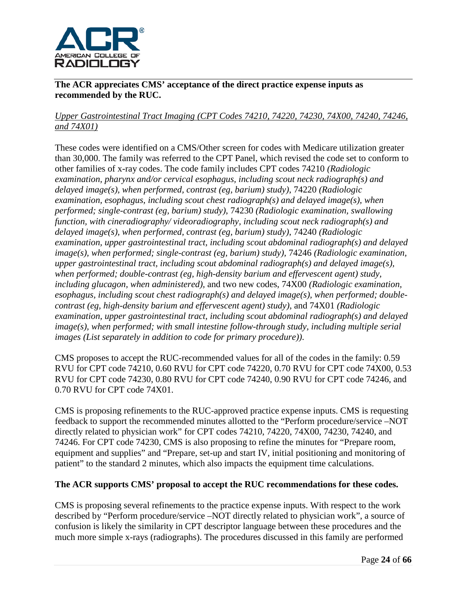

**The ACR appreciates CMS' acceptance of the direct practice expense inputs as recommended by the RUC.**

# *Upper Gastrointestinal Tract Imaging (CPT Codes 74210, 74220, 74230, 74X00, 74240, 74246, and 74X01)*

These codes were identified on a CMS/Other screen for codes with Medicare utilization greater than 30,000. The family was referred to the CPT Panel, which revised the code set to conform to other families of x-ray codes. The code family includes CPT codes 74210 *(Radiologic examination, pharynx and/or cervical esophagus, including scout neck radiograph(s) and delayed image(s), when performed, contrast (eg, barium) study)*, 74220 *(Radiologic examination, esophagus, including scout chest radiograph(s) and delayed image(s), when performed; single-contrast (eg, barium) study)*, 74230 *(Radiologic examination, swallowing function, with cineradiography/ videoradiography, including scout neck radiograph(s) and delayed image(s), when performed, contrast (eg, barium) study)*, 74240 *(Radiologic examination, upper gastrointestinal tract, including scout abdominal radiograph(s) and delayed image(s), when performed; single-contrast (eg, barium) study),* 74246 *(Radiologic examination, upper gastrointestinal tract, including scout abdominal radiograph(s) and delayed image(s), when performed; double-contrast (eg, high-density barium and effervescent agent) study, including glucagon, when administered),* and two new codes, 74X00 *(Radiologic examination, esophagus, including scout chest radiograph(s) and delayed image(s), when performed; doublecontrast (eg, high-density barium and effervescent agent) study)*, and 74X01 *(Radiologic examination, upper gastrointestinal tract, including scout abdominal radiograph(s) and delayed image(s), when performed; with small intestine follow-through study, including multiple serial images (List separately in addition to code for primary procedure))*.

CMS proposes to accept the RUC-recommended values for all of the codes in the family: 0.59 RVU for CPT code 74210, 0.60 RVU for CPT code 74220, 0.70 RVU for CPT code 74X00, 0.53 RVU for CPT code 74230, 0.80 RVU for CPT code 74240, 0.90 RVU for CPT code 74246, and 0.70 RVU for CPT code 74X01.

CMS is proposing refinements to the RUC-approved practice expense inputs. CMS is requesting feedback to support the recommended minutes allotted to the "Perform procedure/service –NOT directly related to physician work" for CPT codes 74210, 74220, 74X00, 74230, 74240, and 74246. For CPT code 74230, CMS is also proposing to refine the minutes for "Prepare room, equipment and supplies" and "Prepare, set-up and start IV, initial positioning and monitoring of patient" to the standard 2 minutes, which also impacts the equipment time calculations.

## **The ACR supports CMS' proposal to accept the RUC recommendations for these codes.**

CMS is proposing several refinements to the practice expense inputs. With respect to the work described by "Perform procedure/service –NOT directly related to physician work", a source of confusion is likely the similarity in CPT descriptor language between these procedures and the much more simple x-rays (radiographs). The procedures discussed in this family are performed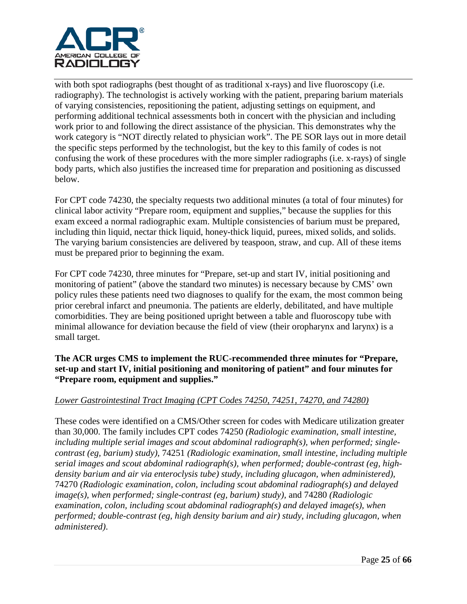

with both spot radiographs (best thought of as traditional x-rays) and live fluoroscopy (i.e. radiography). The technologist is actively working with the patient, preparing barium materials of varying consistencies, repositioning the patient, adjusting settings on equipment, and performing additional technical assessments both in concert with the physician and including work prior to and following the direct assistance of the physician. This demonstrates why the work category is "NOT directly related to physician work". The PE SOR lays out in more detail the specific steps performed by the technologist, but the key to this family of codes is not confusing the work of these procedures with the more simpler radiographs (i.e. x-rays) of single body parts, which also justifies the increased time for preparation and positioning as discussed below.

For CPT code 74230, the specialty requests two additional minutes (a total of four minutes) for clinical labor activity "Prepare room, equipment and supplies," because the supplies for this exam exceed a normal radiographic exam. Multiple consistencies of barium must be prepared, including thin liquid, nectar thick liquid, honey-thick liquid, purees, mixed solids, and solids. The varying barium consistencies are delivered by teaspoon, straw, and cup. All of these items must be prepared prior to beginning the exam.

For CPT code 74230, three minutes for "Prepare, set-up and start IV, initial positioning and monitoring of patient" (above the standard two minutes) is necessary because by CMS' own policy rules these patients need two diagnoses to qualify for the exam, the most common being prior cerebral infarct and pneumonia. The patients are elderly, debilitated, and have multiple comorbidities. They are being positioned upright between a table and fluoroscopy tube with minimal allowance for deviation because the field of view (their oropharynx and larynx) is a small target.

**The ACR urges CMS to implement the RUC-recommended three minutes for "Prepare, set-up and start IV, initial positioning and monitoring of patient" and four minutes for "Prepare room, equipment and supplies."**

## *Lower Gastrointestinal Tract Imaging (CPT Codes 74250, 74251, 74270, and 74280)*

These codes were identified on a CMS/Other screen for codes with Medicare utilization greater than 30,000. The family includes CPT codes 74250 *(Radiologic examination, small intestine, including multiple serial images and scout abdominal radiograph(s), when performed; singlecontrast (eg, barium) study),* 74251 *(Radiologic examination, small intestine, including multiple serial images and scout abdominal radiograph(s), when performed; double-contrast (eg, highdensity barium and air via enteroclysis tube) study, including glucagon, when administered),*  74270 *(Radiologic examination, colon, including scout abdominal radiograph(s) and delayed image(s), when performed; single-contrast (eg, barium) study),* and 74280 *(Radiologic examination, colon, including scout abdominal radiograph(s) and delayed image(s), when performed; double-contrast (eg, high density barium and air) study, including glucagon, when administered)*.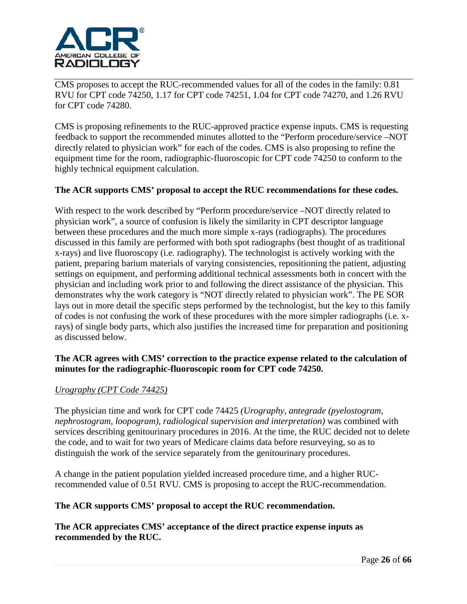

CMS proposes to accept the RUC-recommended values for all of the codes in the family: 0.81 RVU for CPT code 74250, 1.17 for CPT code 74251, 1.04 for CPT code 74270, and 1.26 RVU for CPT code 74280.

CMS is proposing refinements to the RUC-approved practice expense inputs. CMS is requesting feedback to support the recommended minutes allotted to the "Perform procedure/service –NOT directly related to physician work" for each of the codes. CMS is also proposing to refine the equipment time for the room, radiographic-fluoroscopic for CPT code 74250 to conform to the highly technical equipment calculation.

## **The ACR supports CMS' proposal to accept the RUC recommendations for these codes.**

With respect to the work described by "Perform procedure/service –NOT directly related to physician work", a source of confusion is likely the similarity in CPT descriptor language between these procedures and the much more simple x-rays (radiographs). The procedures discussed in this family are performed with both spot radiographs (best thought of as traditional x-rays) and live fluoroscopy (i.e. radiography). The technologist is actively working with the patient, preparing barium materials of varying consistencies, repositioning the patient, adjusting settings on equipment, and performing additional technical assessments both in concert with the physician and including work prior to and following the direct assistance of the physician. This demonstrates why the work category is "NOT directly related to physician work". The PE SOR lays out in more detail the specific steps performed by the technologist, but the key to this family of codes is not confusing the work of these procedures with the more simpler radiographs (i.e. xrays) of single body parts, which also justifies the increased time for preparation and positioning as discussed below.

## **The ACR agrees with CMS' correction to the practice expense related to the calculation of minutes for the radiographic-fluoroscopic room for CPT code 74250.**

#### *Urography (CPT Code 74425)*

The physician time and work for CPT code 74425 *(Urography, antegrade (pyelostogram, nephrostogram, loopogram), radiological supervision and interpretation)* was combined with services describing genitourinary procedures in 2016. At the time, the RUC decided not to delete the code, and to wait for two years of Medicare claims data before resurveying, so as to distinguish the work of the service separately from the genitourinary procedures.

A change in the patient population yielded increased procedure time, and a higher RUCrecommended value of 0.51 RVU. CMS is proposing to accept the RUC-recommendation.

## **The ACR supports CMS' proposal to accept the RUC recommendation.**

**The ACR appreciates CMS' acceptance of the direct practice expense inputs as recommended by the RUC.**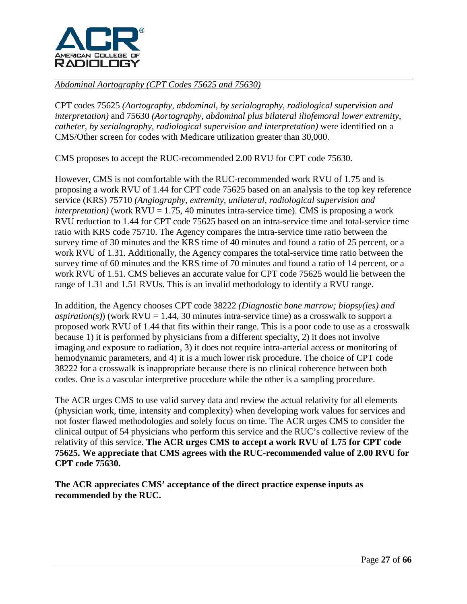

## *Abdominal Aortography (CPT Codes 75625 and 75630)*

CPT codes 75625 *(Aortography, abdominal, by serialography, radiological supervision and interpretation)* and 75630 *(Aortography, abdominal plus bilateral iliofemoral lower extremity, catheter, by serialography, radiological supervision and interpretation)* were identified on a CMS/Other screen for codes with Medicare utilization greater than 30,000.

CMS proposes to accept the RUC-recommended 2.00 RVU for CPT code 75630.

However, CMS is not comfortable with the RUC-recommended work RVU of 1.75 and is proposing a work RVU of 1.44 for CPT code 75625 based on an analysis to the top key reference service (KRS) 75710 *(Angiography, extremity, unilateral, radiological supervision and interpretation*) (work  $RVU = 1.75$ , 40 minutes intra-service time). CMS is proposing a work RVU reduction to 1.44 for CPT code 75625 based on an intra-service time and total-service time ratio with KRS code 75710. The Agency compares the intra-service time ratio between the survey time of 30 minutes and the KRS time of 40 minutes and found a ratio of 25 percent, or a work RVU of 1.31. Additionally, the Agency compares the total-service time ratio between the survey time of 60 minutes and the KRS time of 70 minutes and found a ratio of 14 percent, or a work RVU of 1.51. CMS believes an accurate value for CPT code 75625 would lie between the range of 1.31 and 1.51 RVUs. This is an invalid methodology to identify a RVU range.

In addition, the Agency chooses CPT code 38222 *(Diagnostic bone marrow; biopsy(ies) and aspiration(s)*) (work  $RVU = 1.44$ , 30 minutes intra-service time) as a crosswalk to support a proposed work RVU of 1.44 that fits within their range. This is a poor code to use as a crosswalk because 1) it is performed by physicians from a different specialty, 2) it does not involve imaging and exposure to radiation, 3) it does not require intra-arterial access or monitoring of hemodynamic parameters, and 4) it is a much lower risk procedure. The choice of CPT code 38222 for a crosswalk is inappropriate because there is no clinical coherence between both codes. One is a vascular interpretive procedure while the other is a sampling procedure.

The ACR urges CMS to use valid survey data and review the actual relativity for all elements (physician work, time, intensity and complexity) when developing work values for services and not foster flawed methodologies and solely focus on time. The ACR urges CMS to consider the clinical output of 54 physicians who perform this service and the RUC's collective review of the relativity of this service. **The ACR urges CMS to accept a work RVU of 1.75 for CPT code 75625. We appreciate that CMS agrees with the RUC-recommended value of 2.00 RVU for CPT code 75630.**

**The ACR appreciates CMS' acceptance of the direct practice expense inputs as recommended by the RUC.**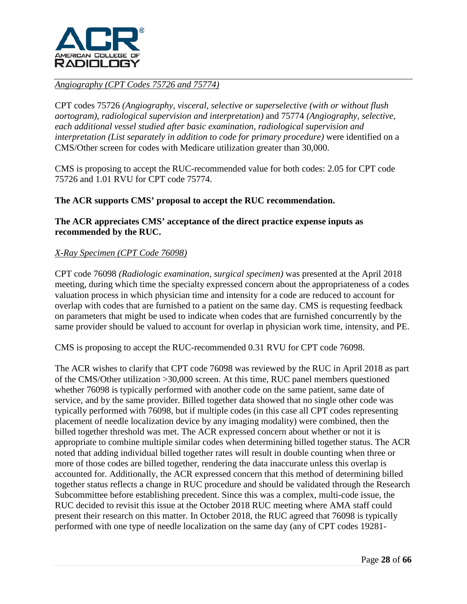

## *Angiography (CPT Codes 75726 and 75774)*

CPT codes 75726 *(Angiography, visceral, selective or superselective (with or without flush aortogram), radiological supervision and interpretation)* and 75774 *(Angiography, selective, each additional vessel studied after basic examination, radiological supervision and interpretation (List separately in addition to code for primary procedure)* were identified on a CMS/Other screen for codes with Medicare utilization greater than 30,000.

CMS is proposing to accept the RUC-recommended value for both codes: 2.05 for CPT code 75726 and 1.01 RVU for CPT code 75774.

## **The ACR supports CMS' proposal to accept the RUC recommendation.**

## **The ACR appreciates CMS' acceptance of the direct practice expense inputs as recommended by the RUC.**

## *X-Ray Specimen (CPT Code 76098)*

CPT code 76098 *(Radiologic examination, surgical specimen)* was presented at the April 2018 meeting, during which time the specialty expressed concern about the appropriateness of a codes valuation process in which physician time and intensity for a code are reduced to account for overlap with codes that are furnished to a patient on the same day. CMS is requesting feedback on parameters that might be used to indicate when codes that are furnished concurrently by the same provider should be valued to account for overlap in physician work time, intensity, and PE.

CMS is proposing to accept the RUC-recommended 0.31 RVU for CPT code 76098.

The ACR wishes to clarify that CPT code 76098 was reviewed by the RUC in April 2018 as part of the CMS/Other utilization >30,000 screen. At this time, RUC panel members questioned whether 76098 is typically performed with another code on the same patient, same date of service, and by the same provider. Billed together data showed that no single other code was typically performed with 76098, but if multiple codes (in this case all CPT codes representing placement of needle localization device by any imaging modality) were combined, then the billed together threshold was met. The ACR expressed concern about whether or not it is appropriate to combine multiple similar codes when determining billed together status. The ACR noted that adding individual billed together rates will result in double counting when three or more of those codes are billed together, rendering the data inaccurate unless this overlap is accounted for. Additionally, the ACR expressed concern that this method of determining billed together status reflects a change in RUC procedure and should be validated through the Research Subcommittee before establishing precedent. Since this was a complex, multi-code issue, the RUC decided to revisit this issue at the October 2018 RUC meeting where AMA staff could present their research on this matter. In October 2018, the RUC agreed that 76098 is typically performed with one type of needle localization on the same day (any of CPT codes 19281-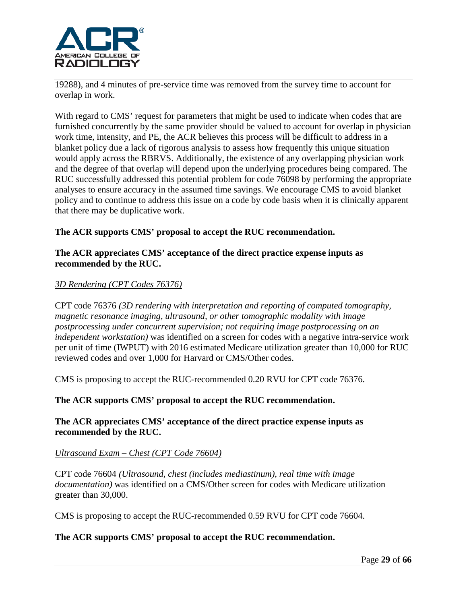

19288), and 4 minutes of pre-service time was removed from the survey time to account for overlap in work.

With regard to CMS' request for parameters that might be used to indicate when codes that are furnished concurrently by the same provider should be valued to account for overlap in physician work time, intensity, and PE, the ACR believes this process will be difficult to address in a blanket policy due a lack of rigorous analysis to assess how frequently this unique situation would apply across the RBRVS. Additionally, the existence of any overlapping physician work and the degree of that overlap will depend upon the underlying procedures being compared. The RUC successfully addressed this potential problem for code 76098 by performing the appropriate analyses to ensure accuracy in the assumed time savings. We encourage CMS to avoid blanket policy and to continue to address this issue on a code by code basis when it is clinically apparent that there may be duplicative work.

## **The ACR supports CMS' proposal to accept the RUC recommendation.**

### **The ACR appreciates CMS' acceptance of the direct practice expense inputs as recommended by the RUC.**

## *3D Rendering (CPT Codes 76376)*

CPT code 76376 *(3D rendering with interpretation and reporting of computed tomography, magnetic resonance imaging, ultrasound, or other tomographic modality with image postprocessing under concurrent supervision; not requiring image postprocessing on an independent workstation)* was identified on a screen for codes with a negative intra-service work per unit of time (IWPUT) with 2016 estimated Medicare utilization greater than 10,000 for RUC reviewed codes and over 1,000 for Harvard or CMS/Other codes.

CMS is proposing to accept the RUC-recommended 0.20 RVU for CPT code 76376.

#### **The ACR supports CMS' proposal to accept the RUC recommendation.**

#### **The ACR appreciates CMS' acceptance of the direct practice expense inputs as recommended by the RUC.**

#### *Ultrasound Exam – Chest (CPT Code 76604)*

CPT code 76604 *(Ultrasound, chest (includes mediastinum), real time with image documentation)* was identified on a CMS/Other screen for codes with Medicare utilization greater than 30,000.

CMS is proposing to accept the RUC-recommended 0.59 RVU for CPT code 76604.

### **The ACR supports CMS' proposal to accept the RUC recommendation.**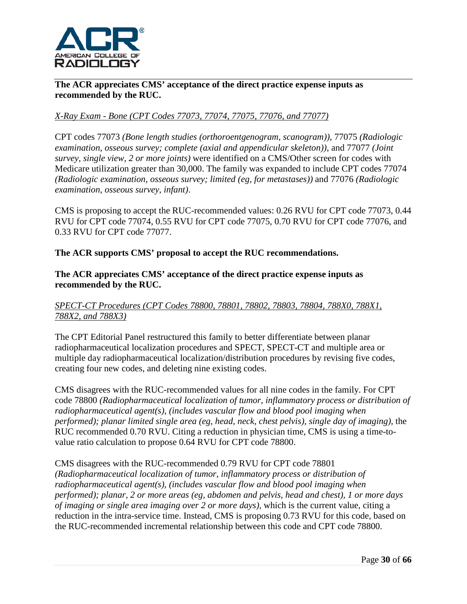

**The ACR appreciates CMS' acceptance of the direct practice expense inputs as recommended by the RUC.**

# *X-Ray Exam - Bone (CPT Codes 77073, 77074, 77075, 77076, and 77077)*

CPT codes 77073 *(Bone length studies (orthoroentgenogram, scanogram))*, 77075 *(Radiologic examination, osseous survey; complete (axial and appendicular skeleton))*, and 77077 *(Joint survey, single view, 2 or more joints)* were identified on a CMS/Other screen for codes with Medicare utilization greater than 30,000. The family was expanded to include CPT codes 77074 *(Radiologic examination, osseous survey; limited (eg, for metastases))* and 77076 *(Radiologic examination, osseous survey, infant)*.

CMS is proposing to accept the RUC-recommended values: 0.26 RVU for CPT code 77073, 0.44 RVU for CPT code 77074, 0.55 RVU for CPT code 77075, 0.70 RVU for CPT code 77076, and 0.33 RVU for CPT code 77077.

## **The ACR supports CMS' proposal to accept the RUC recommendations.**

## **The ACR appreciates CMS' acceptance of the direct practice expense inputs as recommended by the RUC.**

## *SPECT-CT Procedures (CPT Codes 78800, 78801, 78802, 78803, 78804, 788X0, 788X1, 788X2, and 788X3)*

The CPT Editorial Panel restructured this family to better differentiate between planar radiopharmaceutical localization procedures and SPECT, SPECT-CT and multiple area or multiple day radiopharmaceutical localization/distribution procedures by revising five codes, creating four new codes, and deleting nine existing codes.

CMS disagrees with the RUC-recommended values for all nine codes in the family. For CPT code 78800 *(Radiopharmaceutical localization of tumor, inflammatory process or distribution of radiopharmaceutical agent(s), (includes vascular flow and blood pool imaging when performed); planar limited single area (eg, head, neck, chest pelvis), single day of imaging), the* RUC recommended 0.70 RVU. Citing a reduction in physician time, CMS is using a time-tovalue ratio calculation to propose 0.64 RVU for CPT code 78800.

## CMS disagrees with the RUC-recommended 0.79 RVU for CPT code 78801 *(Radiopharmaceutical localization of tumor, inflammatory process or distribution of radiopharmaceutical agent(s), (includes vascular flow and blood pool imaging when performed); planar, 2 or more areas (eg, abdomen and pelvis, head and chest), 1 or more days of imaging or single area imaging over 2 or more days),* which is the current value, citing a reduction in the intra-service time. Instead, CMS is proposing 0.73 RVU for this code, based on the RUC-recommended incremental relationship between this code and CPT code 78800.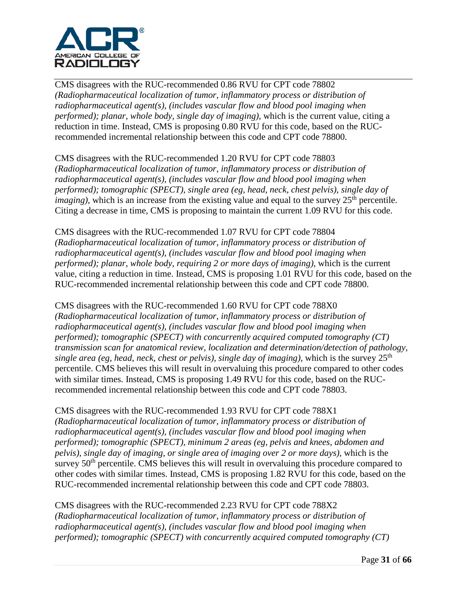

CMS disagrees with the RUC-recommended 0.86 RVU for CPT code 78802 *(Radiopharmaceutical localization of tumor, inflammatory process or distribution of radiopharmaceutical agent(s), (includes vascular flow and blood pool imaging when performed); planar, whole body, single day of imaging),* which is the current value, citing a reduction in time. Instead, CMS is proposing 0.80 RVU for this code, based on the RUCrecommended incremental relationship between this code and CPT code 78800.

CMS disagrees with the RUC-recommended 1.20 RVU for CPT code 78803 *(Radiopharmaceutical localization of tumor, inflammatory process or distribution of radiopharmaceutical agent(s), (includes vascular flow and blood pool imaging when performed); tomographic (SPECT), single area (eg, head, neck, chest pelvis), single day of imaging*), which is an increase from the existing value and equal to the survey 25<sup>th</sup> percentile. Citing a decrease in time, CMS is proposing to maintain the current 1.09 RVU for this code.

CMS disagrees with the RUC-recommended 1.07 RVU for CPT code 78804 *(Radiopharmaceutical localization of tumor, inflammatory process or distribution of radiopharmaceutical agent(s), (includes vascular flow and blood pool imaging when performed); planar, whole body, requiring 2 or more days of imaging), which is the current* value, citing a reduction in time. Instead, CMS is proposing 1.01 RVU for this code, based on the RUC-recommended incremental relationship between this code and CPT code 78800.

CMS disagrees with the RUC-recommended 1.60 RVU for CPT code 788X0

*(Radiopharmaceutical localization of tumor, inflammatory process or distribution of radiopharmaceutical agent(s), (includes vascular flow and blood pool imaging when performed); tomographic (SPECT) with concurrently acquired computed tomography (CT) transmission scan for anatomical review, localization and determination/detection of pathology, single area (eg, head, neck, chest or pelvis), single day of imaging), which is the survey*  $25<sup>th</sup>$ percentile. CMS believes this will result in overvaluing this procedure compared to other codes with similar times. Instead, CMS is proposing 1.49 RVU for this code, based on the RUCrecommended incremental relationship between this code and CPT code 78803.

CMS disagrees with the RUC-recommended 1.93 RVU for CPT code 788X1 *(Radiopharmaceutical localization of tumor, inflammatory process or distribution of radiopharmaceutical agent(s), (includes vascular flow and blood pool imaging when performed); tomographic (SPECT), minimum 2 areas (eg, pelvis and knees, abdomen and pelvis), single day of imaging, or single area of imaging over 2 or more days),* which is the survey 50<sup>th</sup> percentile. CMS believes this will result in overvaluing this procedure compared to other codes with similar times. Instead, CMS is proposing 1.82 RVU for this code, based on the RUC-recommended incremental relationship between this code and CPT code 78803.

CMS disagrees with the RUC-recommended 2.23 RVU for CPT code 788X2 *(Radiopharmaceutical localization of tumor, inflammatory process or distribution of radiopharmaceutical agent(s), (includes vascular flow and blood pool imaging when performed); tomographic (SPECT) with concurrently acquired computed tomography (CT)*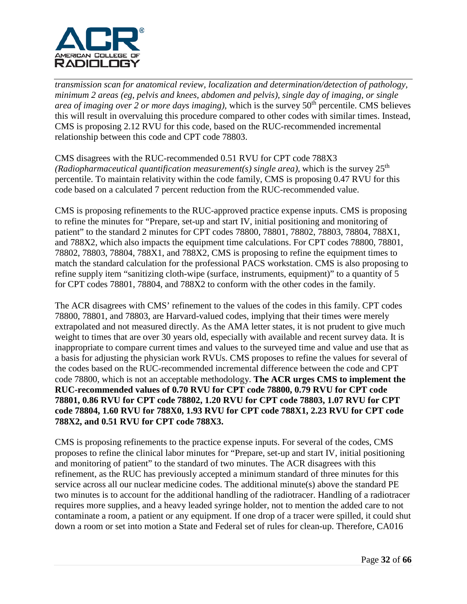

*transmission scan for anatomical review, localization and determination/detection of pathology, minimum 2 areas (eg, pelvis and knees, abdomen and pelvis), single day of imaging, or single area of imaging over 2 or more days imaging)*, which is the survey 50<sup>th</sup> percentile. CMS believes this will result in overvaluing this procedure compared to other codes with similar times. Instead, CMS is proposing 2.12 RVU for this code, based on the RUC-recommended incremental relationship between this code and CPT code 78803.

CMS disagrees with the RUC-recommended 0.51 RVU for CPT code 788X3 *(Radiopharmaceutical quantification measurement(s) single area), which is the survey*  $25<sup>th</sup>$ percentile. To maintain relativity within the code family, CMS is proposing 0.47 RVU for this code based on a calculated 7 percent reduction from the RUC-recommended value.

CMS is proposing refinements to the RUC-approved practice expense inputs. CMS is proposing to refine the minutes for "Prepare, set-up and start IV, initial positioning and monitoring of patient" to the standard 2 minutes for CPT codes 78800, 78801, 78802, 78803, 78804, 788X1, and 788X2, which also impacts the equipment time calculations. For CPT codes 78800, 78801, 78802, 78803, 78804, 788X1, and 788X2, CMS is proposing to refine the equipment times to match the standard calculation for the professional PACS workstation. CMS is also proposing to refine supply item "sanitizing cloth-wipe (surface, instruments, equipment)" to a quantity of 5 for CPT codes 78801, 78804, and 788X2 to conform with the other codes in the family.

The ACR disagrees with CMS' refinement to the values of the codes in this family. CPT codes 78800, 78801, and 78803, are Harvard-valued codes, implying that their times were merely extrapolated and not measured directly. As the AMA letter states, it is not prudent to give much weight to times that are over 30 years old, especially with available and recent survey data. It is inappropriate to compare current times and values to the surveyed time and value and use that as a basis for adjusting the physician work RVUs. CMS proposes to refine the values for several of the codes based on the RUC-recommended incremental difference between the code and CPT code 78800, which is not an acceptable methodology. **The ACR urges CMS to implement the RUC-recommended values of 0.70 RVU for CPT code 78800, 0.79 RVU for CPT code 78801, 0.86 RVU for CPT code 78802, 1.20 RVU for CPT code 78803, 1.07 RVU for CPT code 78804, 1.60 RVU for 788X0, 1.93 RVU for CPT code 788X1, 2.23 RVU for CPT code 788X2, and 0.51 RVU for CPT code 788X3.**

CMS is proposing refinements to the practice expense inputs. For several of the codes, CMS proposes to refine the clinical labor minutes for "Prepare, set-up and start IV, initial positioning and monitoring of patient" to the standard of two minutes. The ACR disagrees with this refinement, as the RUC has previously accepted a minimum standard of three minutes for this service across all our nuclear medicine codes. The additional minute(s) above the standard PE two minutes is to account for the additional handling of the radiotracer. Handling of a radiotracer requires more supplies, and a heavy leaded syringe holder, not to mention the added care to not contaminate a room, a patient or any equipment. If one drop of a tracer were spilled, it could shut down a room or set into motion a State and Federal set of rules for clean-up. Therefore, CA016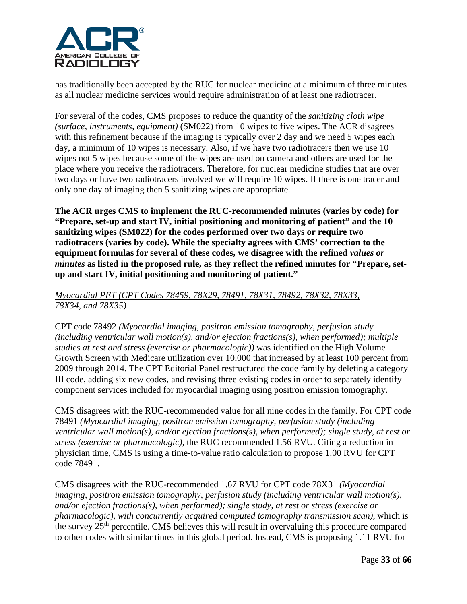

has traditionally been accepted by the RUC for nuclear medicine at a minimum of three minutes as all nuclear medicine services would require administration of at least one radiotracer.

For several of the codes, CMS proposes to reduce the quantity of the *sanitizing cloth wipe (surface, instruments, equipment)* (SM022) from 10 wipes to five wipes. The ACR disagrees with this refinement because if the imaging is typically over 2 day and we need 5 wipes each day, a minimum of 10 wipes is necessary. Also, if we have two radiotracers then we use 10 wipes not 5 wipes because some of the wipes are used on camera and others are used for the place where you receive the radiotracers. Therefore, for nuclear medicine studies that are over two days or have two radiotracers involved we will require 10 wipes. If there is one tracer and only one day of imaging then 5 sanitizing wipes are appropriate.

**The ACR urges CMS to implement the RUC-recommended minutes (varies by code) for "Prepare, set-up and start IV, initial positioning and monitoring of patient" and the 10 sanitizing wipes (SM022) for the codes performed over two days or require two radiotracers (varies by code). While the specialty agrees with CMS' correction to the equipment formulas for several of these codes, we disagree with the refined** *values or minutes* **as listed in the proposed rule, as they reflect the refined minutes for "Prepare, setup and start IV, initial positioning and monitoring of patient."**

### *Myocardial PET (CPT Codes 78459, 78X29, 78491, 78X31, 78492, 78X32, 78X33, 78X34, and 78X35)*

CPT code 78492 *(Myocardial imaging, positron emission tomography, perfusion study (including ventricular wall motion(s), and/or ejection fractions(s), when performed); multiple studies at rest and stress (exercise or pharmacologic))* was identified on the High Volume Growth Screen with Medicare utilization over 10,000 that increased by at least 100 percent from 2009 through 2014. The CPT Editorial Panel restructured the code family by deleting a category III code, adding six new codes, and revising three existing codes in order to separately identify component services included for myocardial imaging using positron emission tomography.

CMS disagrees with the RUC-recommended value for all nine codes in the family. For CPT code 78491 *(Myocardial imaging, positron emission tomography, perfusion study (including ventricular wall motion(s), and/or ejection fractions(s), when performed); single study, at rest or stress (exercise or pharmacologic),* the RUC recommended 1.56 RVU. Citing a reduction in physician time, CMS is using a time-to-value ratio calculation to propose 1.00 RVU for CPT code 78491.

CMS disagrees with the RUC-recommended 1.67 RVU for CPT code 78X31 *(Myocardial imaging, positron emission tomography, perfusion study (including ventricular wall motion(s), and/or ejection fractions(s), when performed); single study, at rest or stress (exercise or pharmacologic), with concurrently acquired computed tomography transmission scan),* which is the survey  $25<sup>th</sup>$  percentile. CMS believes this will result in overvaluing this procedure compared to other codes with similar times in this global period. Instead, CMS is proposing 1.11 RVU for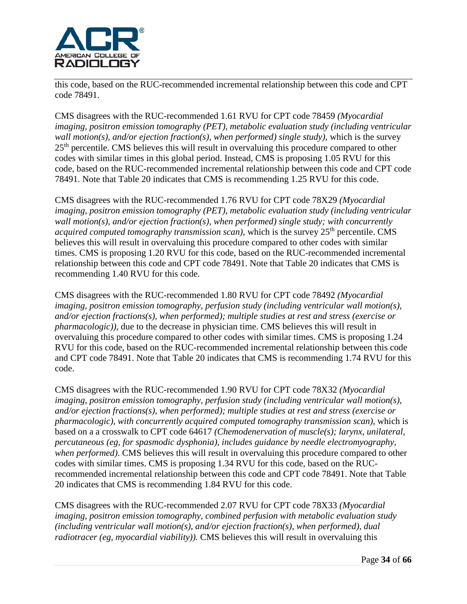

this code, based on the RUC-recommended incremental relationship between this code and CPT code 78491.

CMS disagrees with the RUC-recommended 1.61 RVU for CPT code 78459 *(Myocardial imaging, positron emission tomography (PET), metabolic evaluation study (including ventricular wall motion(s), and/or ejection fraction(s), when performed) single study), which is the survey* 25<sup>th</sup> percentile. CMS believes this will result in overvaluing this procedure compared to other codes with similar times in this global period. Instead, CMS is proposing 1.05 RVU for this code, based on the RUC-recommended incremental relationship between this code and CPT code 78491. Note that Table 20 indicates that CMS is recommending 1.25 RVU for this code.

CMS disagrees with the RUC-recommended 1.76 RVU for CPT code 78X29 *(Myocardial imaging, positron emission tomography (PET), metabolic evaluation study (including ventricular wall motion(s), and/or ejection fraction(s), when performed) single study; with concurrently acquired computed tomography transmission scan)*, which is the survey 25<sup>th</sup> percentile. CMS believes this will result in overvaluing this procedure compared to other codes with similar times. CMS is proposing 1.20 RVU for this code, based on the RUC-recommended incremental relationship between this code and CPT code 78491. Note that Table 20 indicates that CMS is recommending 1.40 RVU for this code.

CMS disagrees with the RUC-recommended 1.80 RVU for CPT code 78492 *(Myocardial imaging, positron emission tomography, perfusion study (including ventricular wall motion(s), and/or ejection fractions(s), when performed); multiple studies at rest and stress (exercise or pharmacologic)),* due to the decrease in physician time. CMS believes this will result in overvaluing this procedure compared to other codes with similar times. CMS is proposing 1.24 RVU for this code, based on the RUC-recommended incremental relationship between this code and CPT code 78491. Note that Table 20 indicates that CMS is recommending 1.74 RVU for this code.

CMS disagrees with the RUC-recommended 1.90 RVU for CPT code 78X32 *(Myocardial imaging, positron emission tomography, perfusion study (including ventricular wall motion(s), and/or ejection fractions(s), when performed); multiple studies at rest and stress (exercise or pharmacologic), with concurrently acquired computed tomography transmission scan),* which is based on a a crosswalk to CPT code 64617 *(Chemodenervation of muscle(s); larynx, unilateral, percutaneous (eg, for spasmodic dysphonia), includes guidance by needle electromyography, when performed)*. CMS believes this will result in overvaluing this procedure compared to other codes with similar times. CMS is proposing 1.34 RVU for this code, based on the RUCrecommended incremental relationship between this code and CPT code 78491. Note that Table 20 indicates that CMS is recommending 1.84 RVU for this code.

CMS disagrees with the RUC-recommended 2.07 RVU for CPT code 78X33 *(Myocardial imaging, positron emission tomography, combined perfusion with metabolic evaluation study (including ventricular wall motion(s), and/or ejection fraction(s), when performed), dual radiotracer (eg, myocardial viability)*). CMS believes this will result in overvaluing this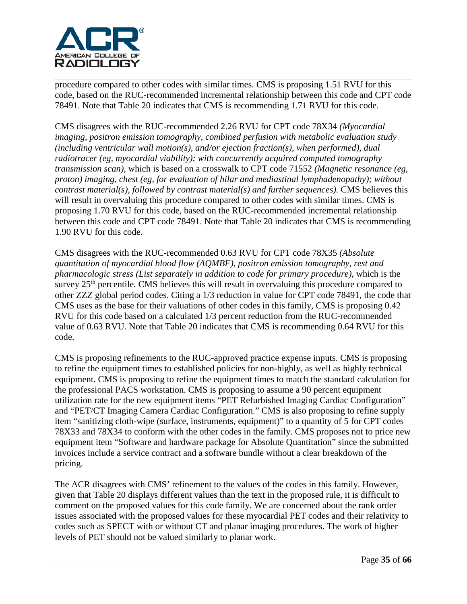

procedure compared to other codes with similar times. CMS is proposing 1.51 RVU for this code, based on the RUC-recommended incremental relationship between this code and CPT code 78491. Note that Table 20 indicates that CMS is recommending 1.71 RVU for this code.

CMS disagrees with the RUC-recommended 2.26 RVU for CPT code 78X34 *(Myocardial imaging, positron emission tomography, combined perfusion with metabolic evaluation study (including ventricular wall motion(s), and/or ejection fraction(s), when performed), dual radiotracer (eg, myocardial viability); with concurrently acquired computed tomography transmission scan)*, which is based on a crosswalk to CPT code 71552 *(Magnetic resonance (eg, proton) imaging, chest (eg, for evaluation of hilar and mediastinal lymphadenopathy); without contrast material(s), followed by contrast material(s) and further sequences).* CMS believes this will result in overvaluing this procedure compared to other codes with similar times. CMS is proposing 1.70 RVU for this code, based on the RUC-recommended incremental relationship between this code and CPT code 78491. Note that Table 20 indicates that CMS is recommending 1.90 RVU for this code.

CMS disagrees with the RUC-recommended 0.63 RVU for CPT code 78X35 *(Absolute quantitation of myocardial blood flow (AQMBF), positron emission tomography, rest and pharmacologic stress (List separately in addition to code for primary procedure)*, which is the survey 25th percentile*.* CMS believes this will result in overvaluing this procedure compared to other ZZZ global period codes. Citing a 1/3 reduction in value for CPT code 78491, the code that CMS uses as the base for their valuations of other codes in this family, CMS is proposing 0.42 RVU for this code based on a calculated 1/3 percent reduction from the RUC-recommended value of 0.63 RVU. Note that Table 20 indicates that CMS is recommending 0.64 RVU for this code.

CMS is proposing refinements to the RUC-approved practice expense inputs. CMS is proposing to refine the equipment times to established policies for non-highly, as well as highly technical equipment. CMS is proposing to refine the equipment times to match the standard calculation for the professional PACS workstation. CMS is proposing to assume a 90 percent equipment utilization rate for the new equipment items "PET Refurbished Imaging Cardiac Configuration" and "PET/CT Imaging Camera Cardiac Configuration." CMS is also proposing to refine supply item "sanitizing cloth-wipe (surface, instruments, equipment)" to a quantity of 5 for CPT codes 78X33 and 78X34 to conform with the other codes in the family. CMS proposes not to price new equipment item "Software and hardware package for Absolute Quantitation" since the submitted invoices include a service contract and a software bundle without a clear breakdown of the pricing.

The ACR disagrees with CMS' refinement to the values of the codes in this family. However, given that Table 20 displays different values than the text in the proposed rule, it is difficult to comment on the proposed values for this code family. We are concerned about the rank order issues associated with the proposed values for these myocardial PET codes and their relativity to codes such as SPECT with or without CT and planar imaging procedures. The work of higher levels of PET should not be valued similarly to planar work.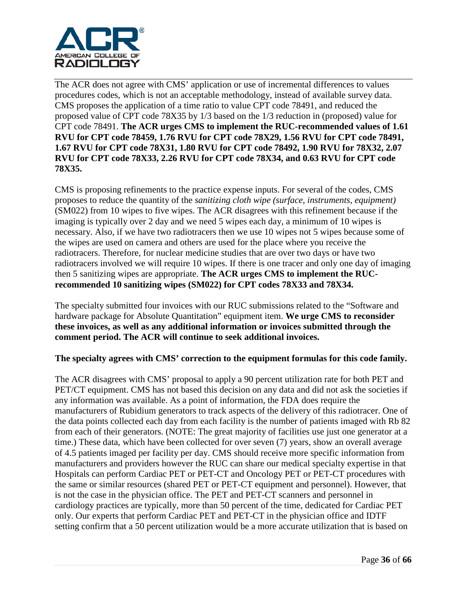

The ACR does not agree with CMS' application or use of incremental differences to values procedures codes, which is not an acceptable methodology, instead of available survey data. CMS proposes the application of a time ratio to value CPT code 78491, and reduced the proposed value of CPT code 78X35 by 1/3 based on the 1/3 reduction in (proposed) value for CPT code 78491. **The ACR urges CMS to implement the RUC-recommended values of 1.61 RVU for CPT code 78459, 1.76 RVU for CPT code 78X29, 1.56 RVU for CPT code 78491, 1.67 RVU for CPT code 78X31, 1.80 RVU for CPT code 78492, 1.90 RVU for 78X32, 2.07 RVU for CPT code 78X33, 2.26 RVU for CPT code 78X34, and 0.63 RVU for CPT code 78X35.**

CMS is proposing refinements to the practice expense inputs. For several of the codes, CMS proposes to reduce the quantity of the *sanitizing cloth wipe (surface, instruments, equipment)* (SM022) from 10 wipes to five wipes. The ACR disagrees with this refinement because if the imaging is typically over 2 day and we need 5 wipes each day, a minimum of 10 wipes is necessary. Also, if we have two radiotracers then we use 10 wipes not 5 wipes because some of the wipes are used on camera and others are used for the place where you receive the radiotracers. Therefore, for nuclear medicine studies that are over two days or have two radiotracers involved we will require 10 wipes. If there is one tracer and only one day of imaging then 5 sanitizing wipes are appropriate. **The ACR urges CMS to implement the RUCrecommended 10 sanitizing wipes (SM022) for CPT codes 78X33 and 78X34.**

The specialty submitted four invoices with our RUC submissions related to the "Software and hardware package for Absolute Quantitation" equipment item. **We urge CMS to reconsider these invoices, as well as any additional information or invoices submitted through the comment period. The ACR will continue to seek additional invoices.**

#### **The specialty agrees with CMS' correction to the equipment formulas for this code family.**

The ACR disagrees with CMS' proposal to apply a 90 percent utilization rate for both PET and PET/CT equipment. CMS has not based this decision on any data and did not ask the societies if any information was available. As a point of information, the FDA does require the manufacturers of Rubidium generators to track aspects of the delivery of this radiotracer. One of the data points collected each day from each facility is the number of patients imaged with Rb 82 from each of their generators. (NOTE: The great majority of facilities use just one generator at a time.) These data, which have been collected for over seven (7) years, show an overall average of 4.5 patients imaged per facility per day. CMS should receive more specific information from manufacturers and providers however the RUC can share our medical specialty expertise in that Hospitals can perform Cardiac PET or PET-CT and Oncology PET or PET-CT procedures with the same or similar resources (shared PET or PET-CT equipment and personnel). However, that is not the case in the physician office. The PET and PET-CT scanners and personnel in cardiology practices are typically, more than 50 percent of the time, dedicated for Cardiac PET only. Our experts that perform Cardiac PET and PET-CT in the physician office and IDTF setting confirm that a 50 percent utilization would be a more accurate utilization that is based on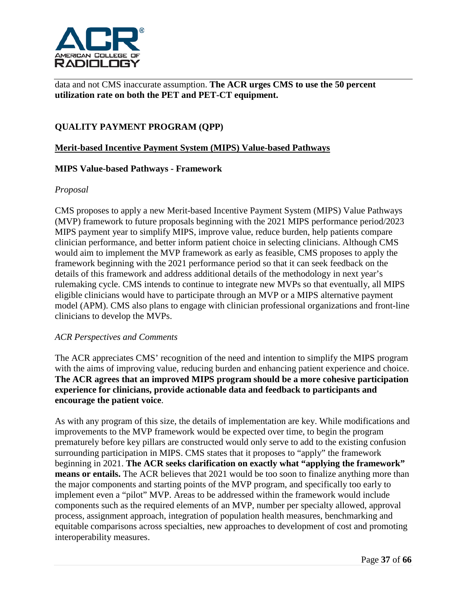

data and not CMS inaccurate assumption. **The ACR urges CMS to use the 50 percent utilization rate on both the PET and PET-CT equipment.**

# **QUALITY PAYMENT PROGRAM (QPP)**

### **Merit-based Incentive Payment System (MIPS) Value-based Pathways**

#### **MIPS Value-based Pathways - Framework**

#### *Proposal*

CMS proposes to apply a new Merit-based Incentive Payment System (MIPS) Value Pathways (MVP) framework to future proposals beginning with the 2021 MIPS performance period/2023 MIPS payment year to simplify MIPS, improve value, reduce burden, help patients compare clinician performance, and better inform patient choice in selecting clinicians. Although CMS would aim to implement the MVP framework as early as feasible, CMS proposes to apply the framework beginning with the 2021 performance period so that it can seek feedback on the details of this framework and address additional details of the methodology in next year's rulemaking cycle. CMS intends to continue to integrate new MVPs so that eventually, all MIPS eligible clinicians would have to participate through an MVP or a MIPS alternative payment model (APM). CMS also plans to engage with clinician professional organizations and front-line clinicians to develop the MVPs.

#### *ACR Perspectives and Comments*

The ACR appreciates CMS' recognition of the need and intention to simplify the MIPS program with the aims of improving value, reducing burden and enhancing patient experience and choice. **The ACR agrees that an improved MIPS program should be a more cohesive participation experience for clinicians, provide actionable data and feedback to participants and encourage the patient voice**.

As with any program of this size, the details of implementation are key. While modifications and improvements to the MVP framework would be expected over time, to begin the program prematurely before key pillars are constructed would only serve to add to the existing confusion surrounding participation in MIPS. CMS states that it proposes to "apply" the framework beginning in 2021. **The ACR seeks clarification on exactly what "applying the framework" means or entails.** The ACR believes that 2021 would be too soon to finalize anything more than the major components and starting points of the MVP program, and specifically too early to implement even a "pilot" MVP. Areas to be addressed within the framework would include components such as the required elements of an MVP, number per specialty allowed, approval process, assignment approach, integration of population health measures, benchmarking and equitable comparisons across specialties, new approaches to development of cost and promoting interoperability measures.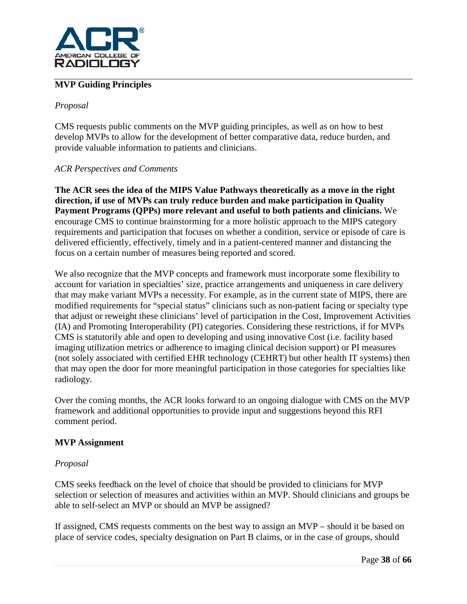

# **MVP Guiding Principles**

### *Proposal*

CMS requests public comments on the MVP guiding principles, as well as on how to best develop MVPs to allow for the development of better comparative data, reduce burden, and provide valuable information to patients and clinicians.

#### *ACR Perspectives and Comments*

**The ACR sees the idea of the MIPS Value Pathways theoretically as a move in the right direction, if use of MVPs can truly reduce burden and make participation in Quality Payment Programs (QPPs) more relevant and useful to both patients and clinicians.** We encourage CMS to continue brainstorming for a more holistic approach to the MIPS category requirements and participation that focuses on whether a condition, service or episode of care is delivered efficiently, effectively, timely and in a patient-centered manner and distancing the focus on a certain number of measures being reported and scored.

We also recognize that the MVP concepts and framework must incorporate some flexibility to account for variation in specialties' size, practice arrangements and uniqueness in care delivery that may make variant MVPs a necessity. For example, as in the current state of MIPS, there are modified requirements for "special status" clinicians such as non-patient facing or specialty type that adjust or reweight these clinicians' level of participation in the Cost, Improvement Activities (IA) and Promoting Interoperability (PI) categories. Considering these restrictions, if for MVPs CMS is statutorily able and open to developing and using innovative Cost (i.e. facility based imaging utilization metrics or adherence to imaging clinical decision support) or PI measures (not solely associated with certified EHR technology (CEHRT) but other health IT systems) then that may open the door for more meaningful participation in those categories for specialties like radiology.

Over the coming months, the ACR looks forward to an ongoing dialogue with CMS on the MVP framework and additional opportunities to provide input and suggestions beyond this RFI comment period.

## **MVP Assignment**

#### *Proposal*

CMS seeks feedback on the level of choice that should be provided to clinicians for MVP selection or selection of measures and activities within an MVP. Should clinicians and groups be able to self-select an MVP or should an MVP be assigned?

If assigned, CMS requests comments on the best way to assign an MVP – should it be based on place of service codes, specialty designation on Part B claims, or in the case of groups, should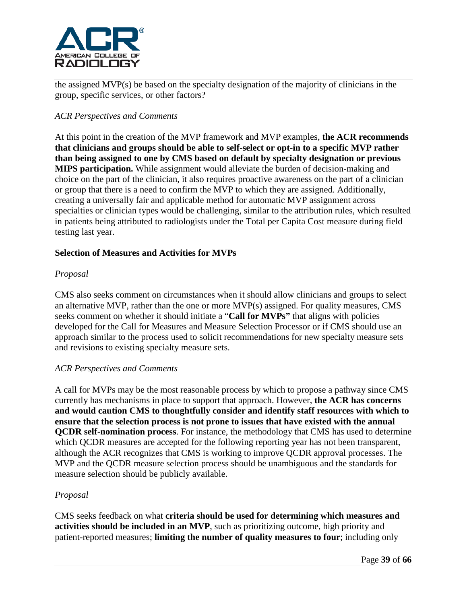

the assigned MVP(s) be based on the specialty designation of the majority of clinicians in the group, specific services, or other factors?

## *ACR Perspectives and Comments*

At this point in the creation of the MVP framework and MVP examples, **the ACR recommends that clinicians and groups should be able to self-select or opt-in to a specific MVP rather than being assigned to one by CMS based on default by specialty designation or previous MIPS participation.** While assignment would alleviate the burden of decision-making and choice on the part of the clinician, it also requires proactive awareness on the part of a clinician or group that there is a need to confirm the MVP to which they are assigned. Additionally, creating a universally fair and applicable method for automatic MVP assignment across specialties or clinician types would be challenging, similar to the attribution rules, which resulted in patients being attributed to radiologists under the Total per Capita Cost measure during field testing last year.

#### **Selection of Measures and Activities for MVPs**

## *Proposal*

CMS also seeks comment on circumstances when it should allow clinicians and groups to select an alternative MVP, rather than the one or more MVP(s) assigned. For quality measures, CMS seeks comment on whether it should initiate a "**Call for MVPs"** that aligns with policies developed for the Call for Measures and Measure Selection Processor or if CMS should use an approach similar to the process used to solicit recommendations for new specialty measure sets and revisions to existing specialty measure sets.

#### *ACR Perspectives and Comments*

A call for MVPs may be the most reasonable process by which to propose a pathway since CMS currently has mechanisms in place to support that approach. However, **the ACR has concerns and would caution CMS to thoughtfully consider and identify staff resources with which to ensure that the selection process is not prone to issues that have existed with the annual QCDR self-nomination process**. For instance, the methodology that CMS has used to determine which QCDR measures are accepted for the following reporting year has not been transparent, although the ACR recognizes that CMS is working to improve QCDR approval processes. The MVP and the QCDR measure selection process should be unambiguous and the standards for measure selection should be publicly available.

#### *Proposal*

CMS seeks feedback on what **criteria should be used for determining which measures and activities should be included in an MVP**, such as prioritizing outcome, high priority and patient-reported measures; **limiting the number of quality measures to four**; including only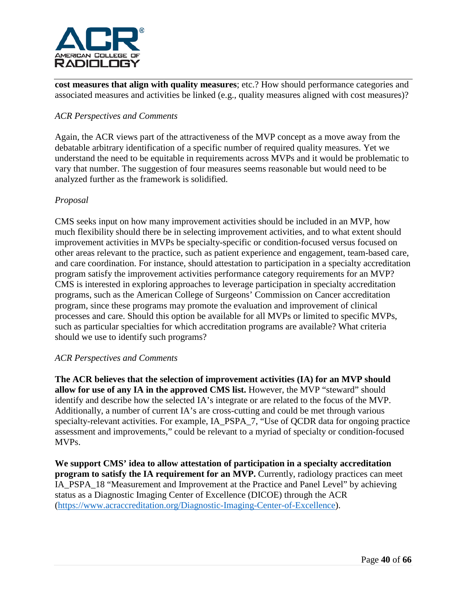

**cost measures that align with quality measures**; etc.? How should performance categories and associated measures and activities be linked (e.g., quality measures aligned with cost measures)?

## *ACR Perspectives and Comments*

Again, the ACR views part of the attractiveness of the MVP concept as a move away from the debatable arbitrary identification of a specific number of required quality measures. Yet we understand the need to be equitable in requirements across MVPs and it would be problematic to vary that number. The suggestion of four measures seems reasonable but would need to be analyzed further as the framework is solidified.

#### *Proposal*

CMS seeks input on how many improvement activities should be included in an MVP, how much flexibility should there be in selecting improvement activities, and to what extent should improvement activities in MVPs be specialty-specific or condition-focused versus focused on other areas relevant to the practice, such as patient experience and engagement, team-based care, and care coordination. For instance, should attestation to participation in a specialty accreditation program satisfy the improvement activities performance category requirements for an MVP? CMS is interested in exploring approaches to leverage participation in specialty accreditation programs, such as the American College of Surgeons' Commission on Cancer accreditation program, since these programs may promote the evaluation and improvement of clinical processes and care. Should this option be available for all MVPs or limited to specific MVPs, such as particular specialties for which accreditation programs are available? What criteria should we use to identify such programs?

#### *ACR Perspectives and Comments*

**The ACR believes that the selection of improvement activities (IA) for an MVP should allow for use of any IA in the approved CMS list.** However, the MVP "steward" should identify and describe how the selected IA's integrate or are related to the focus of the MVP. Additionally, a number of current IA's are cross-cutting and could be met through various specialty-relevant activities. For example, IA\_PSPA\_7, "Use of QCDR data for ongoing practice assessment and improvements," could be relevant to a myriad of specialty or condition-focused MVPs.

**We support CMS' idea to allow attestation of participation in a specialty accreditation program to satisfy the IA requirement for an MVP.** Currently, radiology practices can meet IA\_PSPA\_18 "Measurement and Improvement at the Practice and Panel Level" by achieving status as a Diagnostic Imaging Center of Excellence (DICOE) through the ACR [\(https://www.acraccreditation.org/Diagnostic-Imaging-Center-of-Excellence\)](https://www.acraccreditation.org/Diagnostic-Imaging-Center-of-Excellence).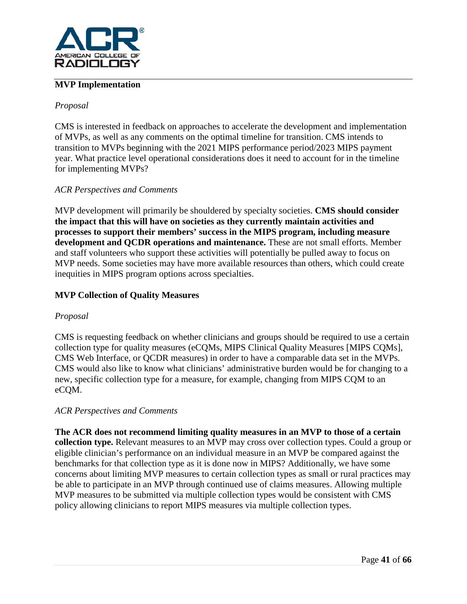

## **MVP Implementation**

## *Proposal*

CMS is interested in feedback on approaches to accelerate the development and implementation of MVPs, as well as any comments on the optimal timeline for transition. CMS intends to transition to MVPs beginning with the 2021 MIPS performance period/2023 MIPS payment year. What practice level operational considerations does it need to account for in the timeline for implementing MVPs?

## *ACR Perspectives and Comments*

MVP development will primarily be shouldered by specialty societies. **CMS should consider the impact that this will have on societies as they currently maintain activities and processes to support their members' success in the MIPS program, including measure development and QCDR operations and maintenance.** These are not small efforts. Member and staff volunteers who support these activities will potentially be pulled away to focus on MVP needs. Some societies may have more available resources than others, which could create inequities in MIPS program options across specialties.

## **MVP Collection of Quality Measures**

#### *Proposal*

CMS is requesting feedback on whether clinicians and groups should be required to use a certain collection type for quality measures (eCQMs, MIPS Clinical Quality Measures [MIPS CQMs], CMS Web Interface, or QCDR measures) in order to have a comparable data set in the MVPs. CMS would also like to know what clinicians' administrative burden would be for changing to a new, specific collection type for a measure, for example, changing from MIPS CQM to an eCQM.

## *ACR Perspectives and Comments*

**The ACR does not recommend limiting quality measures in an MVP to those of a certain collection type.** Relevant measures to an MVP may cross over collection types. Could a group or eligible clinician's performance on an individual measure in an MVP be compared against the benchmarks for that collection type as it is done now in MIPS? Additionally, we have some concerns about limiting MVP measures to certain collection types as small or rural practices may be able to participate in an MVP through continued use of claims measures. Allowing multiple MVP measures to be submitted via multiple collection types would be consistent with CMS policy allowing clinicians to report MIPS measures via multiple collection types.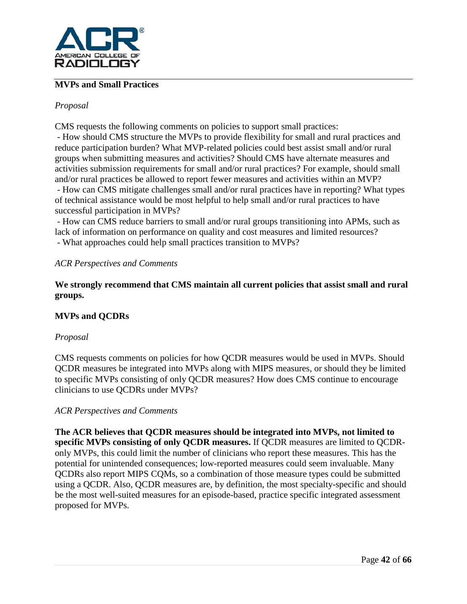

## **MVPs and Small Practices**

### *Proposal*

CMS requests the following comments on policies to support small practices:

- How should CMS structure the MVPs to provide flexibility for small and rural practices and reduce participation burden? What MVP-related policies could best assist small and/or rural groups when submitting measures and activities? Should CMS have alternate measures and activities submission requirements for small and/or rural practices? For example, should small and/or rural practices be allowed to report fewer measures and activities within an MVP? - How can CMS mitigate challenges small and/or rural practices have in reporting? What types of technical assistance would be most helpful to help small and/or rural practices to have

successful participation in MVPs?

- How can CMS reduce barriers to small and/or rural groups transitioning into APMs, such as lack of information on performance on quality and cost measures and limited resources? - What approaches could help small practices transition to MVPs?

#### *ACR Perspectives and Comments*

**We strongly recommend that CMS maintain all current policies that assist small and rural groups.**

## **MVPs and QCDRs**

#### *Proposal*

CMS requests comments on policies for how QCDR measures would be used in MVPs. Should QCDR measures be integrated into MVPs along with MIPS measures, or should they be limited to specific MVPs consisting of only QCDR measures? How does CMS continue to encourage clinicians to use QCDRs under MVPs?

#### *ACR Perspectives and Comments*

**The ACR believes that QCDR measures should be integrated into MVPs, not limited to specific MVPs consisting of only QCDR measures.** If QCDR measures are limited to QCDRonly MVPs, this could limit the number of clinicians who report these measures. This has the potential for unintended consequences; low-reported measures could seem invaluable. Many QCDRs also report MIPS CQMs, so a combination of those measure types could be submitted using a QCDR. Also, QCDR measures are, by definition, the most specialty-specific and should be the most well-suited measures for an episode-based, practice specific integrated assessment proposed for MVPs.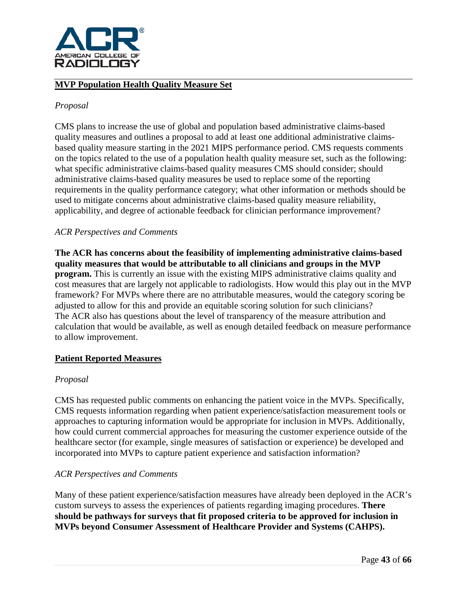

## **MVP Population Health Quality Measure Set**

#### *Proposal*

CMS plans to increase the use of global and population based administrative claims-based quality measures and outlines a proposal to add at least one additional administrative claimsbased quality measure starting in the 2021 MIPS performance period. CMS requests comments on the topics related to the use of a population health quality measure set, such as the following: what specific administrative claims-based quality measures CMS should consider; should administrative claims-based quality measures be used to replace some of the reporting requirements in the quality performance category; what other information or methods should be used to mitigate concerns about administrative claims-based quality measure reliability, applicability, and degree of actionable feedback for clinician performance improvement?

## *ACR Perspectives and Comments*

**The ACR has concerns about the feasibility of implementing administrative claims-based quality measures that would be attributable to all clinicians and groups in the MVP program.** This is currently an issue with the existing MIPS administrative claims quality and cost measures that are largely not applicable to radiologists. How would this play out in the MVP framework? For MVPs where there are no attributable measures, would the category scoring be adjusted to allow for this and provide an equitable scoring solution for such clinicians? The ACR also has questions about the level of transparency of the measure attribution and calculation that would be available, as well as enough detailed feedback on measure performance to allow improvement.

#### **Patient Reported Measures**

#### *Proposal*

CMS has requested public comments on enhancing the patient voice in the MVPs. Specifically, CMS requests information regarding when patient experience/satisfaction measurement tools or approaches to capturing information would be appropriate for inclusion in MVPs. Additionally, how could current commercial approaches for measuring the customer experience outside of the healthcare sector (for example, single measures of satisfaction or experience) be developed and incorporated into MVPs to capture patient experience and satisfaction information?

## *ACR Perspectives and Comments*

Many of these patient experience/satisfaction measures have already been deployed in the ACR's custom surveys to assess the experiences of patients regarding imaging procedures. **There should be pathways for surveys that fit proposed criteria to be approved for inclusion in MVPs beyond Consumer Assessment of Healthcare Provider and Systems (CAHPS).**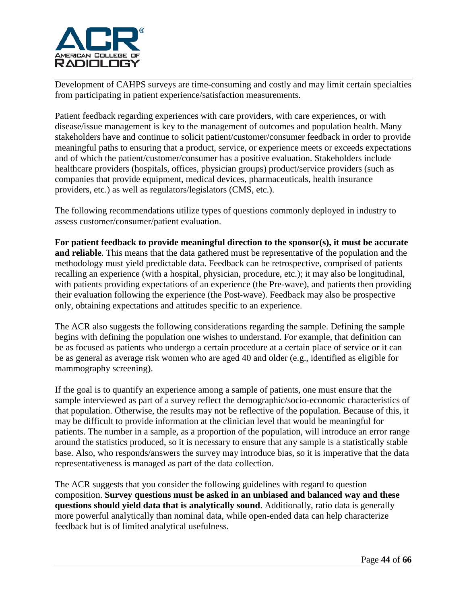

Development of CAHPS surveys are time-consuming and costly and may limit certain specialties from participating in patient experience/satisfaction measurements.

Patient feedback regarding experiences with care providers, with care experiences, or with disease/issue management is key to the management of outcomes and population health. Many stakeholders have and continue to solicit patient/customer/consumer feedback in order to provide meaningful paths to ensuring that a product, service, or experience meets or exceeds expectations and of which the patient/customer/consumer has a positive evaluation. Stakeholders include healthcare providers (hospitals, offices, physician groups) product/service providers (such as companies that provide equipment, medical devices, pharmaceuticals, health insurance providers, etc.) as well as regulators/legislators (CMS, etc.).

The following recommendations utilize types of questions commonly deployed in industry to assess customer/consumer/patient evaluation.

**For patient feedback to provide meaningful direction to the sponsor(s), it must be accurate and reliable**. This means that the data gathered must be representative of the population and the methodology must yield predictable data. Feedback can be retrospective, comprised of patients recalling an experience (with a hospital, physician, procedure, etc.); it may also be longitudinal, with patients providing expectations of an experience (the Pre-wave), and patients then providing their evaluation following the experience (the Post-wave). Feedback may also be prospective only, obtaining expectations and attitudes specific to an experience.

The ACR also suggests the following considerations regarding the sample. Defining the sample begins with defining the population one wishes to understand. For example, that definition can be as focused as patients who undergo a certain procedure at a certain place of service or it can be as general as average risk women who are aged 40 and older (e.g., identified as eligible for mammography screening).

If the goal is to quantify an experience among a sample of patients, one must ensure that the sample interviewed as part of a survey reflect the demographic/socio-economic characteristics of that population. Otherwise, the results may not be reflective of the population. Because of this, it may be difficult to provide information at the clinician level that would be meaningful for patients. The number in a sample, as a proportion of the population, will introduce an error range around the statistics produced, so it is necessary to ensure that any sample is a statistically stable base. Also, who responds/answers the survey may introduce bias, so it is imperative that the data representativeness is managed as part of the data collection.

The ACR suggests that you consider the following guidelines with regard to question composition. **Survey questions must be asked in an unbiased and balanced way and these questions should yield data that is analytically sound**. Additionally, ratio data is generally more powerful analytically than nominal data, while open-ended data can help characterize feedback but is of limited analytical usefulness.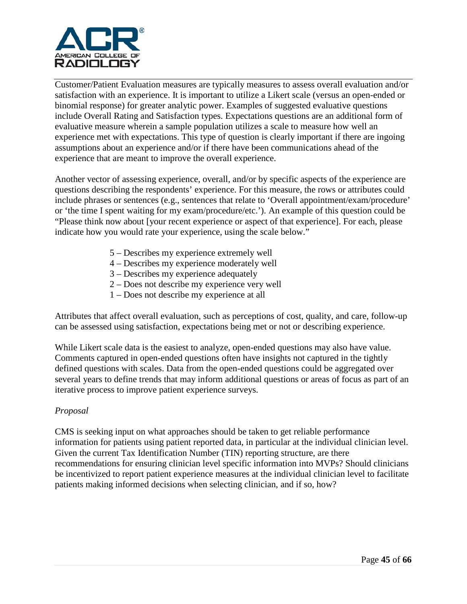

Customer/Patient Evaluation measures are typically measures to assess overall evaluation and/or satisfaction with an experience. It is important to utilize a Likert scale (versus an open-ended or binomial response) for greater analytic power. Examples of suggested evaluative questions include Overall Rating and Satisfaction types. Expectations questions are an additional form of evaluative measure wherein a sample population utilizes a scale to measure how well an experience met with expectations. This type of question is clearly important if there are ingoing assumptions about an experience and/or if there have been communications ahead of the experience that are meant to improve the overall experience.

Another vector of assessing experience, overall, and/or by specific aspects of the experience are questions describing the respondents' experience. For this measure, the rows or attributes could include phrases or sentences (e.g., sentences that relate to 'Overall appointment/exam/procedure' or 'the time I spent waiting for my exam/procedure/etc.'). An example of this question could be "Please think now about [your recent experience or aspect of that experience]. For each, please indicate how you would rate your experience, using the scale below."

- 5 Describes my experience extremely well
- 4 Describes my experience moderately well
- 3 Describes my experience adequately
- 2 Does not describe my experience very well
- 1 Does not describe my experience at all

Attributes that affect overall evaluation, such as perceptions of cost, quality, and care, follow-up can be assessed using satisfaction, expectations being met or not or describing experience.

While Likert scale data is the easiest to analyze, open-ended questions may also have value. Comments captured in open-ended questions often have insights not captured in the tightly defined questions with scales. Data from the open-ended questions could be aggregated over several years to define trends that may inform additional questions or areas of focus as part of an iterative process to improve patient experience surveys.

#### *Proposal*

CMS is seeking input on what approaches should be taken to get reliable performance information for patients using patient reported data, in particular at the individual clinician level. Given the current Tax Identification Number (TIN) reporting structure, are there recommendations for ensuring clinician level specific information into MVPs? Should clinicians be incentivized to report patient experience measures at the individual clinician level to facilitate patients making informed decisions when selecting clinician, and if so, how?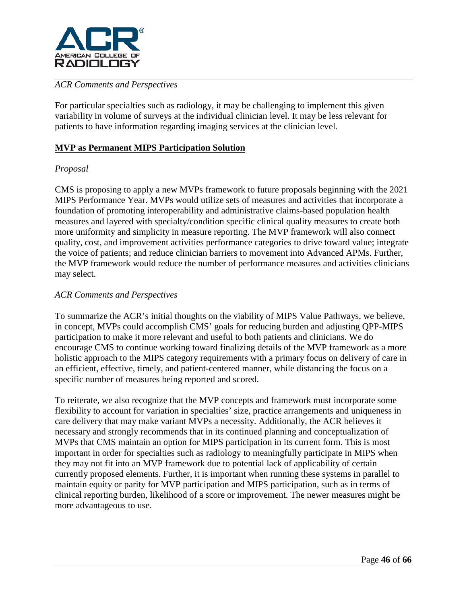

## *ACR Comments and Perspectives*

For particular specialties such as radiology, it may be challenging to implement this given variability in volume of surveys at the individual clinician level. It may be less relevant for patients to have information regarding imaging services at the clinician level.

## **MVP as Permanent MIPS Participation Solution**

## *Proposal*

CMS is proposing to apply a new MVPs framework to future proposals beginning with the 2021 MIPS Performance Year. MVPs would utilize sets of measures and activities that incorporate a foundation of promoting interoperability and administrative claims-based population health measures and layered with specialty/condition specific clinical quality measures to create both more uniformity and simplicity in measure reporting. The MVP framework will also connect quality, cost, and improvement activities performance categories to drive toward value; integrate the voice of patients; and reduce clinician barriers to movement into Advanced APMs. Further, the MVP framework would reduce the number of performance measures and activities clinicians may select.

#### *ACR Comments and Perspectives*

To summarize the ACR's initial thoughts on the viability of MIPS Value Pathways, we believe, in concept, MVPs could accomplish CMS' goals for reducing burden and adjusting QPP-MIPS participation to make it more relevant and useful to both patients and clinicians. We do encourage CMS to continue working toward finalizing details of the MVP framework as a more holistic approach to the MIPS category requirements with a primary focus on delivery of care in an efficient, effective, timely, and patient-centered manner, while distancing the focus on a specific number of measures being reported and scored.

To reiterate, we also recognize that the MVP concepts and framework must incorporate some flexibility to account for variation in specialties' size, practice arrangements and uniqueness in care delivery that may make variant MVPs a necessity. Additionally, the ACR believes it necessary and strongly recommends that in its continued planning and conceptualization of MVPs that CMS maintain an option for MIPS participation in its current form. This is most important in order for specialties such as radiology to meaningfully participate in MIPS when they may not fit into an MVP framework due to potential lack of applicability of certain currently proposed elements. Further, it is important when running these systems in parallel to maintain equity or parity for MVP participation and MIPS participation, such as in terms of clinical reporting burden, likelihood of a score or improvement. The newer measures might be more advantageous to use.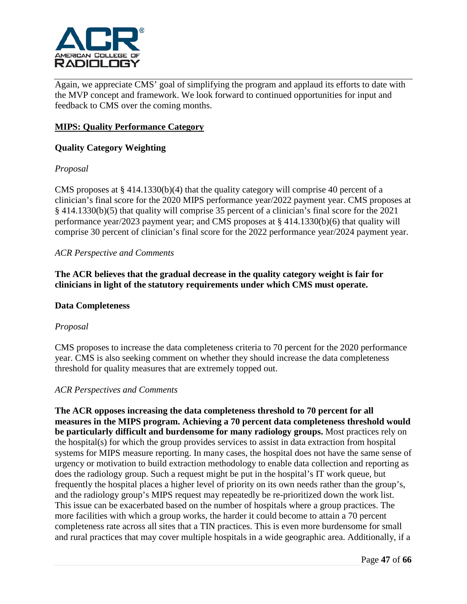

Again, we appreciate CMS' goal of simplifying the program and applaud its efforts to date with the MVP concept and framework. We look forward to continued opportunities for input and feedback to CMS over the coming months.

## **MIPS: Quality Performance Category**

## **Quality Category Weighting**

## *Proposal*

CMS proposes at  $\S 414.1330(b)(4)$  that the quality category will comprise 40 percent of a clinician's final score for the 2020 MIPS performance year/2022 payment year. CMS proposes at § 414.1330(b)(5) that quality will comprise 35 percent of a clinician's final score for the 2021 performance year/2023 payment year; and CMS proposes at § 414.1330(b)(6) that quality will comprise 30 percent of clinician's final score for the 2022 performance year/2024 payment year.

#### *ACR Perspective and Comments*

**The ACR believes that the gradual decrease in the quality category weight is fair for clinicians in light of the statutory requirements under which CMS must operate.**

#### **Data Completeness**

#### *Proposal*

CMS proposes to increase the data completeness criteria to 70 percent for the 2020 performance year. CMS is also seeking comment on whether they should increase the data completeness threshold for quality measures that are extremely topped out.

#### *ACR Perspectives and Comments*

**The ACR opposes increasing the data completeness threshold to 70 percent for all measures in the MIPS program. Achieving a 70 percent data completeness threshold would be particularly difficult and burdensome for many radiology groups.** Most practices rely on the hospital(s) for which the group provides services to assist in data extraction from hospital systems for MIPS measure reporting. In many cases, the hospital does not have the same sense of urgency or motivation to build extraction methodology to enable data collection and reporting as does the radiology group. Such a request might be put in the hospital's IT work queue, but frequently the hospital places a higher level of priority on its own needs rather than the group's, and the radiology group's MIPS request may repeatedly be re-prioritized down the work list. This issue can be exacerbated based on the number of hospitals where a group practices. The more facilities with which a group works, the harder it could become to attain a 70 percent completeness rate across all sites that a TIN practices. This is even more burdensome for small and rural practices that may cover multiple hospitals in a wide geographic area. Additionally, if a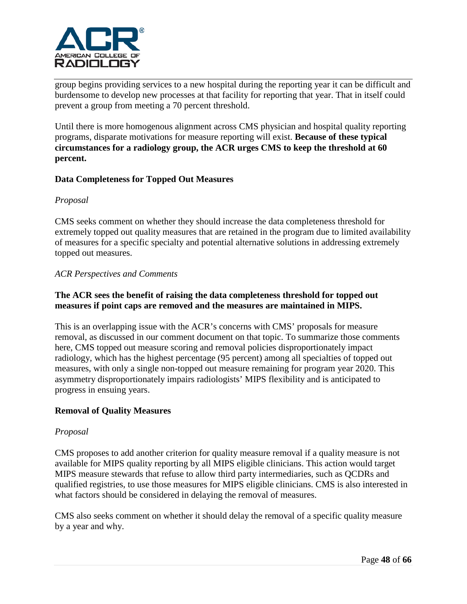

group begins providing services to a new hospital during the reporting year it can be difficult and burdensome to develop new processes at that facility for reporting that year. That in itself could prevent a group from meeting a 70 percent threshold.

Until there is more homogenous alignment across CMS physician and hospital quality reporting programs, disparate motivations for measure reporting will exist. **Because of these typical circumstances for a radiology group, the ACR urges CMS to keep the threshold at 60 percent.**

## **Data Completeness for Topped Out Measures**

#### *Proposal*

CMS seeks comment on whether they should increase the data completeness threshold for extremely topped out quality measures that are retained in the program due to limited availability of measures for a specific specialty and potential alternative solutions in addressing extremely topped out measures.

#### *ACR Perspectives and Comments*

## **The ACR sees the benefit of raising the data completeness threshold for topped out measures if point caps are removed and the measures are maintained in MIPS.**

This is an overlapping issue with the ACR's concerns with CMS' proposals for measure removal, as discussed in our comment document on that topic. To summarize those comments here, CMS topped out measure scoring and removal policies disproportionately impact radiology, which has the highest percentage (95 percent) among all specialties of topped out measures, with only a single non-topped out measure remaining for program year 2020. This asymmetry disproportionately impairs radiologists' MIPS flexibility and is anticipated to progress in ensuing years.

#### **Removal of Quality Measures**

#### *Proposal*

CMS proposes to add another criterion for quality measure removal if a quality measure is not available for MIPS quality reporting by all MIPS eligible clinicians. This action would target MIPS measure stewards that refuse to allow third party intermediaries, such as QCDRs and qualified registries, to use those measures for MIPS eligible clinicians. CMS is also interested in what factors should be considered in delaying the removal of measures.

CMS also seeks comment on whether it should delay the removal of a specific quality measure by a year and why.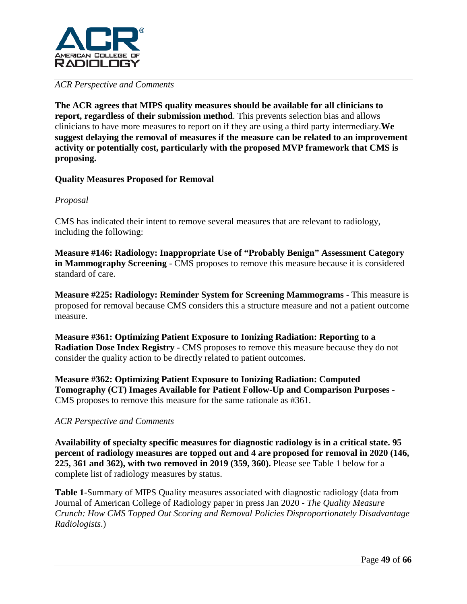

#### *ACR Perspective and Comments*

**The ACR agrees that MIPS quality measures should be available for all clinicians to report, regardless of their submission method**. This prevents selection bias and allows clinicians to have more measures to report on if they are using a third party intermediary.**We suggest delaying the removal of measures if the measure can be related to an improvement activity or potentially cost, particularly with the proposed MVP framework that CMS is proposing.** 

## **Quality Measures Proposed for Removal**

## *Proposal*

CMS has indicated their intent to remove several measures that are relevant to radiology, including the following:

**Measure #146: Radiology: Inappropriate Use of "Probably Benign" Assessment Category in Mammography Screening** - CMS proposes to remove this measure because it is considered standard of care.

**Measure #225: Radiology: Reminder System for Screening Mammograms** - This measure is proposed for removal because CMS considers this a structure measure and not a patient outcome measure.

**Measure #361: Optimizing Patient Exposure to Ionizing Radiation: Reporting to a Radiation Dose Index Registry** - CMS proposes to remove this measure because they do not consider the quality action to be directly related to patient outcomes.

**Measure #362: Optimizing Patient Exposure to Ionizing Radiation: Computed Tomography (CT) Images Available for Patient Follow-Up and Comparison Purposes** - CMS proposes to remove this measure for the same rationale as #361.

#### *ACR Perspective and Comments*

**Availability of specialty specific measures for diagnostic radiology is in a critical state. 95 percent of radiology measures are topped out and 4 are proposed for removal in 2020 (146, 225, 361 and 362), with two removed in 2019 (359, 360).** Please see Table 1 below for a complete list of radiology measures by status.

**Table 1**-Summary of MIPS Quality measures associated with diagnostic radiology (data from Journal of American College of Radiology paper in press Jan 2020 - *The Quality Measure Crunch: How CMS Topped Out Scoring and Removal Policies Disproportionately Disadvantage Radiologists*.)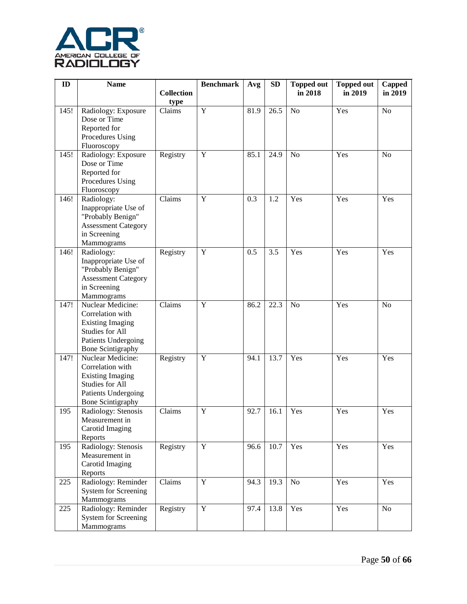

| ID   | <b>Name</b>                                   |                   | <b>Benchmark</b> | Avg  | <b>SD</b>         | <b>Topped out</b> | <b>Topped out</b> | Capped         |
|------|-----------------------------------------------|-------------------|------------------|------|-------------------|-------------------|-------------------|----------------|
|      |                                               | <b>Collection</b> |                  |      |                   | in 2018           | in 2019           | in 2019        |
|      |                                               | type              |                  |      |                   |                   |                   |                |
| 145! | Radiology: Exposure                           | Claims            | Y                | 81.9 | 26.5              | No                | Yes               | N <sub>o</sub> |
|      | Dose or Time                                  |                   |                  |      |                   |                   |                   |                |
|      | Reported for                                  |                   |                  |      |                   |                   |                   |                |
|      | Procedures Using                              |                   |                  |      |                   |                   |                   |                |
|      | Fluoroscopy<br>Radiology: Exposure            | Registry          | $\mathbf Y$      | 85.1 | 24.9              | <b>No</b>         | Yes               | N <sub>o</sub> |
| 145! | Dose or Time                                  |                   |                  |      |                   |                   |                   |                |
|      | Reported for                                  |                   |                  |      |                   |                   |                   |                |
|      | Procedures Using                              |                   |                  |      |                   |                   |                   |                |
|      | Fluoroscopy                                   |                   |                  |      |                   |                   |                   |                |
| 146! | Radiology:                                    | Claims            | Y                | 0.3  | 1.2               | Yes               | Yes               | Yes            |
|      | Inappropriate Use of                          |                   |                  |      |                   |                   |                   |                |
|      | "Probably Benign"                             |                   |                  |      |                   |                   |                   |                |
|      | <b>Assessment Category</b>                    |                   |                  |      |                   |                   |                   |                |
|      | in Screening                                  |                   |                  |      |                   |                   |                   |                |
|      | Mammograms                                    |                   |                  |      |                   |                   |                   |                |
| 146! | Radiology:                                    | Registry          | Y                | 0.5  | 3.5               | Yes               | Yes               | Yes            |
|      | Inappropriate Use of                          |                   |                  |      |                   |                   |                   |                |
|      | "Probably Benign"                             |                   |                  |      |                   |                   |                   |                |
|      | <b>Assessment Category</b>                    |                   |                  |      |                   |                   |                   |                |
|      | in Screening                                  |                   |                  |      |                   |                   |                   |                |
|      | Mammograms                                    |                   |                  |      |                   |                   |                   |                |
| 147! | Nuclear Medicine:                             | Claims            | Y                | 86.2 | 22.3              | N <sub>o</sub>    | Yes               | N <sub>o</sub> |
|      | Correlation with                              |                   |                  |      |                   |                   |                   |                |
|      | <b>Existing Imaging</b>                       |                   |                  |      |                   |                   |                   |                |
|      | Studies for All                               |                   |                  |      |                   |                   |                   |                |
|      | Patients Undergoing                           |                   |                  |      |                   |                   |                   |                |
| 147! | <b>Bone Scintigraphy</b><br>Nuclear Medicine: | Registry          | $\mathbf Y$      | 94.1 | 13.7              | Yes               | Yes               | Yes            |
|      | Correlation with                              |                   |                  |      |                   |                   |                   |                |
|      | <b>Existing Imaging</b>                       |                   |                  |      |                   |                   |                   |                |
|      | Studies for All                               |                   |                  |      |                   |                   |                   |                |
|      | Patients Undergoing                           |                   |                  |      |                   |                   |                   |                |
|      | <b>Bone Scintigraphy</b>                      |                   |                  |      |                   |                   |                   |                |
| 195  | Radiology: Stenosis                           | Claims            | Y                | 92.7 | 16.1              | Yes               | Yes               | Yes            |
|      | Measurement in                                |                   |                  |      |                   |                   |                   |                |
|      | Carotid Imaging                               |                   |                  |      |                   |                   |                   |                |
|      | Reports                                       |                   |                  |      |                   |                   |                   |                |
| 195  | Radiology: Stenosis                           | Registry          | $\mathbf Y$      | 96.6 | $\overline{10.7}$ | Yes               | Yes               | Yes            |
|      | Measurement in                                |                   |                  |      |                   |                   |                   |                |
|      | Carotid Imaging                               |                   |                  |      |                   |                   |                   |                |
|      | Reports                                       |                   |                  |      |                   |                   |                   |                |
| 225  | Radiology: Reminder                           | Claims            | $\mathbf Y$      | 94.3 | 19.3              | No                | Yes               | Yes            |
|      | <b>System for Screening</b>                   |                   |                  |      |                   |                   |                   |                |
|      | Mammograms                                    |                   |                  |      |                   |                   |                   |                |
| 225  | Radiology: Reminder                           | Registry          | $\mathbf Y$      | 97.4 | 13.8              | Yes               | Yes               | No             |
|      | <b>System for Screening</b><br>Mammograms     |                   |                  |      |                   |                   |                   |                |
|      |                                               |                   |                  |      |                   |                   |                   |                |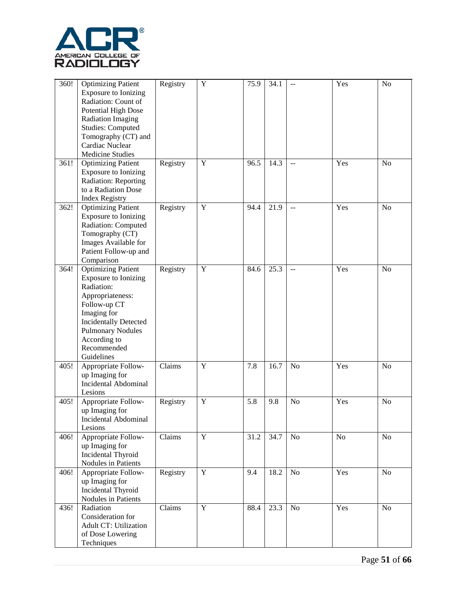

| 360! | <b>Optimizing Patient</b><br>Exposure to Ionizing<br>Radiation: Count of<br><b>Potential High Dose</b><br><b>Radiation Imaging</b><br><b>Studies: Computed</b><br>Tomography (CT) and<br>Cardiac Nuclear<br><b>Medicine Studies</b> | Registry | $\mathbf Y$    | 75.9 | 34.1 | $-$            | Yes | N <sub>o</sub> |
|------|-------------------------------------------------------------------------------------------------------------------------------------------------------------------------------------------------------------------------------------|----------|----------------|------|------|----------------|-----|----------------|
| 361! | <b>Optimizing Patient</b><br><b>Exposure to Ionizing</b><br>Radiation: Reporting<br>to a Radiation Dose<br><b>Index Registry</b>                                                                                                    | Registry | $\mathbf Y$    | 96.5 | 14.3 | $-$            | Yes | N <sub>o</sub> |
| 362! | <b>Optimizing Patient</b><br><b>Exposure to Ionizing</b><br>Radiation: Computed<br>Tomography (CT)<br>Images Available for<br>Patient Follow-up and<br>Comparison                                                                   | Registry | $\mathbf Y$    | 94.4 | 21.9 | $\mathbf{u}$   | Yes | N <sub>o</sub> |
| 364! | <b>Optimizing Patient</b><br>Exposure to Ionizing<br>Radiation:<br>Appropriateness:<br>Follow-up CT<br>Imaging for<br><b>Incidentally Detected</b><br><b>Pulmonary Nodules</b><br>According to<br>Recommended<br>Guidelines         | Registry | $\mathbf Y$    | 84.6 | 25.3 | $-$            | Yes | N <sub>o</sub> |
| 405! | Appropriate Follow-<br>up Imaging for<br><b>Incidental Abdominal</b><br>Lesions                                                                                                                                                     | Claims   | $\mathbf Y$    | 7.8  | 16.7 | N <sub>o</sub> | Yes | N <sub>o</sub> |
| 405! | Appropriate Follow-<br>up Imaging for<br>Incidental Abdominal<br>Lesions                                                                                                                                                            | Registry | $\mathbf Y$    | 5.8  | 9.8  | N <sub>o</sub> | Yes | N <sub>o</sub> |
| 406! | Appropriate Follow-<br>up Imaging for<br><b>Incidental Thyroid</b><br>Nodules in Patients                                                                                                                                           | Claims   | $\mathbf Y$    | 31.2 | 34.7 | N <sub>o</sub> | No  | No             |
| 406! | Appropriate Follow-<br>up Imaging for<br><b>Incidental Thyroid</b><br>Nodules in Patients                                                                                                                                           | Registry | $\overline{Y}$ | 9.4  | 18.2 | No             | Yes | No             |
| 436! | Radiation<br>Consideration for<br><b>Adult CT: Utilization</b><br>of Dose Lowering<br>Techniques                                                                                                                                    | Claims   | $\mathbf Y$    | 88.4 | 23.3 | N <sub>o</sub> | Yes | No             |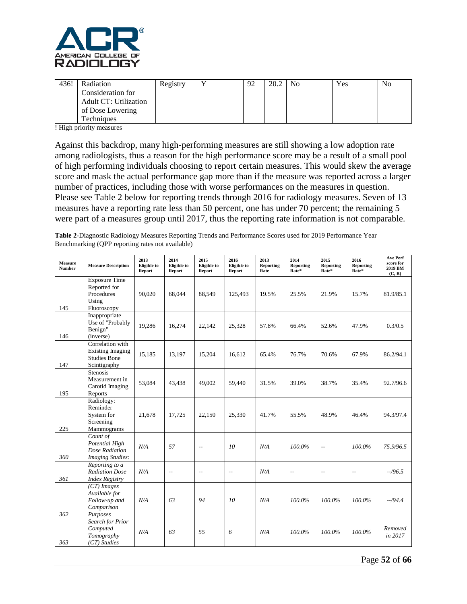

| 436! | Radiation                    | Registry | 92 | 20.2 | N <sub>0</sub> | Yes | N <sub>o</sub> |
|------|------------------------------|----------|----|------|----------------|-----|----------------|
|      | Consideration for            |          |    |      |                |     |                |
|      | <b>Adult CT: Utilization</b> |          |    |      |                |     |                |
|      | of Dose Lowering             |          |    |      |                |     |                |
|      | <b>Techniques</b>            |          |    |      |                |     |                |

! High priority measures

Against this backdrop, many high-performing measures are still showing a low adoption rate among radiologists, thus a reason for the high performance score may be a result of a small pool of high performing individuals choosing to report certain measures. This would skew the average score and mask the actual performance gap more than if the measure was reported across a larger number of practices, including those with worse performances on the measures in question. Please see Table 2 below for reporting trends through 2016 for radiology measures. Seven of 13 measures have a reporting rate less than 50 percent, one has under 70 percent; the remaining 5 were part of a measures group until 2017, thus the reporting rate information is not comparable.

**Table 2**-Diagnostic Radiology Measures Reporting Trends and Performance Scores used for 2019 Performance Year Benchmarking (QPP reporting rates not available)

| Measure<br><b>Number</b> | <b>Measure Description</b>                                                         | 2013<br><b>Eligible</b> to<br>Report | 2014<br>Eligible to<br>Report | 2015<br>Eligible to<br>Report | 2016<br>Eligible to<br>Report | 2013<br>Reporting<br>Rate | 2014<br>Reporting<br>Rate* | 2015<br>Reporting<br>Rate* | 2016<br>Reporting<br>Rate* | Ave Perf<br>score for<br>2019 BM<br>(C, R) |
|--------------------------|------------------------------------------------------------------------------------|--------------------------------------|-------------------------------|-------------------------------|-------------------------------|---------------------------|----------------------------|----------------------------|----------------------------|--------------------------------------------|
| 145                      | <b>Exposure Time</b><br>Reported for<br>Procedures<br>Using<br>Fluoroscopy         | 90,020                               | 68,044                        | 88,549                        | 125,493                       | 19.5%                     | 25.5%                      | 21.9%                      | 15.7%                      | 81.9/85.1                                  |
| 146                      | Inappropriate<br>Use of "Probably<br>Benign"<br>(inverse)                          | 19,286                               | 16,274                        | 22.142                        | 25,328                        | 57.8%                     | 66.4%                      | 52.6%                      | 47.9%                      | 0.3/0.5                                    |
| 147                      | Correlation with<br><b>Existing Imaging</b><br><b>Studies Bone</b><br>Scintigraphy | 15,185                               | 13.197                        | 15,204                        | 16.612                        | 65.4%                     | 76.7%                      | 70.6%                      | 67.9%                      | 86.2/94.1                                  |
| 195                      | <b>Stenosis</b><br>Measurement in<br>Carotid Imaging<br>Reports                    | 53,084                               | 43,438                        | 49,002                        | 59,440                        | 31.5%                     | 39.0%                      | 38.7%                      | 35.4%                      | 92.7/96.6                                  |
| 225                      | Radiology:<br>Reminder<br>System for<br>Screening<br>Mammograms                    | 21,678                               | 17,725                        | 22,150                        | 25,330                        | 41.7%                     | 55.5%                      | 48.9%                      | 46.4%                      | 94.3/97.4                                  |
| 360                      | Count of<br>Potential High<br>Dose Radiation<br><b>Imaging Studies:</b>            | N/A                                  | 57                            | $\overline{\phantom{a}}$ .    | 10                            | N/A                       | 100.0%                     | $\overline{\phantom{a}}$   | 100.0%                     | 75.9/96.5                                  |
| 361                      | Reporting to a<br><b>Radiation Dose</b><br><b>Index Registry</b>                   | N/A                                  | $\overline{\phantom{a}}$      | $\overline{a}$                | $\overline{\phantom{a}}$      | N/A                       | $\overline{\phantom{a}}$   | $\overline{\phantom{a}}$   | $\overline{a}$             | $-296.5$                                   |
| 362                      | $(CT)$ Images<br>Available for<br>Follow-up and<br>Comparison<br>Purposes          | N/A                                  | 63                            | 94                            | 10 <sup>2</sup>               | N/A                       | 100.0%                     | 100.0%                     | 100.0%                     | $-.794.4$                                  |
| 363                      | Search for Prior<br>Computed<br>Tomography<br>(CT) Studies                         | N/A                                  | 63                            | 55                            | 6                             | N/A                       | 100.0%                     | 100.0%                     | 100.0%                     | Removed<br>in 2017                         |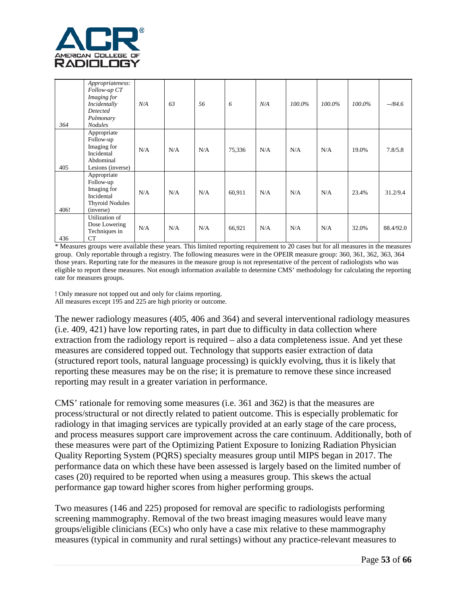

| 364  | Appropriateness:<br>Follow-up CT<br>Imaging for<br>Incidentally<br>Detected<br>Pulmonary<br><b>Nodules</b> | N/A | 63  | .56 | 6      | N/A | $100.0\%$ | 100.0% | $100.0\%$ | $-784.6$  |
|------|------------------------------------------------------------------------------------------------------------|-----|-----|-----|--------|-----|-----------|--------|-----------|-----------|
| 405  | Appropriate<br>Follow-up<br>Imaging for<br>Incidental<br>Abdominal<br>Lesions (inverse)                    | N/A | N/A | N/A | 75,336 | N/A | N/A       | N/A    | 19.0%     | 7.8/5.8   |
| 406! | Appropriate<br>Follow-up<br>Imaging for<br>Incidental<br><b>Thyroid Nodules</b><br>(inverse)               | N/A | N/A | N/A | 60,911 | N/A | N/A       | N/A    | 23.4%     | 31.2/9.4  |
| 436  | Utilization of<br>Dose Lowering<br>Techniques in<br>CT                                                     | N/A | N/A | N/A | 66,921 | N/A | N/A       | N/A    | 32.0%     | 88.4/92.0 |

\* Measures groups were available these years. This limited reporting requirement to 20 cases but for all measures in the measures group. Only reportable through a registry. The following measures were in the OPEIR measure group: 360, 361, 362, 363, 364 those years. Reporting rate for the measures in the measure group is not representative of the percent of radiologists who was eligible to report these measures. Not enough information available to determine CMS' methodology for calculating the reporting rate for measures groups.

! Only measure not topped out and only for claims reporting. All measures except 195 and 225 are high priority or outcome.

The newer radiology measures (405, 406 and 364) and several interventional radiology measures (i.e. 409, 421) have low reporting rates, in part due to difficulty in data collection where extraction from the radiology report is required – also a data completeness issue. And yet these measures are considered topped out. Technology that supports easier extraction of data (structured report tools, natural language processing) is quickly evolving, thus it is likely that reporting these measures may be on the rise; it is premature to remove these since increased reporting may result in a greater variation in performance.

CMS' rationale for removing some measures (i.e. 361 and 362) is that the measures are process/structural or not directly related to patient outcome. This is especially problematic for radiology in that imaging services are typically provided at an early stage of the care process, and process measures support care improvement across the care continuum. Additionally, both of these measures were part of the Optimizing Patient Exposure to Ionizing Radiation Physician Quality Reporting System (PQRS) specialty measures group until MIPS began in 2017. The performance data on which these have been assessed is largely based on the limited number of cases (20) required to be reported when using a measures group. This skews the actual performance gap toward higher scores from higher performing groups.

Two measures (146 and 225) proposed for removal are specific to radiologists performing screening mammography. Removal of the two breast imaging measures would leave many groups/eligible clinicians (ECs) who only have a case mix relative to these mammography measures (typical in community and rural settings) without any practice-relevant measures to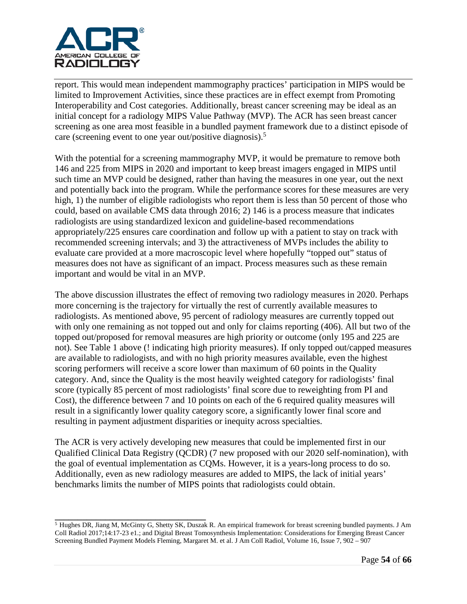

report. This would mean independent mammography practices' participation in MIPS would be limited to Improvement Activities, since these practices are in effect exempt from Promoting Interoperability and Cost categories. Additionally, breast cancer screening may be ideal as an initial concept for a radiology MIPS Value Pathway (MVP). The ACR has seen breast cancer screening as one area most feasible in a bundled payment framework due to a distinct episode of care (screening event to one year out/positive diagnosis).<sup>5</sup>

With the potential for a screening mammography MVP, it would be premature to remove both 146 and 225 from MIPS in 2020 and important to keep breast imagers engaged in MIPS until such time an MVP could be designed, rather than having the measures in one year, out the next and potentially back into the program. While the performance scores for these measures are very high, 1) the number of eligible radiologists who report them is less than 50 percent of those who could, based on available CMS data through 2016; 2) 146 is a process measure that indicates radiologists are using standardized lexicon and guideline-based recommendations appropriately/225 ensures care coordination and follow up with a patient to stay on track with recommended screening intervals; and 3) the attractiveness of MVPs includes the ability to evaluate care provided at a more macroscopic level where hopefully "topped out" status of measures does not have as significant of an impact. Process measures such as these remain important and would be vital in an MVP.

The above discussion illustrates the effect of removing two radiology measures in 2020. Perhaps more concerning is the trajectory for virtually the rest of currently available measures to radiologists. As mentioned above, 95 percent of radiology measures are currently topped out with only one remaining as not topped out and only for claims reporting (406). All but two of the topped out/proposed for removal measures are high priority or outcome (only 195 and 225 are not). See Table 1 above (! indicating high priority measures). If only topped out/capped measures are available to radiologists, and with no high priority measures available, even the highest scoring performers will receive a score lower than maximum of 60 points in the Quality category. And, since the Quality is the most heavily weighted category for radiologists' final score (typically 85 percent of most radiologists' final score due to reweighting from PI and Cost), the difference between 7 and 10 points on each of the 6 required quality measures will result in a significantly lower quality category score, a significantly lower final score and resulting in payment adjustment disparities or inequity across specialties.

The ACR is very actively developing new measures that could be implemented first in our Qualified Clinical Data Registry (QCDR) (7 new proposed with our 2020 self-nomination), with the goal of eventual implementation as CQMs. However, it is a years-long process to do so. Additionally, even as new radiology measures are added to MIPS, the lack of initial years' benchmarks limits the number of MIPS points that radiologists could obtain.

**\_\_\_\_\_\_\_\_\_\_\_\_\_\_\_\_\_\_\_\_\_\_\_\_\_\_\_\_\_\_\_\_\_**

<sup>5</sup> Hughes DR, Jiang M, McGinty G, Shetty SK, Duszak R. An empirical framework for breast screening bundled payments. J Am Coll Radiol 2017;14:17-23 e1.; and Digital Breast Tomosynthesis Implementation: Considerations for Emerging Breast Cancer Screening Bundled Payment Models Fleming, Margaret M. et al. J Am Coll Radiol, Volume 16, Issue 7, 902 – 907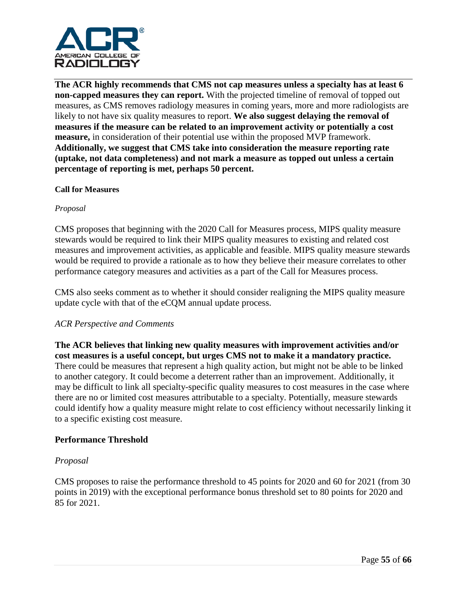

**The ACR highly recommends that CMS not cap measures unless a specialty has at least 6 non-capped measures they can report.** With the projected timeline of removal of topped out measures, as CMS removes radiology measures in coming years, more and more radiologists are likely to not have six quality measures to report. **We also suggest delaying the removal of measures if the measure can be related to an improvement activity or potentially a cost measure,** in consideration of their potential use within the proposed MVP framework. **Additionally, we suggest that CMS take into consideration the measure reporting rate (uptake, not data completeness) and not mark a measure as topped out unless a certain percentage of reporting is met, perhaps 50 percent.** 

#### **Call for Measures**

#### *Proposal*

CMS proposes that beginning with the 2020 Call for Measures process, MIPS quality measure stewards would be required to link their MIPS quality measures to existing and related cost measures and improvement activities, as applicable and feasible. MIPS quality measure stewards would be required to provide a rationale as to how they believe their measure correlates to other performance category measures and activities as a part of the Call for Measures process.

CMS also seeks comment as to whether it should consider realigning the MIPS quality measure update cycle with that of the eCQM annual update process.

#### *ACR Perspective and Comments*

**The ACR believes that linking new quality measures with improvement activities and/or cost measures is a useful concept, but urges CMS not to make it a mandatory practice.** There could be measures that represent a high quality action, but might not be able to be linked to another category. It could become a deterrent rather than an improvement. Additionally, it may be difficult to link all specialty-specific quality measures to cost measures in the case where there are no or limited cost measures attributable to a specialty. Potentially, measure stewards could identify how a quality measure might relate to cost efficiency without necessarily linking it to a specific existing cost measure.

#### **Performance Threshold**

#### *Proposal*

CMS proposes to raise the performance threshold to 45 points for 2020 and 60 for 2021 (from 30 points in 2019) with the exceptional performance bonus threshold set to 80 points for 2020 and 85 for 2021.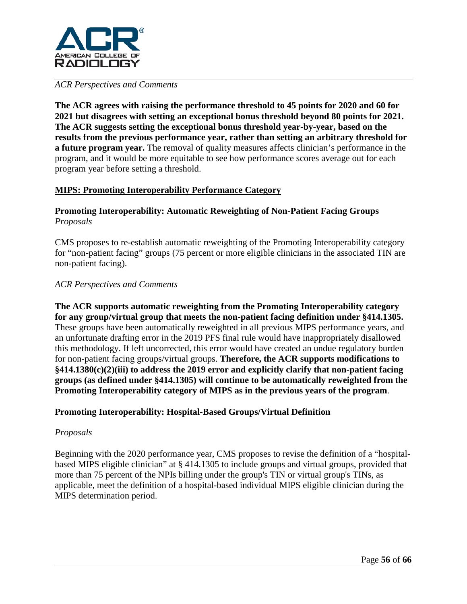

### *ACR Perspectives and Comments*

**The ACR agrees with raising the performance threshold to 45 points for 2020 and 60 for 2021 but disagrees with setting an exceptional bonus threshold beyond 80 points for 2021. The ACR suggests setting the exceptional bonus threshold year-by-year, based on the results from the previous performance year, rather than setting an arbitrary threshold for a future program year.** The removal of quality measures affects clinician's performance in the program, and it would be more equitable to see how performance scores average out for each program year before setting a threshold.

## **MIPS: Promoting Interoperability Performance Category**

## **Promoting Interoperability: Automatic Reweighting of Non-Patient Facing Groups** *Proposals*

CMS proposes to re-establish automatic reweighting of the Promoting Interoperability category for "non-patient facing" groups (75 percent or more eligible clinicians in the associated TIN are non-patient facing).

#### *ACR Perspectives and Comments*

**The ACR supports automatic reweighting from the Promoting Interoperability category for any group/virtual group that meets the non-patient facing definition under §414.1305.**  These groups have been automatically reweighted in all previous MIPS performance years, and an unfortunate drafting error in the 2019 PFS final rule would have inappropriately disallowed this methodology. If left uncorrected, this error would have created an undue regulatory burden for non-patient facing groups/virtual groups. **Therefore, the ACR supports modifications to §414.1380(c)(2)(iii) to address the 2019 error and explicitly clarify that non-patient facing groups (as defined under §414.1305) will continue to be automatically reweighted from the Promoting Interoperability category of MIPS as in the previous years of the program**.

#### **Promoting Interoperability: Hospital-Based Groups/Virtual Definition**

#### *Proposals*

Beginning with the 2020 performance year, CMS proposes to revise the definition of a "hospitalbased MIPS eligible clinician" at § 414.1305 to include groups and virtual groups, provided that more than 75 percent of the NPIs billing under the group's TIN or virtual group's TINs, as applicable, meet the definition of a hospital-based individual MIPS eligible clinician during the MIPS determination period.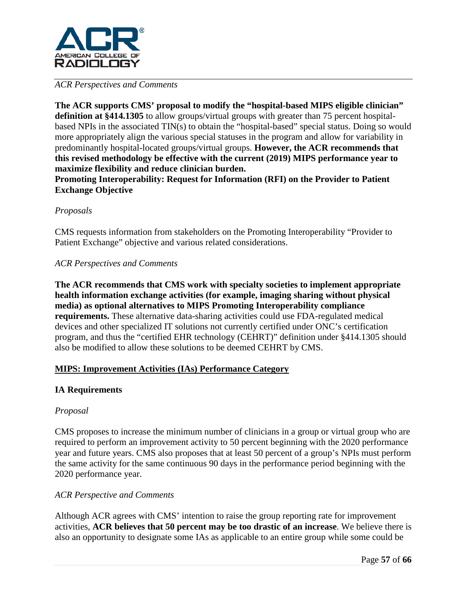

## *ACR Perspectives and Comments*

**The ACR supports CMS' proposal to modify the "hospital-based MIPS eligible clinician" definition at §414.1305** to allow groups/virtual groups with greater than 75 percent hospitalbased NPIs in the associated TIN(s) to obtain the "hospital-based" special status. Doing so would more appropriately align the various special statuses in the program and allow for variability in predominantly hospital-located groups/virtual groups. **However, the ACR recommends that this revised methodology be effective with the current (2019) MIPS performance year to maximize flexibility and reduce clinician burden.** 

**Promoting Interoperability: Request for Information (RFI) on the Provider to Patient Exchange Objective**

## *Proposals*

CMS requests information from stakeholders on the Promoting Interoperability "Provider to Patient Exchange" objective and various related considerations.

## *ACR Perspectives and Comments*

**The ACR recommends that CMS work with specialty societies to implement appropriate health information exchange activities (for example, imaging sharing without physical media) as optional alternatives to MIPS Promoting Interoperability compliance requirements.** These alternative data-sharing activities could use FDA-regulated medical devices and other specialized IT solutions not currently certified under ONC's certification program, and thus the "certified EHR technology (CEHRT)" definition under §414.1305 should also be modified to allow these solutions to be deemed CEHRT by CMS.

## **MIPS: Improvement Activities (IAs) Performance Category**

## **IA Requirements**

#### *Proposal*

CMS proposes to increase the minimum number of clinicians in a group or virtual group who are required to perform an improvement activity to 50 percent beginning with the 2020 performance year and future years. CMS also proposes that at least 50 percent of a group's NPIs must perform the same activity for the same continuous 90 days in the performance period beginning with the 2020 performance year.

#### *ACR Perspective and Comments*

Although ACR agrees with CMS' intention to raise the group reporting rate for improvement activities, **ACR believes that 50 percent may be too drastic of an increase**. We believe there is also an opportunity to designate some IAs as applicable to an entire group while some could be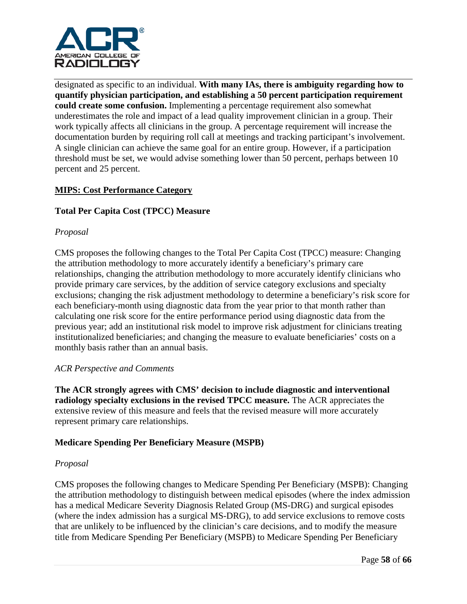

designated as specific to an individual. **With many IAs, there is ambiguity regarding how to quantify physician participation, and establishing a 50 percent participation requirement could create some confusion.** Implementing a percentage requirement also somewhat underestimates the role and impact of a lead quality improvement clinician in a group. Their work typically affects all clinicians in the group. A percentage requirement will increase the documentation burden by requiring roll call at meetings and tracking participant's involvement. A single clinician can achieve the same goal for an entire group. However, if a participation threshold must be set, we would advise something lower than 50 percent, perhaps between 10 percent and 25 percent.

## **MIPS: Cost Performance Category**

## **Total Per Capita Cost (TPCC) Measure**

#### *Proposal*

CMS proposes the following changes to the Total Per Capita Cost (TPCC) measure: Changing the attribution methodology to more accurately identify a beneficiary's primary care relationships, changing the attribution methodology to more accurately identify clinicians who provide primary care services, by the addition of service category exclusions and specialty exclusions; changing the risk adjustment methodology to determine a beneficiary's risk score for each beneficiary-month using diagnostic data from the year prior to that month rather than calculating one risk score for the entire performance period using diagnostic data from the previous year; add an institutional risk model to improve risk adjustment for clinicians treating institutionalized beneficiaries; and changing the measure to evaluate beneficiaries' costs on a monthly basis rather than an annual basis.

#### *ACR Perspective and Comments*

**The ACR strongly agrees with CMS' decision to include diagnostic and interventional radiology specialty exclusions in the revised TPCC measure.** The ACR appreciates the extensive review of this measure and feels that the revised measure will more accurately represent primary care relationships.

#### **Medicare Spending Per Beneficiary Measure (MSPB)**

#### *Proposal*

CMS proposes the following changes to Medicare Spending Per Beneficiary (MSPB): Changing the attribution methodology to distinguish between medical episodes (where the index admission has a medical Medicare Severity Diagnosis Related Group (MS-DRG) and surgical episodes (where the index admission has a surgical MS-DRG), to add service exclusions to remove costs that are unlikely to be influenced by the clinician's care decisions, and to modify the measure title from Medicare Spending Per Beneficiary (MSPB) to Medicare Spending Per Beneficiary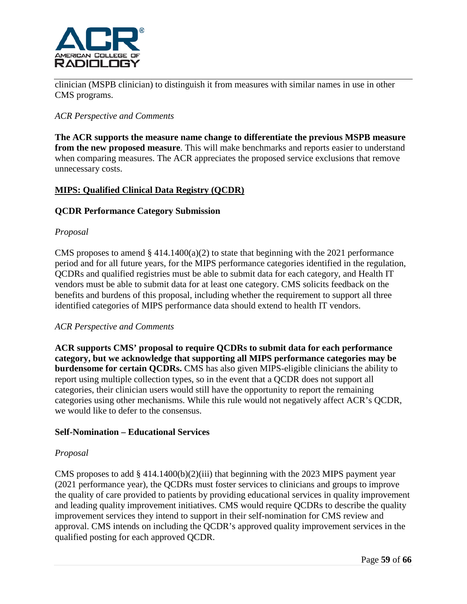

clinician (MSPB clinician) to distinguish it from measures with similar names in use in other CMS programs.

### *ACR Perspective and Comments*

**The ACR supports the measure name change to differentiate the previous MSPB measure from the new proposed measure**. This will make benchmarks and reports easier to understand when comparing measures. The ACR appreciates the proposed service exclusions that remove unnecessary costs.

## **MIPS: Qualified Clinical Data Registry (QCDR)**

#### **QCDR Performance Category Submission**

#### *Proposal*

CMS proposes to amend  $\S$  414.1400(a)(2) to state that beginning with the 2021 performance period and for all future years, for the MIPS performance categories identified in the regulation, QCDRs and qualified registries must be able to submit data for each category, and Health IT vendors must be able to submit data for at least one category. CMS solicits feedback on the benefits and burdens of this proposal, including whether the requirement to support all three identified categories of MIPS performance data should extend to health IT vendors.

#### *ACR Perspective and Comments*

**ACR supports CMS' proposal to require QCDRs to submit data for each performance category, but we acknowledge that supporting all MIPS performance categories may be burdensome for certain QCDRs.** CMS has also given MIPS-eligible clinicians the ability to report using multiple collection types, so in the event that a QCDR does not support all categories, their clinician users would still have the opportunity to report the remaining categories using other mechanisms. While this rule would not negatively affect ACR's QCDR, we would like to defer to the consensus.

#### **Self-Nomination – Educational Services**

#### *Proposal*

CMS proposes to add  $\S$  414.1400(b)(2)(iii) that beginning with the 2023 MIPS payment year (2021 performance year), the QCDRs must foster services to clinicians and groups to improve the quality of care provided to patients by providing educational services in quality improvement and leading quality improvement initiatives. CMS would require QCDRs to describe the quality improvement services they intend to support in their self-nomination for CMS review and approval. CMS intends on including the QCDR's approved quality improvement services in the qualified posting for each approved QCDR.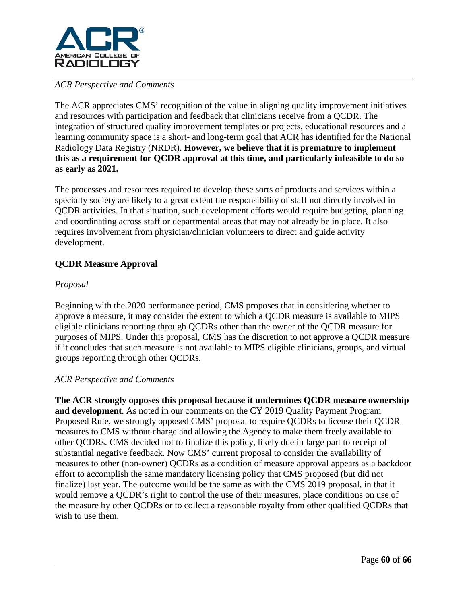

## *ACR Perspective and Comments*

The ACR appreciates CMS' recognition of the value in aligning quality improvement initiatives and resources with participation and feedback that clinicians receive from a QCDR. The integration of structured quality improvement templates or projects, educational resources and a learning community space is a short- and long-term goal that ACR has identified for the National Radiology Data Registry (NRDR). **However, we believe that it is premature to implement this as a requirement for QCDR approval at this time, and particularly infeasible to do so as early as 2021.**

The processes and resources required to develop these sorts of products and services within a specialty society are likely to a great extent the responsibility of staff not directly involved in QCDR activities. In that situation, such development efforts would require budgeting, planning and coordinating across staff or departmental areas that may not already be in place. It also requires involvement from physician/clinician volunteers to direct and guide activity development.

# **QCDR Measure Approval**

## *Proposal*

Beginning with the 2020 performance period, CMS proposes that in considering whether to approve a measure, it may consider the extent to which a QCDR measure is available to MIPS eligible clinicians reporting through QCDRs other than the owner of the QCDR measure for purposes of MIPS. Under this proposal, CMS has the discretion to not approve a QCDR measure if it concludes that such measure is not available to MIPS eligible clinicians, groups, and virtual groups reporting through other QCDRs.

#### *ACR Perspective and Comments*

**The ACR strongly opposes this proposal because it undermines QCDR measure ownership and development**. As noted in our comments on the CY 2019 Quality Payment Program Proposed Rule, we strongly opposed CMS' proposal to require QCDRs to license their QCDR measures to CMS without charge and allowing the Agency to make them freely available to other QCDRs. CMS decided not to finalize this policy, likely due in large part to receipt of substantial negative feedback. Now CMS' current proposal to consider the availability of measures to other (non-owner) QCDRs as a condition of measure approval appears as a backdoor effort to accomplish the same mandatory licensing policy that CMS proposed (but did not finalize) last year. The outcome would be the same as with the CMS 2019 proposal, in that it would remove a QCDR's right to control the use of their measures, place conditions on use of the measure by other QCDRs or to collect a reasonable royalty from other qualified QCDRs that wish to use them.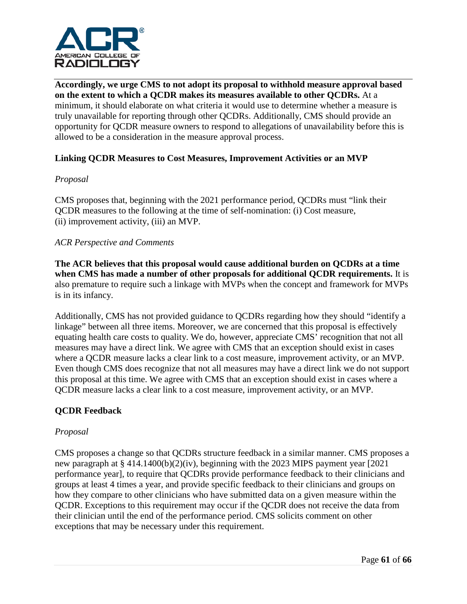

**Accordingly, we urge CMS to not adopt its proposal to withhold measure approval based on the extent to which a QCDR makes its measures available to other QCDRs.** At a minimum, it should elaborate on what criteria it would use to determine whether a measure is truly unavailable for reporting through other QCDRs. Additionally, CMS should provide an opportunity for QCDR measure owners to respond to allegations of unavailability before this is allowed to be a consideration in the measure approval process.

## **Linking QCDR Measures to Cost Measures, Improvement Activities or an MVP**

## *Proposal*

CMS proposes that, beginning with the 2021 performance period, QCDRs must "link their QCDR measures to the following at the time of self-nomination: (i) Cost measure, (ii) improvement activity, (iii) an MVP.

## *ACR Perspective and Comments*

**The ACR believes that this proposal would cause additional burden on QCDRs at a time when CMS has made a number of other proposals for additional QCDR requirements.** It is also premature to require such a linkage with MVPs when the concept and framework for MVPs is in its infancy.

Additionally, CMS has not provided guidance to QCDRs regarding how they should "identify a linkage" between all three items. Moreover, we are concerned that this proposal is effectively equating health care costs to quality. We do, however, appreciate CMS' recognition that not all measures may have a direct link. We agree with CMS that an exception should exist in cases where a QCDR measure lacks a clear link to a cost measure, improvement activity, or an MVP. Even though CMS does recognize that not all measures may have a direct link we do not support this proposal at this time. We agree with CMS that an exception should exist in cases where a QCDR measure lacks a clear link to a cost measure, improvement activity, or an MVP.

## **QCDR Feedback**

#### *Proposal*

CMS proposes a change so that QCDRs structure feedback in a similar manner. CMS proposes a new paragraph at § 414.1400(b)(2)(iv), beginning with the 2023 MIPS payment year [2021 performance year], to require that QCDRs provide performance feedback to their clinicians and groups at least 4 times a year, and provide specific feedback to their clinicians and groups on how they compare to other clinicians who have submitted data on a given measure within the QCDR. Exceptions to this requirement may occur if the QCDR does not receive the data from their clinician until the end of the performance period. CMS solicits comment on other exceptions that may be necessary under this requirement.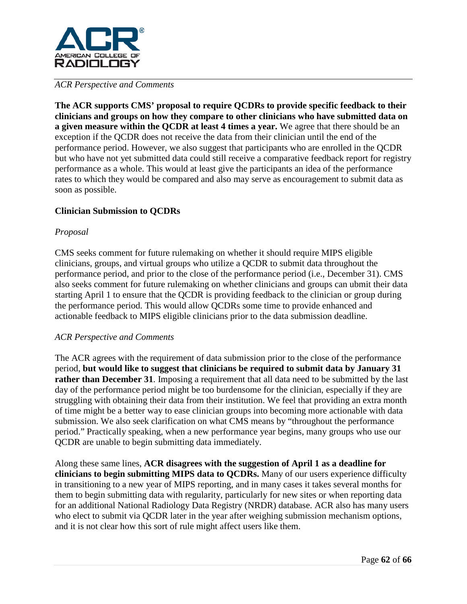

#### *ACR Perspective and Comments*

**The ACR supports CMS' proposal to require QCDRs to provide specific feedback to their clinicians and groups on how they compare to other clinicians who have submitted data on a given measure within the QCDR at least 4 times a year.** We agree that there should be an exception if the QCDR does not receive the data from their clinician until the end of the performance period. However, we also suggest that participants who are enrolled in the QCDR but who have not yet submitted data could still receive a comparative feedback report for registry performance as a whole. This would at least give the participants an idea of the performance rates to which they would be compared and also may serve as encouragement to submit data as soon as possible.

## **Clinician Submission to QCDRs**

#### *Proposal*

CMS seeks comment for future rulemaking on whether it should require MIPS eligible clinicians, groups, and virtual groups who utilize a QCDR to submit data throughout the performance period, and prior to the close of the performance period (i.e., December 31). CMS also seeks comment for future rulemaking on whether clinicians and groups can ubmit their data starting April 1 to ensure that the QCDR is providing feedback to the clinician or group during the performance period. This would allow QCDRs some time to provide enhanced and actionable feedback to MIPS eligible clinicians prior to the data submission deadline.

#### *ACR Perspective and Comments*

The ACR agrees with the requirement of data submission prior to the close of the performance period, **but would like to suggest that clinicians be required to submit data by January 31 rather than December 31.** Imposing a requirement that all data need to be submitted by the last day of the performance period might be too burdensome for the clinician, especially if they are struggling with obtaining their data from their institution. We feel that providing an extra month of time might be a better way to ease clinician groups into becoming more actionable with data submission. We also seek clarification on what CMS means by "throughout the performance period." Practically speaking, when a new performance year begins, many groups who use our QCDR are unable to begin submitting data immediately.

Along these same lines, **ACR disagrees with the suggestion of April 1 as a deadline for clinicians to begin submitting MIPS data to QCDRs.** Many of our users experience difficulty in transitioning to a new year of MIPS reporting, and in many cases it takes several months for them to begin submitting data with regularity, particularly for new sites or when reporting data for an additional National Radiology Data Registry (NRDR) database. ACR also has many users who elect to submit via QCDR later in the year after weighing submission mechanism options, and it is not clear how this sort of rule might affect users like them.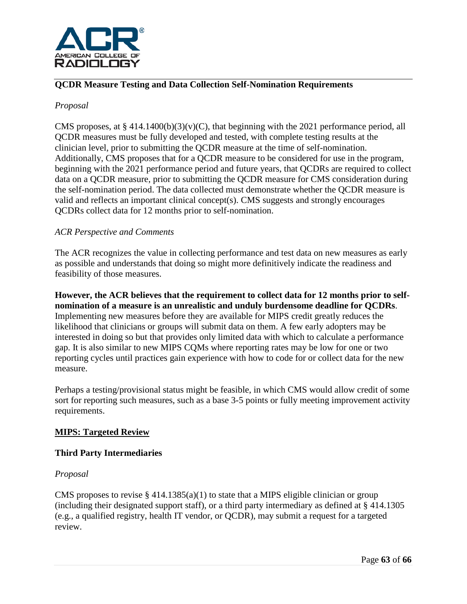

## **QCDR Measure Testing and Data Collection Self-Nomination Requirements**

## *Proposal*

CMS proposes, at  $\S 414.1400(b)(3)(v)(C)$ , that beginning with the 2021 performance period, all QCDR measures must be fully developed and tested, with complete testing results at the clinician level, prior to submitting the QCDR measure at the time of self-nomination. Additionally, CMS proposes that for a QCDR measure to be considered for use in the program, beginning with the 2021 performance period and future years, that QCDRs are required to collect data on a QCDR measure, prior to submitting the QCDR measure for CMS consideration during the self-nomination period. The data collected must demonstrate whether the QCDR measure is valid and reflects an important clinical concept(s). CMS suggests and strongly encourages QCDRs collect data for 12 months prior to self-nomination.

## *ACR Perspective and Comments*

The ACR recognizes the value in collecting performance and test data on new measures as early as possible and understands that doing so might more definitively indicate the readiness and feasibility of those measures.

**However, the ACR believes that the requirement to collect data for 12 months prior to selfnomination of a measure is an unrealistic and unduly burdensome deadline for QCDRs**. Implementing new measures before they are available for MIPS credit greatly reduces the likelihood that clinicians or groups will submit data on them. A few early adopters may be interested in doing so but that provides only limited data with which to calculate a performance gap. It is also similar to new MIPS CQMs where reporting rates may be low for one or two reporting cycles until practices gain experience with how to code for or collect data for the new measure.

Perhaps a testing/provisional status might be feasible, in which CMS would allow credit of some sort for reporting such measures, such as a base 3-5 points or fully meeting improvement activity requirements.

## **MIPS: Targeted Review**

#### **Third Party Intermediaries**

## *Proposal*

CMS proposes to revise  $\S 414.1385(a)(1)$  to state that a MIPS eligible clinician or group (including their designated support staff), or a third party intermediary as defined at § 414.1305 (e.g., a qualified registry, health IT vendor, or QCDR), may submit a request for a targeted review.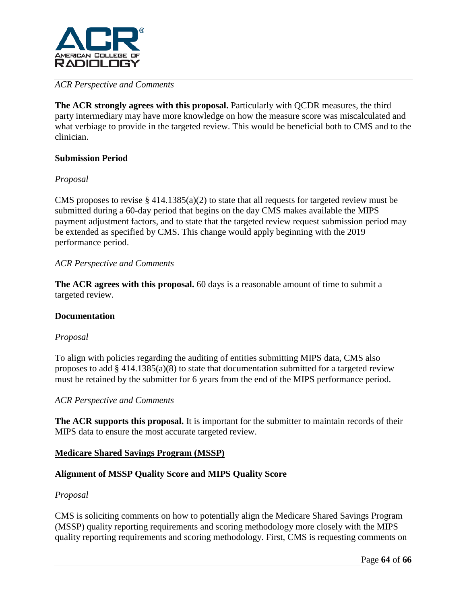

## *ACR Perspective and Comments*

**The ACR strongly agrees with this proposal.** Particularly with QCDR measures, the third party intermediary may have more knowledge on how the measure score was miscalculated and what verbiage to provide in the targeted review. This would be beneficial both to CMS and to the clinician.

## **Submission Period**

## *Proposal*

CMS proposes to revise  $\S 414.1385(a)(2)$  to state that all requests for targeted review must be submitted during a 60-day period that begins on the day CMS makes available the MIPS payment adjustment factors, and to state that the targeted review request submission period may be extended as specified by CMS. This change would apply beginning with the 2019 performance period.

## *ACR Perspective and Comments*

**The ACR agrees with this proposal.** 60 days is a reasonable amount of time to submit a targeted review.

#### **Documentation**

#### *Proposal*

To align with policies regarding the auditing of entities submitting MIPS data, CMS also proposes to add § 414.1385(a)(8) to state that documentation submitted for a targeted review must be retained by the submitter for 6 years from the end of the MIPS performance period.

#### *ACR Perspective and Comments*

**The ACR supports this proposal.** It is important for the submitter to maintain records of their MIPS data to ensure the most accurate targeted review.

#### **Medicare Shared Savings Program (MSSP)**

#### **Alignment of MSSP Quality Score and MIPS Quality Score**

#### *Proposal*

CMS is soliciting comments on how to potentially align the Medicare Shared Savings Program (MSSP) quality reporting requirements and scoring methodology more closely with the MIPS quality reporting requirements and scoring methodology. First, CMS is requesting comments on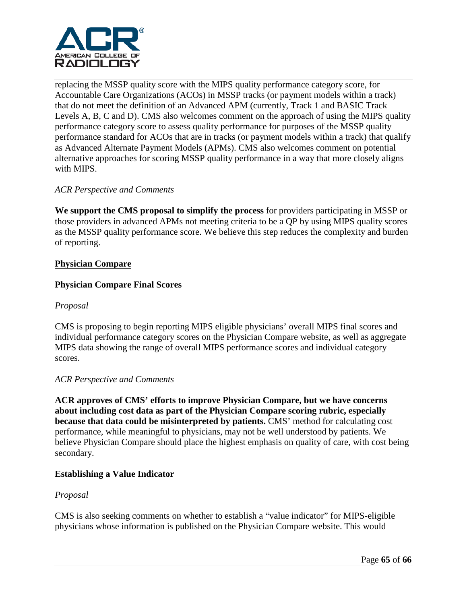

replacing the MSSP quality score with the MIPS quality performance category score, for Accountable Care Organizations (ACOs) in MSSP tracks (or payment models within a track) that do not meet the definition of an Advanced APM (currently, Track 1 and BASIC Track Levels A, B, C and D). CMS also welcomes comment on the approach of using the MIPS quality performance category score to assess quality performance for purposes of the MSSP quality performance standard for ACOs that are in tracks (or payment models within a track) that qualify as Advanced Alternate Payment Models (APMs). CMS also welcomes comment on potential alternative approaches for scoring MSSP quality performance in a way that more closely aligns with MIPS.

## *ACR Perspective and Comments*

**We support the CMS proposal to simplify the process** for providers participating in MSSP or those providers in advanced APMs not meeting criteria to be a QP by using MIPS quality scores as the MSSP quality performance score. We believe this step reduces the complexity and burden of reporting.

#### **Physician Compare**

## **Physician Compare Final Scores**

#### *Proposal*

CMS is proposing to begin reporting MIPS eligible physicians' overall MIPS final scores and individual performance category scores on the Physician Compare website, as well as aggregate MIPS data showing the range of overall MIPS performance scores and individual category scores.

#### *ACR Perspective and Comments*

**ACR approves of CMS' efforts to improve Physician Compare, but we have concerns about including cost data as part of the Physician Compare scoring rubric, especially because that data could be misinterpreted by patients.** CMS' method for calculating cost performance, while meaningful to physicians, may not be well understood by patients. We believe Physician Compare should place the highest emphasis on quality of care, with cost being secondary.

#### **Establishing a Value Indicator**

#### *Proposal*

CMS is also seeking comments on whether to establish a "value indicator" for MIPS-eligible physicians whose information is published on the Physician Compare website. This would